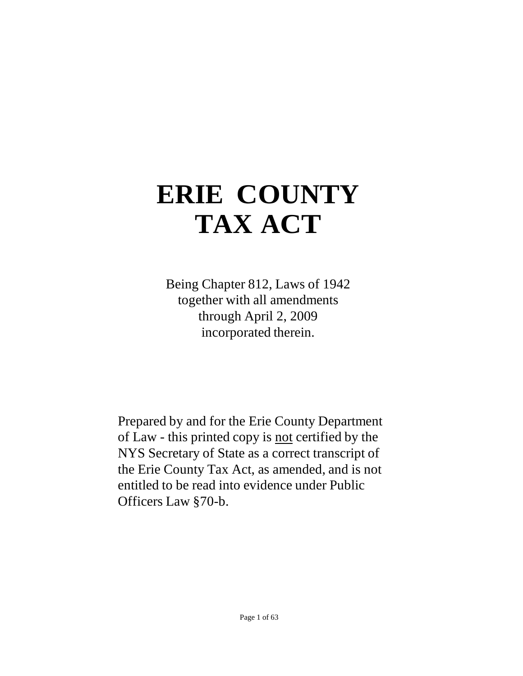# **ERIE COUNTY TAX ACT**

Being Chapter 812, Laws of 1942 together with all amendments through April 2, 2009 incorporated therein.

Prepared by and for the Erie County Department of Law - this printed copy is not certified by the NYS Secretary of State as a correct transcript of the Erie County Tax Act, as amended, and is not entitled to be read into evidence under Public Officers Law §70-b.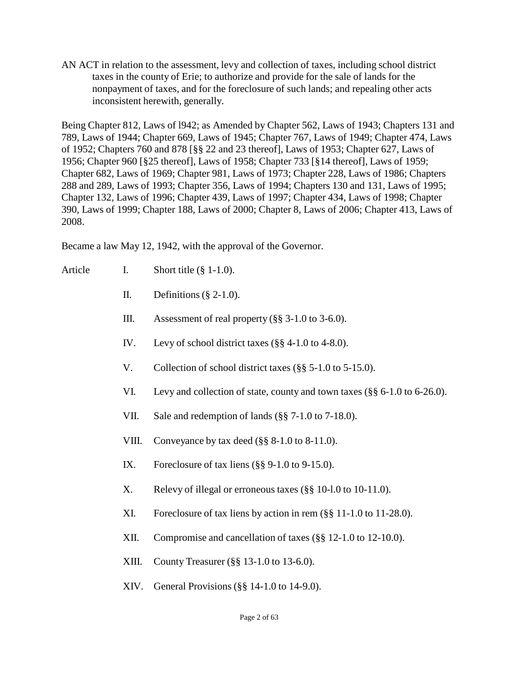AN ACT in relation to the assessment, levy and collection of taxes, including school district taxes in the county of Erie; to authorize and provide for the sale of lands for the nonpayment of taxes, and for the foreclosure of such lands; and repealing other acts inconsistent herewith, generally.

Being Chapter 812, Laws of l942; as Amended by Chapter 562, Laws of 1943; Chapters 131 and 789, Laws of 1944; Chapter 669, Laws of 1945; Chapter 767, Laws of 1949; Chapter 474, Laws of 1952; Chapters 760 and 878 [§§ 22 and 23 thereof], Laws of 1953; Chapter 627, Laws of 1956; Chapter 960 [§25 thereof], Laws of 1958; Chapter 733 [§14 thereof], Laws of 1959; Chapter 682, Laws of 1969; Chapter 981, Laws of 1973; Chapter 228, Laws of 1986; Chapters 288 and 289, Laws of 1993; Chapter 356, Laws of 1994; Chapters 130 and 131, Laws of 1995; Chapter 132, Laws of 1996; Chapter 439, Laws of 1997; Chapter 434, Laws of 1998; Chapter 390, Laws of 1999; Chapter 188, Laws of 2000; Chapter 8, Laws of 2006; Chapter 413, Laws of 2008.

Became a law May 12, 1942, with the approval of the Governor.

- Article I. Short title  $(\S 1-1.0)$ .
	- II. Definitions  $(\S 2-1.0)$ .
	- III. Assessment of real property (§§ 3-1.0 to 3-6.0).
	- IV. Levy of school district taxes (§§ 4-1.0 to 4-8.0).
	- V. Collection of school district taxes (§§ 5-1.0 to 5-15.0).
	- VI. Levy and collection of state, county and town taxes (§§ 6-1.0 to 6-26.0).
	- VII. Sale and redemption of lands (§§ 7-1.0 to 7-18.0).
	- VIII. Conveyance by tax deed (§§ 8-1.0 to 8-11.0).
	- IX. Foreclosure of tax liens (§§ 9-1.0 to 9-15.0).
	- X. Relevy of illegal or erroneous taxes (§§ 10-l.0 to 10-11.0).
	- XI. Foreclosure of tax liens by action in rem (§§ 11-1.0 to 11-28.0).
	- XII. Compromise and cancellation of taxes (§§ 12-1.0 to 12-10.0).
	- XIII. County Treasurer (§§ 13-1.0 to 13-6.0).
	- XIV. General Provisions (§§ 14-1.0 to 14-9.0).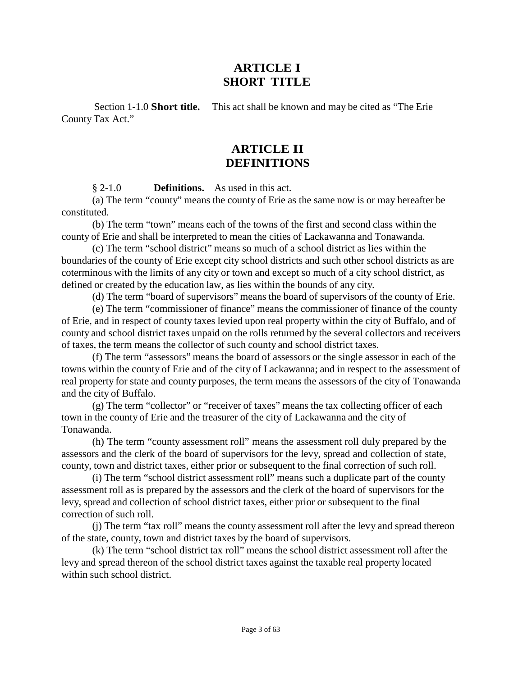## **ARTICLE I SHORT TITLE**

Section 1-1.0 **Short title.** This act shall be known and may be cited as "The Erie County Tax Act."

# **ARTICLE II DEFINITIONS**

§ 2-1.0 **Definitions.** As used in this act.

(a) The term "county" means the county of Erie as the same now is or may hereafter be constituted.

(b) The term "town" means each of the towns of the first and second class within the county of Erie and shall be interpreted to mean the cities of Lackawanna and Tonawanda.

(c) The term "school district" means so much of a school district as lies within the boundaries of the county of Erie except city school districts and such other school districts as are coterminous with the limits of any city or town and except so much of a city school district, as defined or created by the education law, as lies within the bounds of any city.

(d) The term "board of supervisors" means the board of supervisors of the county of Erie.

(e) The term "commissioner of finance" means the commissioner of finance of the county of Erie, and in respect of county taxes levied upon real property within the city of Buffalo, and of county and school district taxes unpaid on the rolls returned by the several collectors and receivers of taxes, the term means the collector of such county and school district taxes.

(f) The term "assessors" means the board of assessors or the single assessor in each of the towns within the county of Erie and of the city of Lackawanna; and in respect to the assessment of real property for state and county purposes, the term means the assessors of the city of Tonawanda and the city of Buffalo.

(g) The term "collector" or "receiver of taxes" means the tax collecting officer of each town in the county of Erie and the treasurer of the city of Lackawanna and the city of Tonawanda.

(h) The term "county assessment roll" means the assessment roll duly prepared by the assessors and the clerk of the board of supervisors for the levy, spread and collection of state, county, town and district taxes, either prior or subsequent to the final correction of such roll.

(i) The term "school district assessment roll" means such a duplicate part of the county assessment roll as is prepared by the assessors and the clerk of the board of supervisors for the levy, spread and collection of school district taxes, either prior or subsequent to the final correction of such roll.

(j) The term "tax roll" means the county assessment roll after the levy and spread thereon of the state, county, town and district taxes by the board of supervisors.

(k) The term "school district tax roll" means the school district assessment roll after the levy and spread thereon of the school district taxes against the taxable real property located within such school district.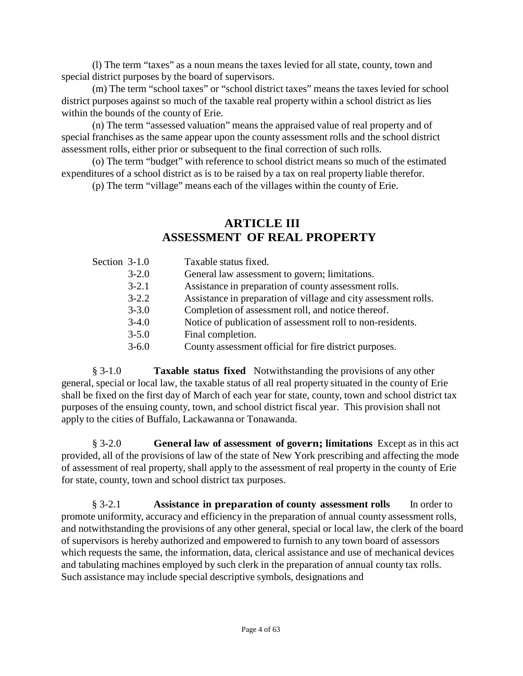(l) The term "taxes" as a noun means the taxes levied for all state, county, town and special district purposes by the board of supervisors.

(m) The term "school taxes" or "school district taxes" means the taxes levied for school district purposes against so much of the taxable real property within a school district as lies within the bounds of the county of Erie.

(n) The term "assessed valuation" means the appraised value of real property and of special franchises as the same appear upon the county assessment rolls and the school district assessment rolls, either prior or subsequent to the final correction of such rolls.

(o) The term "budget" with reference to school district means so much of the estimated expenditures of a school district as is to be raised by a tax on real property liable therefor.

(p) The term "village" means each of the villages within the county of Erie.

## **ARTICLE III ASSESSMENT OF REAL PROPERTY**

| Section 3-1.0 | Taxable status fixed.                                           |
|---------------|-----------------------------------------------------------------|
| $3 - 2.0$     | General law assessment to govern; limitations.                  |
| $3 - 2.1$     | Assistance in preparation of county assessment rolls.           |
| $3 - 2.2$     | Assistance in preparation of village and city assessment rolls. |
| $3 - 3.0$     | Completion of assessment roll, and notice thereof.              |
| $3-4.0$       | Notice of publication of assessment roll to non-residents.      |
| $3 - 5.0$     | Final completion.                                               |
| $3 - 6.0$     | County assessment official for fire district purposes.          |
|               |                                                                 |

§ 3-1.0 **Taxable status fixed** Notwithstanding the provisions of any other general, special or local law, the taxable status of all real property situated in the county of Erie shall be fixed on the first day of March of each year for state, county, town and school district tax purposes of the ensuing county, town, and school district fiscal year. This provision shall not apply to the cities of Buffalo, Lackawanna or Tonawanda.

§ 3-2.0 **General law of assessment of govern; limitations** Except as in this act provided, all of the provisions of law of the state of New York prescribing and affecting the mode of assessment of real property, shall apply to the assessment of real property in the county of Erie for state, county, town and school district tax purposes.

§ 3-2.1 **Assistance in preparation of county assessment rolls** In order to promote uniformity, accuracy and efficiency in the preparation of annual county assessment rolls, and notwithstanding the provisions of any other general, special or local law, the clerk of the board of supervisors is hereby authorized and empowered to furnish to any town board of assessors which requests the same, the information, data, clerical assistance and use of mechanical devices and tabulating machines employed by such clerk in the preparation of annual county tax rolls. Such assistance may include special descriptive symbols, designations and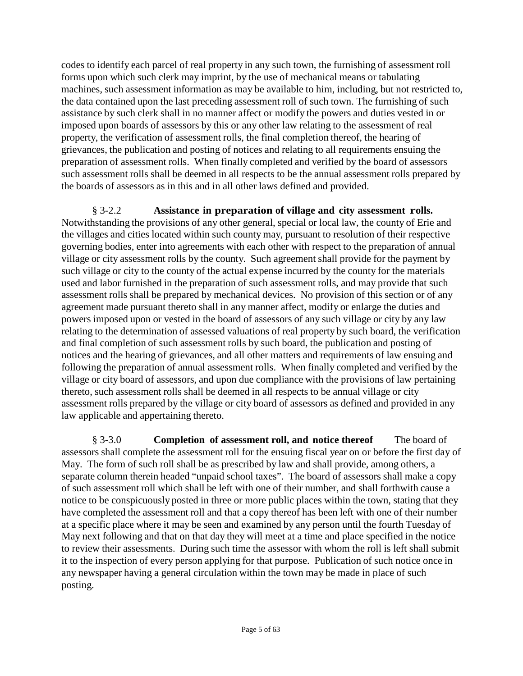codes to identify each parcel of real property in any such town, the furnishing of assessment roll forms upon which such clerk may imprint, by the use of mechanical means or tabulating machines, such assessment information as may be available to him, including, but not restricted to, the data contained upon the last preceding assessment roll of such town. The furnishing of such assistance by such clerk shall in no manner affect or modify the powers and duties vested in or imposed upon boards of assessors by this or any other law relating to the assessment of real property, the verification of assessment rolls, the final completion thereof, the hearing of grievances, the publication and posting of notices and relating to all requirements ensuing the preparation of assessment rolls. When finally completed and verified by the board of assessors such assessment rolls shall be deemed in all respects to be the annual assessment rolls prepared by the boards of assessors as in this and in all other laws defined and provided.

§ 3-2.2 **Assistance in preparation of village and city assessment rolls.** Notwithstanding the provisions of any other general, special or local law, the county of Erie and the villages and cities located within such county may, pursuant to resolution of their respective governing bodies, enter into agreements with each other with respect to the preparation of annual village or city assessment rolls by the county. Such agreement shall provide for the payment by such village or city to the county of the actual expense incurred by the county for the materials used and labor furnished in the preparation of such assessment rolls, and may provide that such assessment rolls shall be prepared by mechanical devices. No provision of this section or of any agreement made pursuant thereto shall in any manner affect, modify or enlarge the duties and powers imposed upon or vested in the board of assessors of any such village or city by any law relating to the determination of assessed valuations of real property by such board, the verification and final completion of such assessment rolls by such board, the publication and posting of notices and the hearing of grievances, and all other matters and requirements of law ensuing and following the preparation of annual assessment rolls. When finally completed and verified by the village or city board of assessors, and upon due compliance with the provisions of law pertaining thereto, such assessment rolls shall be deemed in all respects to be annual village or city assessment rolls prepared by the village or city board of assessors as defined and provided in any law applicable and appertaining thereto.

§ 3-3.0 **Completion of assessment roll, and notice thereof** The board of assessors shall complete the assessment roll for the ensuing fiscal year on or before the first day of May. The form of such roll shall be as prescribed by law and shall provide, among others, a separate column therein headed "unpaid school taxes". The board of assessors shall make a copy of such assessment roll which shall be left with one of their number, and shall forthwith cause a notice to be conspicuously posted in three or more public places within the town, stating that they have completed the assessment roll and that a copy thereof has been left with one of their number at a specific place where it may be seen and examined by any person until the fourth Tuesday of May next following and that on that day they will meet at a time and place specified in the notice to review their assessments. During such time the assessor with whom the roll is left shall submit it to the inspection of every person applying for that purpose. Publication of such notice once in any newspaper having a general circulation within the town may be made in place of such posting.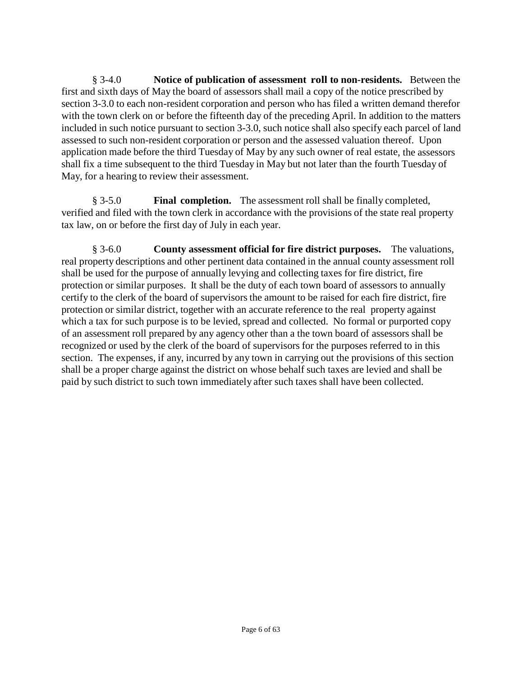§ 3-4.0 **Notice of publication of assessment roll to non-residents.** Between the first and sixth days of May the board of assessors shall mail a copy of the notice prescribed by section 3-3.0 to each non-resident corporation and person who has filed a written demand therefor with the town clerk on or before the fifteenth day of the preceding April. In addition to the matters included in such notice pursuant to section 3-3.0, such notice shall also specify each parcel of land assessed to such non-resident corporation or person and the assessed valuation thereof. Upon application made before the third Tuesday of May by any such owner of real estate, the assessors shall fix a time subsequent to the third Tuesday in May but not later than the fourth Tuesday of May, for a hearing to review their assessment.

§ 3-5.0 **Final completion.** The assessment roll shall be finally completed, verified and filed with the town clerk in accordance with the provisions of the state real property tax law, on or before the first day of July in each year.

§ 3-6.0 **County assessment official for fire district purposes.** The valuations, real property descriptions and other pertinent data contained in the annual county assessment roll shall be used for the purpose of annually levying and collecting taxes for fire district, fire protection or similar purposes. It shall be the duty of each town board of assessors to annually certify to the clerk of the board of supervisors the amount to be raised for each fire district, fire protection or similar district, together with an accurate reference to the real property against which a tax for such purpose is to be levied, spread and collected. No formal or purported copy of an assessment roll prepared by any agency other than a the town board of assessors shall be recognized or used by the clerk of the board of supervisors for the purposes referred to in this section. The expenses, if any, incurred by any town in carrying out the provisions of this section shall be a proper charge against the district on whose behalf such taxes are levied and shall be paid by such district to such town immediately after such taxes shall have been collected.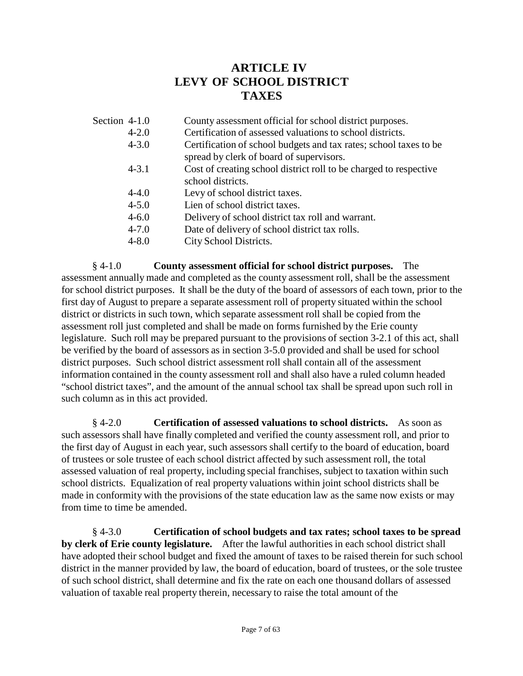# **ARTICLE IV LEVY OF SCHOOL DISTRICT TAXES**

| Section 4-1.0 | County assessment official for school district purposes.                                                      |
|---------------|---------------------------------------------------------------------------------------------------------------|
| $4 - 2.0$     | Certification of assessed valuations to school districts.                                                     |
| $4 - 3.0$     | Certification of school budgets and tax rates; school taxes to be<br>spread by clerk of board of supervisors. |
| $4 - 3.1$     | Cost of creating school district roll to be charged to respective<br>school districts.                        |
| $4 - 4.0$     | Levy of school district taxes.                                                                                |
| $4 - 5.0$     | Lien of school district taxes.                                                                                |
| $4 - 6.0$     | Delivery of school district tax roll and warrant.                                                             |
| $4 - 7.0$     | Date of delivery of school district tax rolls.                                                                |
| $4 - 8.0$     | City School Districts.                                                                                        |

§ 4-1.0 **County assessment official for school district purposes.** The assessment annually made and completed as the county assessment roll, shall be the assessment for school district purposes. It shall be the duty of the board of assessors of each town, prior to the first day of August to prepare a separate assessment roll of property situated within the school district or districts in such town, which separate assessment roll shall be copied from the assessment roll just completed and shall be made on forms furnished by the Erie county legislature. Such roll may be prepared pursuant to the provisions of section 3-2.1 of this act, shall be verified by the board of assessors as in section 3-5.0 provided and shall be used for school district purposes. Such school district assessment roll shall contain all of the assessment information contained in the county assessment roll and shall also have a ruled column headed "school district taxes", and the amount of the annual school tax shall be spread upon such roll in such column as in this act provided.

§ 4-2.0 **Certification of assessed valuations to school districts.** As soon as such assessors shall have finally completed and verified the county assessment roll, and prior to the first day of August in each year, such assessors shall certify to the board of education, board of trustees or sole trustee of each school district affected by such assessment roll, the total assessed valuation of real property, including special franchises, subject to taxation within such school districts. Equalization of real property valuations within joint school districts shall be made in conformity with the provisions of the state education law as the same now exists or may from time to time be amended.

§ 4-3.0 **Certification of school budgets and tax rates; school taxes to be spread by clerk of Erie county legislature.** After the lawful authorities in each school district shall have adopted their school budget and fixed the amount of taxes to be raised therein for such school district in the manner provided by law, the board of education, board of trustees, or the sole trustee of such school district, shall determine and fix the rate on each one thousand dollars of assessed valuation of taxable real property therein, necessary to raise the total amount of the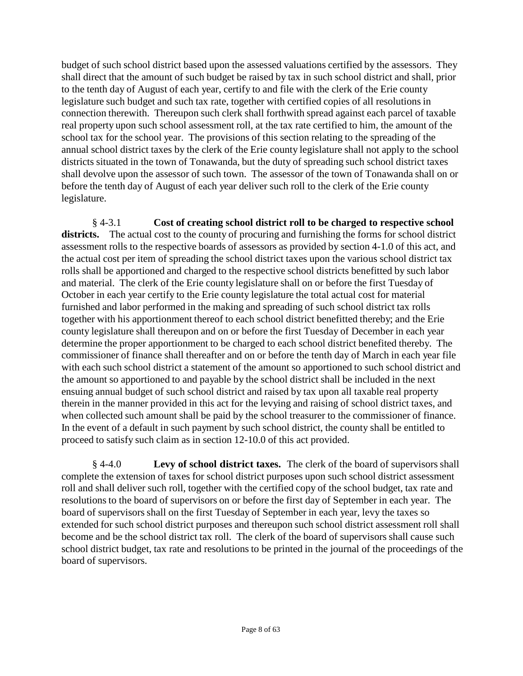budget of such school district based upon the assessed valuations certified by the assessors. They shall direct that the amount of such budget be raised by tax in such school district and shall, prior to the tenth day of August of each year, certify to and file with the clerk of the Erie county legislature such budget and such tax rate, together with certified copies of all resolutions in connection therewith. Thereupon such clerk shall forthwith spread against each parcel of taxable real property upon such school assessment roll, at the tax rate certified to him, the amount of the school tax for the school year. The provisions of this section relating to the spreading of the annual school district taxes by the clerk of the Erie county legislature shall not apply to the school districts situated in the town of Tonawanda, but the duty of spreading such school district taxes shall devolve upon the assessor of such town. The assessor of the town of Tonawanda shall on or before the tenth day of August of each year deliver such roll to the clerk of the Erie county legislature.

§ 4-3.1 **Cost of creating school district roll to be charged to respective school**  districts. The actual cost to the county of procuring and furnishing the forms for school district assessment rolls to the respective boards of assessors as provided by section 4-1.0 of this act, and the actual cost per item of spreading the school district taxes upon the various school district tax rolls shall be apportioned and charged to the respective school districts benefitted by such labor and material. The clerk of the Erie county legislature shall on or before the first Tuesday of October in each year certify to the Erie county legislature the total actual cost for material furnished and labor performed in the making and spreading of such school district tax rolls together with his apportionment thereof to each school district benefitted thereby; and the Erie county legislature shall thereupon and on or before the first Tuesday of December in each year determine the proper apportionment to be charged to each school district benefited thereby. The commissioner of finance shall thereafter and on or before the tenth day of March in each year file with each such school district a statement of the amount so apportioned to such school district and the amount so apportioned to and payable by the school district shall be included in the next ensuing annual budget of such school district and raised by tax upon all taxable real property therein in the manner provided in this act for the levying and raising of school district taxes, and when collected such amount shall be paid by the school treasurer to the commissioner of finance. In the event of a default in such payment by such school district, the county shall be entitled to proceed to satisfy such claim as in section 12-10.0 of this act provided.

§ 4-4.0 **Levy of school district taxes.** The clerk of the board of supervisors shall complete the extension of taxes for school district purposes upon such school district assessment roll and shall deliver such roll, together with the certified copy of the school budget, tax rate and resolutions to the board of supervisors on or before the first day of September in each year. The board of supervisors shall on the first Tuesday of September in each year, levy the taxes so extended for such school district purposes and thereupon such school district assessment roll shall become and be the school district tax roll. The clerk of the board of supervisors shall cause such school district budget, tax rate and resolutions to be printed in the journal of the proceedings of the board of supervisors.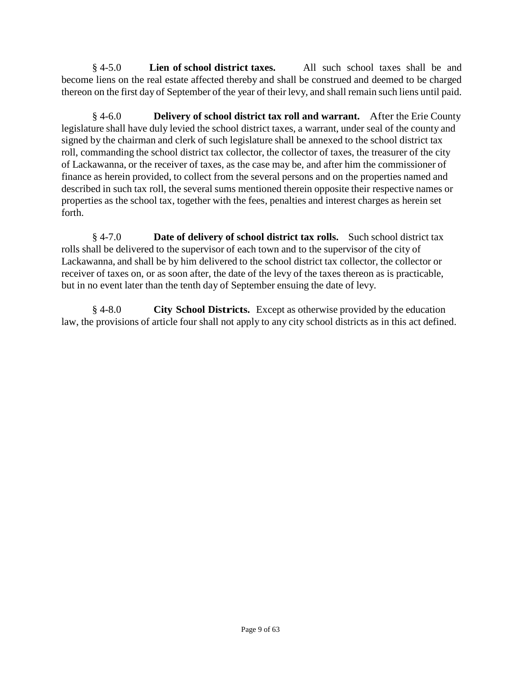§ 4-5.0 **Lien of school district taxes.** All such school taxes shall be and become liens on the real estate affected thereby and shall be construed and deemed to be charged thereon on the first day of September of the year of their levy, and shall remain such liens until paid.

§ 4-6.0 **Delivery of school district tax roll and warrant.** After the Erie County legislature shall have duly levied the school district taxes, a warrant, under seal of the county and signed by the chairman and clerk of such legislature shall be annexed to the school district tax roll, commanding the school district tax collector, the collector of taxes, the treasurer of the city of Lackawanna, or the receiver of taxes, as the case may be, and after him the commissioner of finance as herein provided, to collect from the several persons and on the properties named and described in such tax roll, the several sums mentioned therein opposite their respective names or properties as the school tax, together with the fees, penalties and interest charges as herein set forth.

§ 4-7.0 **Date of delivery of school district tax rolls.** Such school district tax rolls shall be delivered to the supervisor of each town and to the supervisor of the city of Lackawanna, and shall be by him delivered to the school district tax collector, the collector or receiver of taxes on, or as soon after, the date of the levy of the taxes thereon as is practicable, but in no event later than the tenth day of September ensuing the date of levy.

§ 4-8.0 **City School Districts.** Except as otherwise provided by the education law, the provisions of article four shall not apply to any city school districts as in this act defined.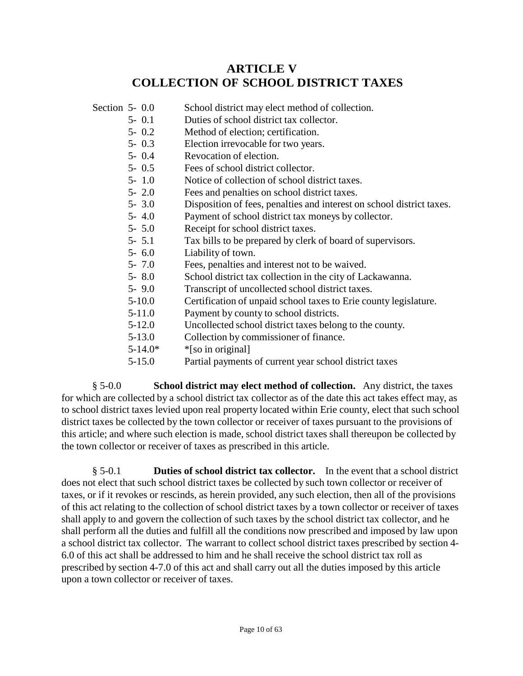# **ARTICLE V COLLECTION OF SCHOOL DISTRICT TAXES**

- Section 5- 0.0 School district may elect method of collection.
	- 5- 0.1 Duties of school district tax collector.
	- 5- 0.2 Method of election; certification.
	- 5- 0.3 Election irrevocable for two years.
	- 5- 0.4 Revocation of election.
	- 5- 0.5 Fees of school district collector.
	- 5- 1.0 Notice of collection of school district taxes.
	- 5- 2.0 Fees and penalties on school district taxes.
	- 5- 3.0 Disposition of fees, penalties and interest on school district taxes.
	- 5- 4.0 Payment of school district tax moneys by collector.
	- 5- 5.0 Receipt for school district taxes.
	- 5- 5.1 Tax bills to be prepared by clerk of board of supervisors.
	- 5- 6.0 Liability of town.
	- 5- 7.0 Fees, penalties and interest not to be waived.
	- 5- 8.0 School district tax collection in the city of Lackawanna.
	- 5- 9.0 Transcript of uncollected school district taxes.<br>5-10.0 Certification of unpaid school taxes to Frie count
	- 5-10.0 Certification of unpaid school taxes to Erie county legislature.
	- 5-11.0 Payment by county to school districts.
	- 5-12.0 Uncollected school district taxes belong to the county.
	- 5-13.0 Collection by commissioner of finance.
	- $5-14.0^*$  \*[so in original]
	- 5-15.0 Partial payments of current year school district taxes

§ 5-0.0 **School district may elect method of collection.** Any district, the taxes for which are collected by a school district tax collector as of the date this act takes effect may, as to school district taxes levied upon real property located within Erie county, elect that such school district taxes be collected by the town collector or receiver of taxes pursuant to the provisions of this article; and where such election is made, school district taxes shall thereupon be collected by the town collector or receiver of taxes as prescribed in this article.

§ 5-0.1 **Duties of school district tax collector.** In the event that a school district does not elect that such school district taxes be collected by such town collector or receiver of taxes, or if it revokes or rescinds, as herein provided, any such election, then all of the provisions of this act relating to the collection of school district taxes by a town collector or receiver of taxes shall apply to and govern the collection of such taxes by the school district tax collector, and he shall perform all the duties and fulfill all the conditions now prescribed and imposed by law upon a school district tax collector. The warrant to collect school district taxes prescribed by section 4- 6.0 of this act shall be addressed to him and he shall receive the school district tax roll as prescribed by section 4-7.0 of this act and shall carry out all the duties imposed by this article upon a town collector or receiver of taxes.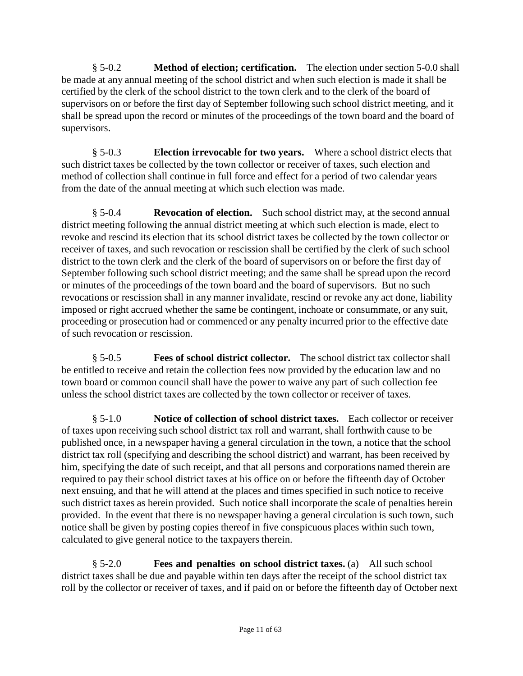§ 5-0.2 **Method of election; certification.** The election under section 5-0.0 shall be made at any annual meeting of the school district and when such election is made it shall be certified by the clerk of the school district to the town clerk and to the clerk of the board of supervisors on or before the first day of September following such school district meeting, and it shall be spread upon the record or minutes of the proceedings of the town board and the board of supervisors.

§ 5-0.3 **Election irrevocable for two years.** Where a school district elects that such district taxes be collected by the town collector or receiver of taxes, such election and method of collection shall continue in full force and effect for a period of two calendar years from the date of the annual meeting at which such election was made.

§ 5-0.4 **Revocation of election.** Such school district may, at the second annual district meeting following the annual district meeting at which such election is made, elect to revoke and rescind its election that its school district taxes be collected by the town collector or receiver of taxes, and such revocation or rescission shall be certified by the clerk of such school district to the town clerk and the clerk of the board of supervisors on or before the first day of September following such school district meeting; and the same shall be spread upon the record or minutes of the proceedings of the town board and the board of supervisors. But no such revocations or rescission shall in any manner invalidate, rescind or revoke any act done, liability imposed or right accrued whether the same be contingent, inchoate or consummate, or any suit, proceeding or prosecution had or commenced or any penalty incurred prior to the effective date of such revocation or rescission.

§ 5-0.5 **Fees of school district collector.** The school district tax collector shall be entitled to receive and retain the collection fees now provided by the education law and no town board or common council shall have the power to waive any part of such collection fee unless the school district taxes are collected by the town collector or receiver of taxes.

§ 5-1.0 **Notice of collection of school district taxes.** Each collector or receiver of taxes upon receiving such school district tax roll and warrant, shall forthwith cause to be published once, in a newspaper having a general circulation in the town, a notice that the school district tax roll (specifying and describing the school district) and warrant, has been received by him, specifying the date of such receipt, and that all persons and corporations named therein are required to pay their school district taxes at his office on or before the fifteenth day of October next ensuing, and that he will attend at the places and times specified in such notice to receive such district taxes as herein provided. Such notice shall incorporate the scale of penalties herein provided. In the event that there is no newspaper having a general circulation is such town, such notice shall be given by posting copies thereof in five conspicuous places within such town, calculated to give general notice to the taxpayers therein.

§ 5-2.0 **Fees and penalties on school district taxes.** (a) All such school district taxes shall be due and payable within ten days after the receipt of the school district tax roll by the collector or receiver of taxes, and if paid on or before the fifteenth day of October next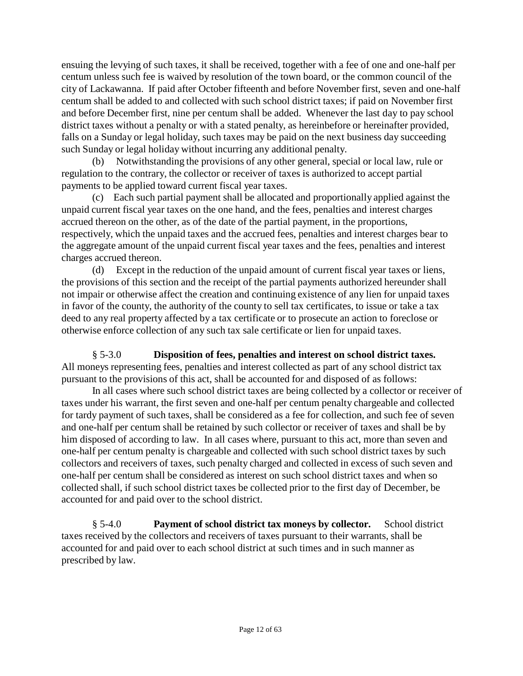ensuing the levying of such taxes, it shall be received, together with a fee of one and one-half per centum unless such fee is waived by resolution of the town board, or the common council of the city of Lackawanna. If paid after October fifteenth and before November first, seven and one-half centum shall be added to and collected with such school district taxes; if paid on November first and before December first, nine per centum shall be added. Whenever the last day to pay school district taxes without a penalty or with a stated penalty, as hereinbefore or hereinafter provided, falls on a Sunday or legal holiday, such taxes may be paid on the next business day succeeding such Sunday or legal holiday without incurring any additional penalty.

(b) Notwithstanding the provisions of any other general, special or local law, rule or regulation to the contrary, the collector or receiver of taxes is authorized to accept partial payments to be applied toward current fiscal year taxes.

(c) Each such partial payment shall be allocated and proportionally applied against the unpaid current fiscal year taxes on the one hand, and the fees, penalties and interest charges accrued thereon on the other, as of the date of the partial payment, in the proportions, respectively, which the unpaid taxes and the accrued fees, penalties and interest charges bear to the aggregate amount of the unpaid current fiscal year taxes and the fees, penalties and interest charges accrued thereon.

(d) Except in the reduction of the unpaid amount of current fiscal year taxes or liens, the provisions of this section and the receipt of the partial payments authorized hereunder shall not impair or otherwise affect the creation and continuing existence of any lien for unpaid taxes in favor of the county, the authority of the county to sell tax certificates, to issue or take a tax deed to any real property affected by a tax certificate or to prosecute an action to foreclose or otherwise enforce collection of any such tax sale certificate or lien for unpaid taxes.

§ 5-3.0 **Disposition of fees, penalties and interest on school district taxes.**  All moneys representing fees, penalties and interest collected as part of any school district tax pursuant to the provisions of this act, shall be accounted for and disposed of as follows:

In all cases where such school district taxes are being collected by a collector or receiver of taxes under his warrant, the first seven and one-half per centum penalty chargeable and collected for tardy payment of such taxes, shall be considered as a fee for collection, and such fee of seven and one-half per centum shall be retained by such collector or receiver of taxes and shall be by him disposed of according to law. In all cases where, pursuant to this act, more than seven and one-half per centum penalty is chargeable and collected with such school district taxes by such collectors and receivers of taxes, such penalty charged and collected in excess of such seven and one-half per centum shall be considered as interest on such school district taxes and when so collected shall, if such school district taxes be collected prior to the first day of December, be accounted for and paid over to the school district.

§ 5-4.0 **Payment of school district tax moneys by collector.** School district taxes received by the collectors and receivers of taxes pursuant to their warrants, shall be accounted for and paid over to each school district at such times and in such manner as prescribed by law.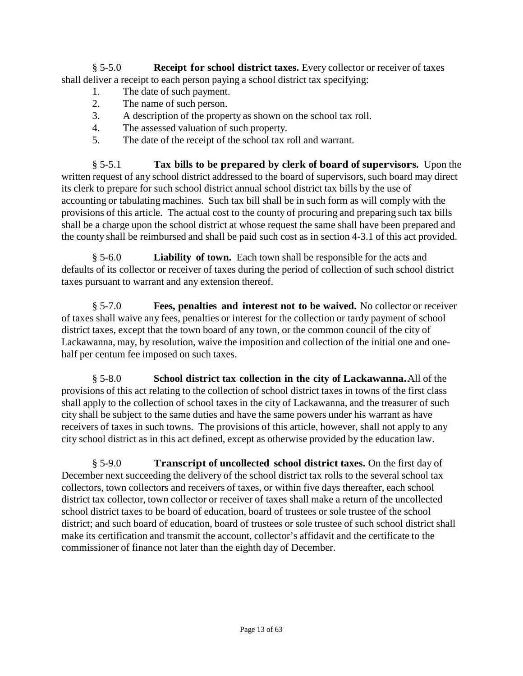§ 5-5.0 **Receipt for school district taxes.** Every collector or receiver of taxes shall deliver a receipt to each person paying a school district tax specifying:

- 1. The date of such payment.
- 2. The name of such person.
- 3. A description of the property as shown on the school tax roll.
- 4. The assessed valuation of such property.
- 5. The date of the receipt of the school tax roll and warrant.

§ 5-5.1 **Tax bills to be prepared by clerk of board of supervisors.** Upon the written request of any school district addressed to the board of supervisors, such board may direct its clerk to prepare for such school district annual school district tax bills by the use of accounting or tabulating machines. Such tax bill shall be in such form as will comply with the provisions of this article. The actual cost to the county of procuring and preparing such tax bills shall be a charge upon the school district at whose request the same shall have been prepared and the county shall be reimbursed and shall be paid such cost as in section 4-3.1 of this act provided.

§ 5-6.0 **Liability of town.** Each town shall be responsible for the acts and defaults of its collector or receiver of taxes during the period of collection of such school district taxes pursuant to warrant and any extension thereof.

§ 5-7.0 **Fees, penalties and interest not to be waived.** No collector or receiver of taxes shall waive any fees, penalties or interest for the collection or tardy payment of school district taxes, except that the town board of any town, or the common council of the city of Lackawanna, may, by resolution, waive the imposition and collection of the initial one and onehalf per centum fee imposed on such taxes.

§ 5-8.0 **School district tax collection in the city of Lackawanna.** All of the provisions of this act relating to the collection of school district taxes in towns of the first class shall apply to the collection of school taxes in the city of Lackawanna, and the treasurer of such city shall be subject to the same duties and have the same powers under his warrant as have receivers of taxes in such towns. The provisions of this article, however, shall not apply to any city school district as in this act defined, except as otherwise provided by the education law.

§ 5-9.0 **Transcript of uncollected school district taxes.** On the first day of December next succeeding the delivery of the school district tax rolls to the several school tax collectors, town collectors and receivers of taxes, or within five days thereafter, each school district tax collector, town collector or receiver of taxes shall make a return of the uncollected school district taxes to be board of education, board of trustees or sole trustee of the school district; and such board of education, board of trustees or sole trustee of such school district shall make its certification and transmit the account, collector's affidavit and the certificate to the commissioner of finance not later than the eighth day of December.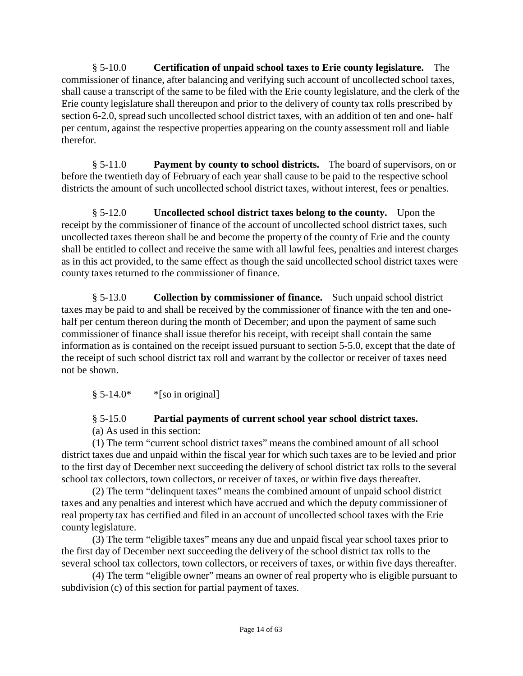§ 5-10.0 **Certification of unpaid school taxes to Erie county legislature.** The commissioner of finance, after balancing and verifying such account of uncollected school taxes, shall cause a transcript of the same to be filed with the Erie county legislature, and the clerk of the Erie county legislature shall thereupon and prior to the delivery of county tax rolls prescribed by section 6-2.0, spread such uncollected school district taxes, with an addition of ten and one- half per centum, against the respective properties appearing on the county assessment roll and liable therefor.

§ 5-11.0 **Payment by county to school districts.** The board of supervisors, on or before the twentieth day of February of each year shall cause to be paid to the respective school districts the amount of such uncollected school district taxes, without interest, fees or penalties.

§ 5-12.0 **Uncollected school district taxes belong to the county.** Upon the receipt by the commissioner of finance of the account of uncollected school district taxes, such uncollected taxes thereon shall be and become the property of the county of Erie and the county shall be entitled to collect and receive the same with all lawful fees, penalties and interest charges as in this act provided, to the same effect as though the said uncollected school district taxes were county taxes returned to the commissioner of finance.

§ 5-13.0 **Collection by commissioner of finance.** Such unpaid school district taxes may be paid to and shall be received by the commissioner of finance with the ten and onehalf per centum thereon during the month of December; and upon the payment of same such commissioner of finance shall issue therefor his receipt, with receipt shall contain the same information as is contained on the receipt issued pursuant to section 5-5.0, except that the date of the receipt of such school district tax roll and warrant by the collector or receiver of taxes need not be shown.

 $§ 5-14.0*$  \*[so in original]

## § 5-15.0 **Partial payments of current school year school district taxes.**

(a) As used in this section:

(1) The term "current school district taxes" means the combined amount of all school district taxes due and unpaid within the fiscal year for which such taxes are to be levied and prior to the first day of December next succeeding the delivery of school district tax rolls to the several school tax collectors, town collectors, or receiver of taxes, or within five days thereafter.

(2) The term "delinquent taxes" means the combined amount of unpaid school district taxes and any penalties and interest which have accrued and which the deputy commissioner of real property tax has certified and filed in an account of uncollected school taxes with the Erie county legislature.

(3) The term "eligible taxes" means any due and unpaid fiscal year school taxes prior to the first day of December next succeeding the delivery of the school district tax rolls to the several school tax collectors, town collectors, or receivers of taxes, or within five days thereafter.

(4) The term "eligible owner" means an owner of real property who is eligible pursuant to subdivision (c) of this section for partial payment of taxes.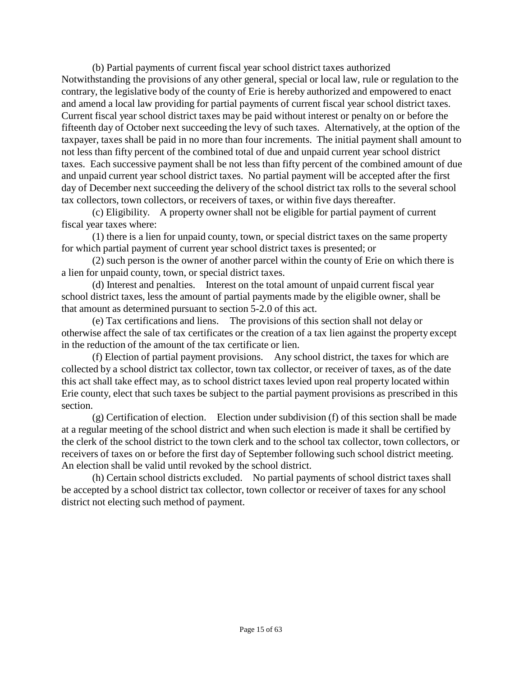(b) Partial payments of current fiscal year school district taxes authorized Notwithstanding the provisions of any other general, special or local law, rule or regulation to the contrary, the legislative body of the county of Erie is hereby authorized and empowered to enact and amend a local law providing for partial payments of current fiscal year school district taxes. Current fiscal year school district taxes may be paid without interest or penalty on or before the fifteenth day of October next succeeding the levy of such taxes. Alternatively, at the option of the taxpayer, taxes shall be paid in no more than four increments. The initial payment shall amount to not less than fifty percent of the combined total of due and unpaid current year school district taxes. Each successive payment shall be not less than fifty percent of the combined amount of due and unpaid current year school district taxes. No partial payment will be accepted after the first day of December next succeeding the delivery of the school district tax rolls to the several school tax collectors, town collectors, or receivers of taxes, or within five days thereafter.

(c) Eligibility. A property owner shall not be eligible for partial payment of current fiscal year taxes where:

(1) there is a lien for unpaid county, town, or special district taxes on the same property for which partial payment of current year school district taxes is presented; or

(2) such person is the owner of another parcel within the county of Erie on which there is a lien for unpaid county, town, or special district taxes.

(d) Interest and penalties. Interest on the total amount of unpaid current fiscal year school district taxes, less the amount of partial payments made by the eligible owner, shall be that amount as determined pursuant to section 5-2.0 of this act.

(e) Tax certifications and liens. The provisions of this section shall not delay or otherwise affect the sale of tax certificates or the creation of a tax lien against the property except in the reduction of the amount of the tax certificate or lien.

(f) Election of partial payment provisions. Any school district, the taxes for which are collected by a school district tax collector, town tax collector, or receiver of taxes, as of the date this act shall take effect may, as to school district taxes levied upon real property located within Erie county, elect that such taxes be subject to the partial payment provisions as prescribed in this section.

(g) Certification of election. Election under subdivision (f) of this section shall be made at a regular meeting of the school district and when such election is made it shall be certified by the clerk of the school district to the town clerk and to the school tax collector, town collectors, or receivers of taxes on or before the first day of September following such school district meeting. An election shall be valid until revoked by the school district.

(h) Certain school districts excluded. No partial payments of school district taxes shall be accepted by a school district tax collector, town collector or receiver of taxes for any school district not electing such method of payment.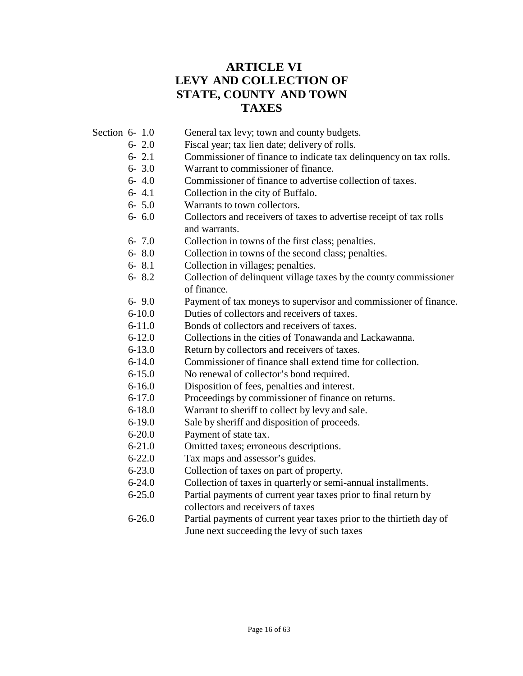## **ARTICLE VI LEVY AND COLLECTION OF STATE, COUNTY AND TOWN TAXES**

- Section 6- 1.0 General tax levy; town and county budgets.
	- 6- 2.0 Fiscal year; tax lien date; delivery of rolls.
	- 6- 2.1 Commissioner of finance to indicate tax delinquency on tax rolls.
	- 6- 3.0 Warrant to commissioner of finance.
	- 6- 4.0 Commissioner of finance to advertise collection of taxes.
	- 6- 4.1 Collection in the city of Buffalo.
	- 6- 5.0 Warrants to town collectors.
	- 6- 6.0 Collectors and receivers of taxes to advertise receipt of tax rolls and warrants.
	- 6- 7.0 Collection in towns of the first class; penalties.
	- 6- 8.0 Collection in towns of the second class; penalties.
	- 6- 8.1 Collection in villages; penalties.
	- 6- 8.2 Collection of delinquent village taxes by the county commissioner of finance.
	- 6- 9.0 Payment of tax moneys to supervisor and commissioner of finance.
	- 6-10.0 Duties of collectors and receivers of taxes.
	- 6-11.0 Bonds of collectors and receivers of taxes.
	- 6-12.0 Collections in the cities of Tonawanda and Lackawanna.
	- 6-13.0 Return by collectors and receivers of taxes.
	- 6-14.0 Commissioner of finance shall extend time for collection.
	- 6-15.0 No renewal of collector's bond required.
	- 6-16.0 Disposition of fees, penalties and interest.
	- 6-17.0 Proceedings by commissioner of finance on returns.
	- 6-18.0 Warrant to sheriff to collect by levy and sale.
	- 6-19.0 Sale by sheriff and disposition of proceeds.
	- 6-20.0 Payment of state tax.
	- 6-21.0 Omitted taxes; erroneous descriptions.
	- 6-22.0 Tax maps and assessor's guides.
	- 6-23.0 Collection of taxes on part of property.
	- 6-24.0 Collection of taxes in quarterly or semi-annual installments.
	- 6-25.0 Partial payments of current year taxes prior to final return by
	- collectors and receivers of taxes
	- 6-26.0 Partial payments of current year taxes prior to the thirtieth day of June next succeeding the levy of such taxes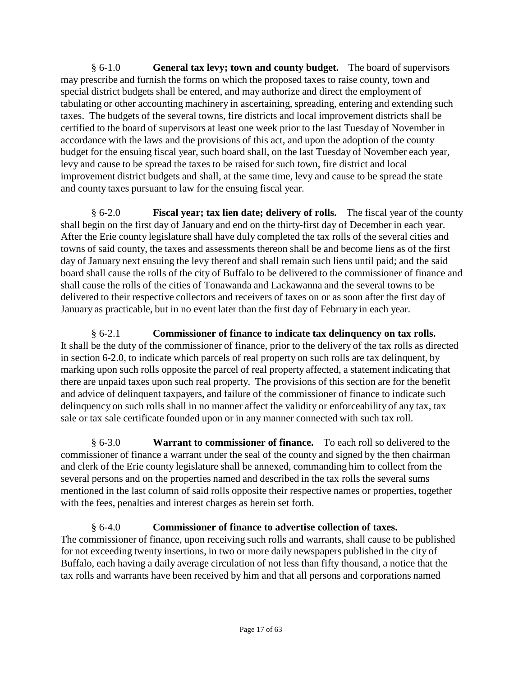§ 6-1.0 **General tax levy; town and county budget.** The board of supervisors may prescribe and furnish the forms on which the proposed taxes to raise county, town and special district budgets shall be entered, and may authorize and direct the employment of tabulating or other accounting machinery in ascertaining, spreading, entering and extending such taxes. The budgets of the several towns, fire districts and local improvement districts shall be certified to the board of supervisors at least one week prior to the last Tuesday of November in accordance with the laws and the provisions of this act, and upon the adoption of the county budget for the ensuing fiscal year, such board shall, on the last Tuesday of November each year, levy and cause to be spread the taxes to be raised for such town, fire district and local improvement district budgets and shall, at the same time, levy and cause to be spread the state and county taxes pursuant to law for the ensuing fiscal year.

§ 6-2.0 **Fiscal year; tax lien date; delivery of rolls.** The fiscal year of the county shall begin on the first day of January and end on the thirty-first day of December in each year. After the Erie county legislature shall have duly completed the tax rolls of the several cities and towns of said county, the taxes and assessments thereon shall be and become liens as of the first day of January next ensuing the levy thereof and shall remain such liens until paid; and the said board shall cause the rolls of the city of Buffalo to be delivered to the commissioner of finance and shall cause the rolls of the cities of Tonawanda and Lackawanna and the several towns to be delivered to their respective collectors and receivers of taxes on or as soon after the first day of January as practicable, but in no event later than the first day of February in each year.

§ 6-2.1 **Commissioner of finance to indicate tax delinquency on tax rolls.** It shall be the duty of the commissioner of finance, prior to the delivery of the tax rolls as directed in section 6-2.0, to indicate which parcels of real property on such rolls are tax delinquent, by marking upon such rolls opposite the parcel of real property affected, a statement indicating that there are unpaid taxes upon such real property. The provisions of this section are for the benefit and advice of delinquent taxpayers, and failure of the commissioner of finance to indicate such delinquency on such rolls shall in no manner affect the validity or enforceability of any tax, tax sale or tax sale certificate founded upon or in any manner connected with such tax roll.

§ 6-3.0 **Warrant to commissioner of finance.** To each roll so delivered to the commissioner of finance a warrant under the seal of the county and signed by the then chairman and clerk of the Erie county legislature shall be annexed, commanding him to collect from the several persons and on the properties named and described in the tax rolls the several sums mentioned in the last column of said rolls opposite their respective names or properties, together with the fees, penalties and interest charges as herein set forth.

§ 6-4.0 **Commissioner of finance to advertise collection of taxes.** The commissioner of finance, upon receiving such rolls and warrants, shall cause to be published for not exceeding twenty insertions, in two or more daily newspapers published in the city of Buffalo, each having a daily average circulation of not less than fifty thousand, a notice that the tax rolls and warrants have been received by him and that all persons and corporations named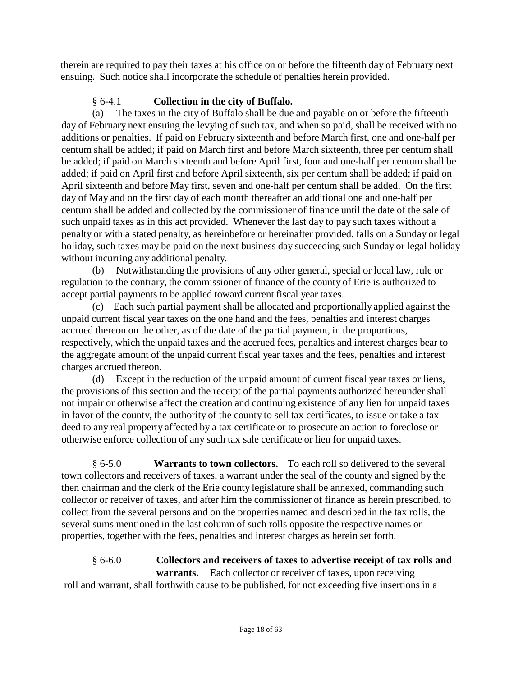therein are required to pay their taxes at his office on or before the fifteenth day of February next ensuing. Such notice shall incorporate the schedule of penalties herein provided.

## § 6-4.1 **Collection in the city of Buffalo.**

(a) The taxes in the city of Buffalo shall be due and payable on or before the fifteenth day of February next ensuing the levying of such tax, and when so paid, shall be received with no additions or penalties. If paid on February sixteenth and before March first, one and one-half per centum shall be added; if paid on March first and before March sixteenth, three per centum shall be added; if paid on March sixteenth and before April first, four and one-half per centum shall be added; if paid on April first and before April sixteenth, six per centum shall be added; if paid on April sixteenth and before May first, seven and one-half per centum shall be added. On the first day of May and on the first day of each month thereafter an additional one and one-half per centum shall be added and collected by the commissioner of finance until the date of the sale of such unpaid taxes as in this act provided. Whenever the last day to pay such taxes without a penalty or with a stated penalty, as hereinbefore or hereinafter provided, falls on a Sunday or legal holiday, such taxes may be paid on the next business day succeeding such Sunday or legal holiday without incurring any additional penalty.

(b) Notwithstanding the provisions of any other general, special or local law, rule or regulation to the contrary, the commissioner of finance of the county of Erie is authorized to accept partial payments to be applied toward current fiscal year taxes.

(c) Each such partial payment shall be allocated and proportionally applied against the unpaid current fiscal year taxes on the one hand and the fees, penalties and interest charges accrued thereon on the other, as of the date of the partial payment, in the proportions, respectively, which the unpaid taxes and the accrued fees, penalties and interest charges bear to the aggregate amount of the unpaid current fiscal year taxes and the fees, penalties and interest charges accrued thereon.

(d) Except in the reduction of the unpaid amount of current fiscal year taxes or liens, the provisions of this section and the receipt of the partial payments authorized hereunder shall not impair or otherwise affect the creation and continuing existence of any lien for unpaid taxes in favor of the county, the authority of the county to sell tax certificates, to issue or take a tax deed to any real property affected by a tax certificate or to prosecute an action to foreclose or otherwise enforce collection of any such tax sale certificate or lien for unpaid taxes.

§ 6-5.0 **Warrants to town collectors.** To each roll so delivered to the several town collectors and receivers of taxes, a warrant under the seal of the county and signed by the then chairman and the clerk of the Erie county legislature shall be annexed, commanding such collector or receiver of taxes, and after him the commissioner of finance as herein prescribed, to collect from the several persons and on the properties named and described in the tax rolls, the several sums mentioned in the last column of such rolls opposite the respective names or properties, together with the fees, penalties and interest charges as herein set forth.

### § 6-6.0 **Collectors and receivers of taxes to advertise receipt of tax rolls and warrants.** Each collector or receiver of taxes, upon receiving

roll and warrant, shall forthwith cause to be published, for not exceeding five insertions in a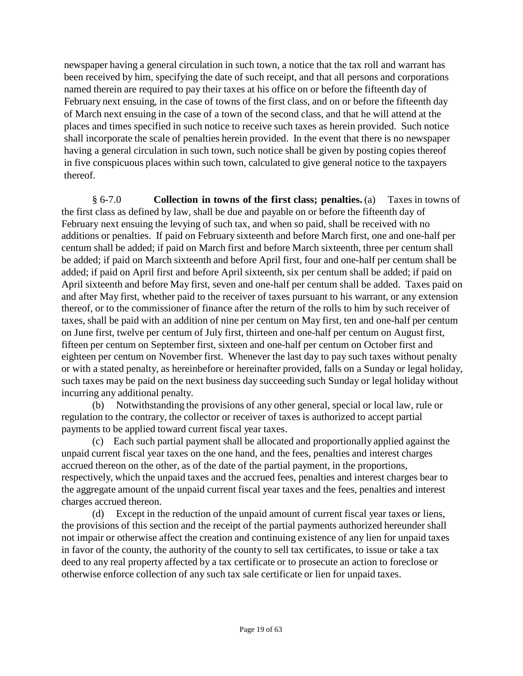newspaper having a general circulation in such town, a notice that the tax roll and warrant has been received by him, specifying the date of such receipt, and that all persons and corporations named therein are required to pay their taxes at his office on or before the fifteenth day of February next ensuing, in the case of towns of the first class, and on or before the fifteenth day of March next ensuing in the case of a town of the second class, and that he will attend at the places and times specified in such notice to receive such taxes as herein provided. Such notice shall incorporate the scale of penalties herein provided. In the event that there is no newspaper having a general circulation in such town, such notice shall be given by posting copies thereof in five conspicuous places within such town, calculated to give general notice to the taxpayers thereof.

§ 6-7.0 **Collection in towns of the first class; penalties.** (a) Taxes in towns of the first class as defined by law, shall be due and payable on or before the fifteenth day of February next ensuing the levying of such tax, and when so paid, shall be received with no additions or penalties. If paid on February sixteenth and before March first, one and one-half per centum shall be added; if paid on March first and before March sixteenth, three per centum shall be added; if paid on March sixteenth and before April first, four and one-half per centum shall be added; if paid on April first and before April sixteenth, six per centum shall be added; if paid on April sixteenth and before May first, seven and one-half per centum shall be added. Taxes paid on and after May first, whether paid to the receiver of taxes pursuant to his warrant, or any extension thereof, or to the commissioner of finance after the return of the rolls to him by such receiver of taxes, shall be paid with an addition of nine per centum on May first, ten and one-half per centum on June first, twelve per centum of July first, thirteen and one-half per centum on August first, fifteen per centum on September first, sixteen and one-half per centum on October first and eighteen per centum on November first. Whenever the last day to pay such taxes without penalty or with a stated penalty, as hereinbefore or hereinafter provided, falls on a Sunday or legal holiday, such taxes may be paid on the next business day succeeding such Sunday or legal holiday without incurring any additional penalty.

(b) Notwithstanding the provisions of any other general, special or local law, rule or regulation to the contrary, the collector or receiver of taxes is authorized to accept partial payments to be applied toward current fiscal year taxes.

(c) Each such partial payment shall be allocated and proportionally applied against the unpaid current fiscal year taxes on the one hand, and the fees, penalties and interest charges accrued thereon on the other, as of the date of the partial payment, in the proportions, respectively, which the unpaid taxes and the accrued fees, penalties and interest charges bear to the aggregate amount of the unpaid current fiscal year taxes and the fees, penalties and interest charges accrued thereon.

(d) Except in the reduction of the unpaid amount of current fiscal year taxes or liens, the provisions of this section and the receipt of the partial payments authorized hereunder shall not impair or otherwise affect the creation and continuing existence of any lien for unpaid taxes in favor of the county, the authority of the county to sell tax certificates, to issue or take a tax deed to any real property affected by a tax certificate or to prosecute an action to foreclose or otherwise enforce collection of any such tax sale certificate or lien for unpaid taxes.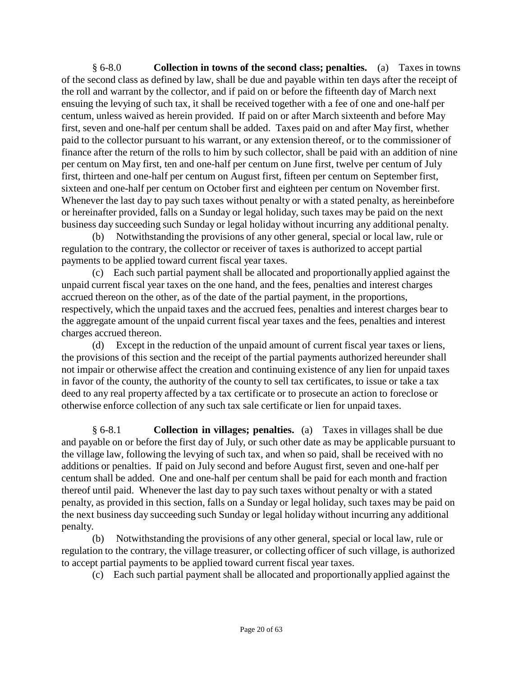§ 6-8.0 **Collection in towns of the second class; penalties.** (a) Taxes in towns of the second class as defined by law, shall be due and payable within ten days after the receipt of the roll and warrant by the collector, and if paid on or before the fifteenth day of March next ensuing the levying of such tax, it shall be received together with a fee of one and one-half per centum, unless waived as herein provided. If paid on or after March sixteenth and before May first, seven and one-half per centum shall be added. Taxes paid on and after May first, whether paid to the collector pursuant to his warrant, or any extension thereof, or to the commissioner of finance after the return of the rolls to him by such collector, shall be paid with an addition of nine per centum on May first, ten and one-half per centum on June first, twelve per centum of July first, thirteen and one-half per centum on August first, fifteen per centum on September first, sixteen and one-half per centum on October first and eighteen per centum on November first. Whenever the last day to pay such taxes without penalty or with a stated penalty, as hereinbefore or hereinafter provided, falls on a Sunday or legal holiday, such taxes may be paid on the next business day succeeding such Sunday or legal holiday without incurring any additional penalty.

(b) Notwithstanding the provisions of any other general, special or local law, rule or regulation to the contrary, the collector or receiver of taxes is authorized to accept partial payments to be applied toward current fiscal year taxes.

(c) Each such partial payment shall be allocated and proportionally applied against the unpaid current fiscal year taxes on the one hand, and the fees, penalties and interest charges accrued thereon on the other, as of the date of the partial payment, in the proportions, respectively, which the unpaid taxes and the accrued fees, penalties and interest charges bear to the aggregate amount of the unpaid current fiscal year taxes and the fees, penalties and interest charges accrued thereon.

(d) Except in the reduction of the unpaid amount of current fiscal year taxes or liens, the provisions of this section and the receipt of the partial payments authorized hereunder shall not impair or otherwise affect the creation and continuing existence of any lien for unpaid taxes in favor of the county, the authority of the county to sell tax certificates, to issue or take a tax deed to any real property affected by a tax certificate or to prosecute an action to foreclose or otherwise enforce collection of any such tax sale certificate or lien for unpaid taxes.

§ 6-8.1 **Collection in villages; penalties.** (a) Taxes in villages shall be due and payable on or before the first day of July, or such other date as may be applicable pursuant to the village law, following the levying of such tax, and when so paid, shall be received with no additions or penalties. If paid on July second and before August first, seven and one-half per centum shall be added. One and one-half per centum shall be paid for each month and fraction thereof until paid. Whenever the last day to pay such taxes without penalty or with a stated penalty, as provided in this section, falls on a Sunday or legal holiday, such taxes may be paid on the next business day succeeding such Sunday or legal holiday without incurring any additional penalty.

(b) Notwithstanding the provisions of any other general, special or local law, rule or regulation to the contrary, the village treasurer, or collecting officer of such village, is authorized to accept partial payments to be applied toward current fiscal year taxes.

(c) Each such partial payment shall be allocated and proportionally applied against the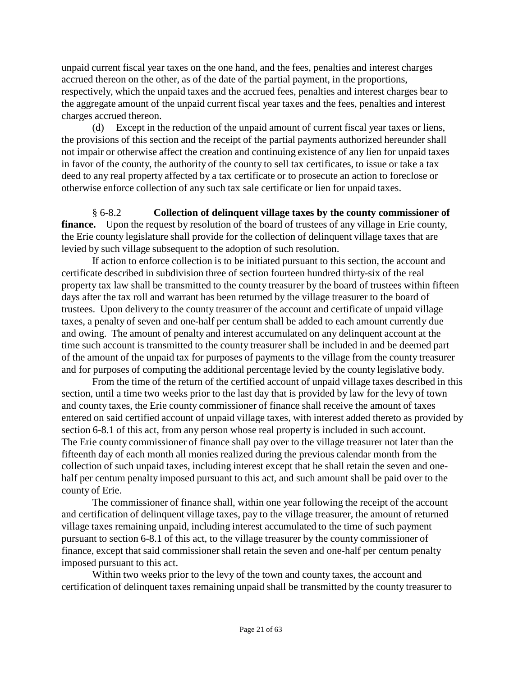unpaid current fiscal year taxes on the one hand, and the fees, penalties and interest charges accrued thereon on the other, as of the date of the partial payment, in the proportions, respectively, which the unpaid taxes and the accrued fees, penalties and interest charges bear to the aggregate amount of the unpaid current fiscal year taxes and the fees, penalties and interest charges accrued thereon.

(d) Except in the reduction of the unpaid amount of current fiscal year taxes or liens, the provisions of this section and the receipt of the partial payments authorized hereunder shall not impair or otherwise affect the creation and continuing existence of any lien for unpaid taxes in favor of the county, the authority of the county to sell tax certificates, to issue or take a tax deed to any real property affected by a tax certificate or to prosecute an action to foreclose or otherwise enforce collection of any such tax sale certificate or lien for unpaid taxes.

§ 6-8.2 **Collection of delinquent village taxes by the county commissioner of finance.** Upon the request by resolution of the board of trustees of any village in Erie county, the Erie county legislature shall provide for the collection of delinquent village taxes that are levied by such village subsequent to the adoption of such resolution.

If action to enforce collection is to be initiated pursuant to this section, the account and certificate described in subdivision three of section fourteen hundred thirty-six of the real property tax law shall be transmitted to the county treasurer by the board of trustees within fifteen days after the tax roll and warrant has been returned by the village treasurer to the board of trustees. Upon delivery to the county treasurer of the account and certificate of unpaid village taxes, a penalty of seven and one-half per centum shall be added to each amount currently due and owing. The amount of penalty and interest accumulated on any delinquent account at the time such account is transmitted to the county treasurer shall be included in and be deemed part of the amount of the unpaid tax for purposes of payments to the village from the county treasurer and for purposes of computing the additional percentage levied by the county legislative body.

From the time of the return of the certified account of unpaid village taxes described in this section, until a time two weeks prior to the last day that is provided by law for the levy of town and county taxes, the Erie county commissioner of finance shall receive the amount of taxes entered on said certified account of unpaid village taxes, with interest added thereto as provided by section 6-8.1 of this act, from any person whose real property is included in such account. The Erie county commissioner of finance shall pay over to the village treasurer not later than the fifteenth day of each month all monies realized during the previous calendar month from the collection of such unpaid taxes, including interest except that he shall retain the seven and onehalf per centum penalty imposed pursuant to this act, and such amount shall be paid over to the county of Erie.

The commissioner of finance shall, within one year following the receipt of the account and certification of delinquent village taxes, pay to the village treasurer, the amount of returned village taxes remaining unpaid, including interest accumulated to the time of such payment pursuant to section 6-8.1 of this act, to the village treasurer by the county commissioner of finance, except that said commissioner shall retain the seven and one-half per centum penalty imposed pursuant to this act.

Within two weeks prior to the levy of the town and county taxes, the account and certification of delinquent taxes remaining unpaid shall be transmitted by the county treasurer to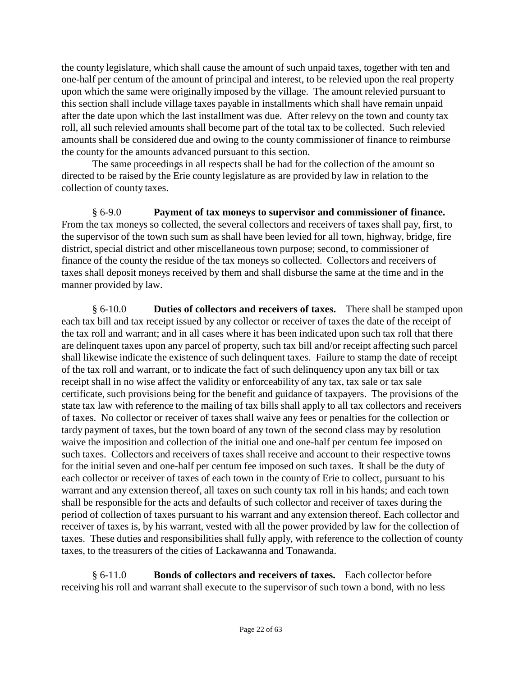the county legislature, which shall cause the amount of such unpaid taxes, together with ten and one-half per centum of the amount of principal and interest, to be relevied upon the real property upon which the same were originally imposed by the village. The amount relevied pursuant to this section shall include village taxes payable in installments which shall have remain unpaid after the date upon which the last installment was due. After relevy on the town and county tax roll, all such relevied amounts shall become part of the total tax to be collected. Such relevied amounts shall be considered due and owing to the county commissioner of finance to reimburse the county for the amounts advanced pursuant to this section.

The same proceedings in all respects shall be had for the collection of the amount so directed to be raised by the Erie county legislature as are provided by law in relation to the collection of county taxes.

§ 6-9.0 **Payment of tax moneys to supervisor and commissioner of finance.** From the tax moneys so collected, the several collectors and receivers of taxes shall pay, first, to the supervisor of the town such sum as shall have been levied for all town, highway, bridge, fire district, special district and other miscellaneoustown purpose; second, to commissioner of finance of the county the residue of the tax moneys so collected. Collectors and receivers of taxes shall deposit moneys received by them and shall disburse the same at the time and in the manner provided by law.

§ 6-10.0 **Duties of collectors and receivers of taxes.** There shall be stamped upon each tax bill and tax receipt issued by any collector or receiver of taxes the date of the receipt of the tax roll and warrant; and in all cases where it has been indicated upon such tax roll that there are delinquent taxes upon any parcel of property, such tax bill and/or receipt affecting such parcel shall likewise indicate the existence of such delinquent taxes. Failure to stamp the date of receipt of the tax roll and warrant, or to indicate the fact of such delinquency upon any tax bill or tax receipt shall in no wise affect the validity or enforceability of any tax, tax sale or tax sale certificate, such provisions being for the benefit and guidance of taxpayers. The provisions of the state tax law with reference to the mailing of tax bills shall apply to all tax collectors and receivers of taxes. No collector or receiver of taxes shall waive any fees or penalties for the collection or tardy payment of taxes, but the town board of any town of the second class may by resolution waive the imposition and collection of the initial one and one-half per centum fee imposed on such taxes. Collectors and receivers of taxes shall receive and account to their respective towns for the initial seven and one-half per centum fee imposed on such taxes. It shall be the duty of each collector or receiver of taxes of each town in the county of Erie to collect, pursuant to his warrant and any extension thereof, all taxes on such county tax roll in his hands; and each town shall be responsible for the acts and defaults of such collector and receiver of taxes during the period of collection of taxes pursuant to his warrant and any extension thereof. Each collector and receiver of taxes is, by his warrant, vested with all the power provided by law for the collection of taxes. These duties and responsibilities shall fully apply, with reference to the collection of county taxes, to the treasurers of the cities of Lackawanna and Tonawanda.

§ 6-11.0 **Bonds of collectors and receivers of taxes.** Each collector before receiving his roll and warrant shall execute to the supervisor of such town a bond, with no less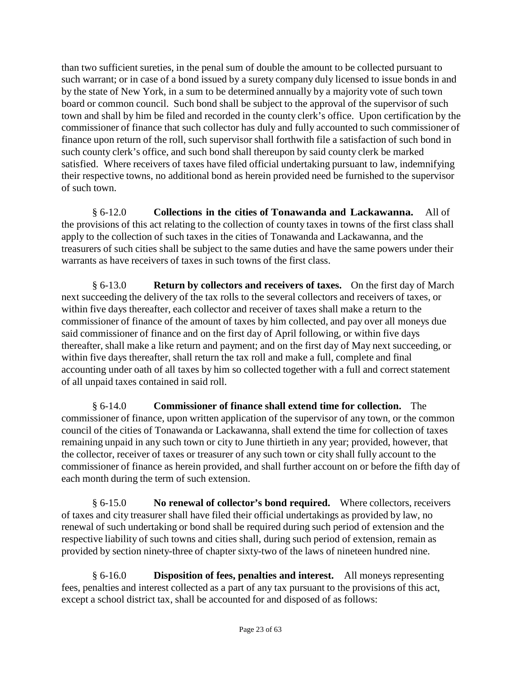than two sufficient sureties, in the penal sum of double the amount to be collected pursuant to such warrant; or in case of a bond issued by a surety company duly licensed to issue bonds in and by the state of New York, in a sum to be determined annually by a majority vote of such town board or common council. Such bond shall be subject to the approval of the supervisor of such town and shall by him be filed and recorded in the county clerk's office. Upon certification by the commissioner of finance that such collector has duly and fully accounted to such commissioner of finance upon return of the roll, such supervisor shall forthwith file a satisfaction of such bond in such county clerk's office, and such bond shall thereupon by said county clerk be marked satisfied. Where receivers of taxes have filed official undertaking pursuant to law, indemnifying their respective towns, no additional bond as herein provided need be furnished to the supervisor of such town.

§ 6-12.0 **Collections in the cities of Tonawanda and Lackawanna.** All of the provisions of this act relating to the collection of county taxes in towns of the first class shall apply to the collection of such taxes in the cities of Tonawanda and Lackawanna, and the treasurers of such cities shall be subject to the same duties and have the same powers under their warrants as have receivers of taxes in such towns of the first class.

§ 6-13.0 **Return by collectors and receivers of taxes.** On the first day of March next succeeding the delivery of the tax rolls to the several collectors and receivers of taxes, or within five days thereafter, each collector and receiver of taxes shall make a return to the commissioner of finance of the amount of taxes by him collected, and pay over all moneys due said commissioner of finance and on the first day of April following, or within five days thereafter, shall make a like return and payment; and on the first day of May next succeeding, or within five days thereafter, shall return the tax roll and make a full, complete and final accounting under oath of all taxes by him so collected together with a full and correct statement of all unpaid taxes contained in said roll.

§ 6-14.0 **Commissioner of finance shall extend time for collection.** The commissioner of finance, upon written application of the supervisor of any town, or the common council of the cities of Tonawanda or Lackawanna, shall extend the time for collection of taxes remaining unpaid in any such town or city to June thirtieth in any year; provided, however, that the collector, receiver of taxes or treasurer of any such town or city shall fully account to the commissioner of finance as herein provided, and shall further account on or before the fifth day of each month during the term of such extension.

§ 6-15.0 **No renewal of collector's bond required.** Where collectors, receivers of taxes and city treasurer shall have filed their official undertakings as provided by law, no renewal of such undertaking or bond shall be required during such period of extension and the respective liability of such towns and cities shall, during such period of extension, remain as provided by section ninety-three of chapter sixty-two of the laws of nineteen hundred nine.

§ 6-16.0 **Disposition of fees, penalties and interest.** All moneys representing fees, penalties and interest collected as a part of any tax pursuant to the provisions of this act, except a school district tax, shall be accounted for and disposed of as follows: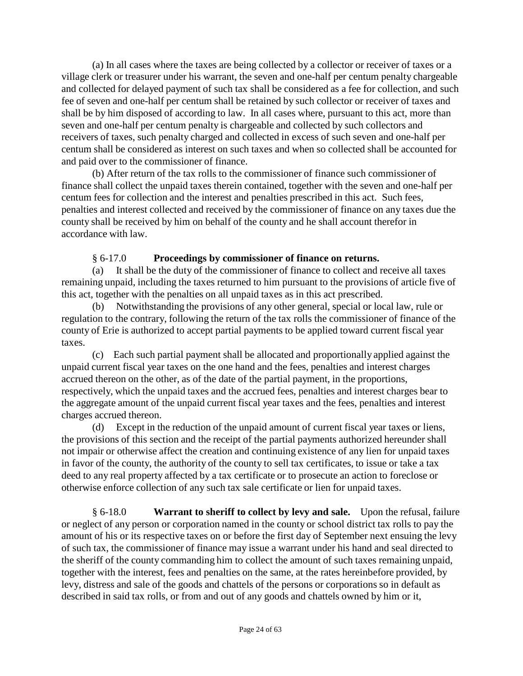(a) In all cases where the taxes are being collected by a collector or receiver of taxes or a village clerk or treasurer under his warrant, the seven and one-half per centum penalty chargeable and collected for delayed payment of such tax shall be considered as a fee for collection, and such fee of seven and one-half per centum shall be retained by such collector or receiver of taxes and shall be by him disposed of according to law. In all cases where, pursuant to this act, more than seven and one-half per centum penalty is chargeable and collected by such collectors and receivers of taxes, such penalty charged and collected in excess of such seven and one-half per centum shall be considered as interest on such taxes and when so collected shall be accounted for and paid over to the commissioner of finance.

(b) After return of the tax rolls to the commissioner of finance such commissioner of finance shall collect the unpaid taxes therein contained, together with the seven and one-half per centum fees for collection and the interest and penalties prescribed in this act. Such fees, penalties and interest collected and received by the commissioner of finance on any taxes due the county shall be received by him on behalf of the county and he shall account therefor in accordance with law.

#### § 6-17.0 **Proceedings by commissioner of finance on returns.**

(a) It shall be the duty of the commissioner of finance to collect and receive all taxes remaining unpaid, including the taxes returned to him pursuant to the provisions of article five of this act, together with the penalties on all unpaid taxes as in this act prescribed.

(b) Notwithstanding the provisions of any other general, special or local law, rule or regulation to the contrary, following the return of the tax rolls the commissioner of finance of the county of Erie is authorized to accept partial payments to be applied toward current fiscal year taxes.

(c) Each such partial payment shall be allocated and proportionally applied against the unpaid current fiscal year taxes on the one hand and the fees, penalties and interest charges accrued thereon on the other, as of the date of the partial payment, in the proportions, respectively, which the unpaid taxes and the accrued fees, penalties and interest charges bear to the aggregate amount of the unpaid current fiscal year taxes and the fees, penalties and interest charges accrued thereon.

(d) Except in the reduction of the unpaid amount of current fiscal year taxes or liens, the provisions of this section and the receipt of the partial payments authorized hereunder shall not impair or otherwise affect the creation and continuing existence of any lien for unpaid taxes in favor of the county, the authority of the county to sell tax certificates, to issue or take a tax deed to any real property affected by a tax certificate or to prosecute an action to foreclose or otherwise enforce collection of any such tax sale certificate or lien for unpaid taxes.

§ 6-18.0 **Warrant to sheriff to collect by levy and sale.** Upon the refusal, failure or neglect of any person or corporation named in the county or school district tax rolls to pay the amount of his or its respective taxes on or before the first day of September next ensuing the levy of such tax, the commissioner of finance may issue a warrant under his hand and seal directed to the sheriff of the county commanding him to collect the amount of such taxes remaining unpaid, together with the interest, fees and penalties on the same, at the rates hereinbefore provided, by levy, distress and sale of the goods and chattels of the persons or corporations so in default as described in said tax rolls, or from and out of any goods and chattels owned by him or it,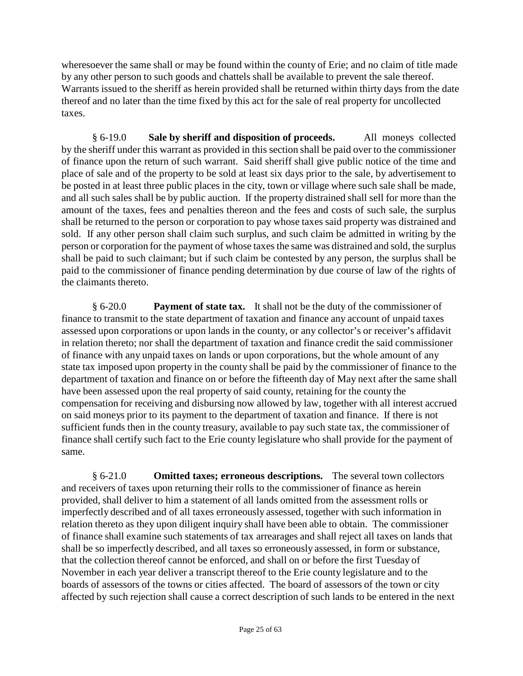wheresoever the same shall or may be found within the county of Erie; and no claim of title made by any other person to such goods and chattels shall be available to prevent the sale thereof. Warrants issued to the sheriff as herein provided shall be returned within thirty days from the date thereof and no later than the time fixed by this act for the sale of real property for uncollected taxes.

§ 6-19.0 **Sale by sheriff and disposition of proceeds.** All moneys collected by the sheriff under this warrant as provided in this section shall be paid over to the commissioner of finance upon the return of such warrant. Said sheriff shall give public notice of the time and place of sale and of the property to be sold at least six days prior to the sale, by advertisement to be posted in at least three public places in the city, town or village where such sale shall be made, and all such sales shall be by public auction. If the property distrained shall sell for more than the amount of the taxes, fees and penalties thereon and the fees and costs of such sale, the surplus shall be returned to the person or corporation to pay whose taxes said property was distrained and sold. If any other person shall claim such surplus, and such claim be admitted in writing by the person or corporation for the payment of whose taxes the same was distrained and sold, the surplus shall be paid to such claimant; but if such claim be contested by any person, the surplus shall be paid to the commissioner of finance pending determination by due course of law of the rights of the claimants thereto.

§ 6-20.0 **Payment of state tax.** It shall not be the duty of the commissioner of finance to transmit to the state department of taxation and finance any account of unpaid taxes assessed upon corporations or upon lands in the county, or any collector's or receiver's affidavit in relation thereto; nor shall the department of taxation and finance credit the said commissioner of finance with any unpaid taxes on lands or upon corporations, but the whole amount of any state tax imposed upon property in the county shall be paid by the commissioner of finance to the department of taxation and finance on or before the fifteenth day of May next after the same shall have been assessed upon the real property of said county, retaining for the county the compensation for receiving and disbursing now allowed by law, together with all interest accrued on said moneys prior to its payment to the department of taxation and finance. If there is not sufficient funds then in the county treasury, available to pay such state tax, the commissioner of finance shall certify such fact to the Erie county legislature who shall provide for the payment of same.

§ 6-21.0 **Omitted taxes; erroneous descriptions.** The several town collectors and receivers of taxes upon returning their rolls to the commissioner of finance as herein provided, shall deliver to him a statement of all lands omitted from the assessment rolls or imperfectly described and of all taxes erroneously assessed, together with such information in relation thereto as they upon diligent inquiry shall have been able to obtain. The commissioner of finance shall examine such statements of tax arrearages and shall reject all taxes on lands that shall be so imperfectly described, and all taxes so erroneously assessed, in form or substance, that the collection thereof cannot be enforced, and shall on or before the first Tuesday of November in each year deliver a transcript thereof to the Erie county legislature and to the boards of assessors of the towns or cities affected. The board of assessors of the town or city affected by such rejection shall cause a correct description of such lands to be entered in the next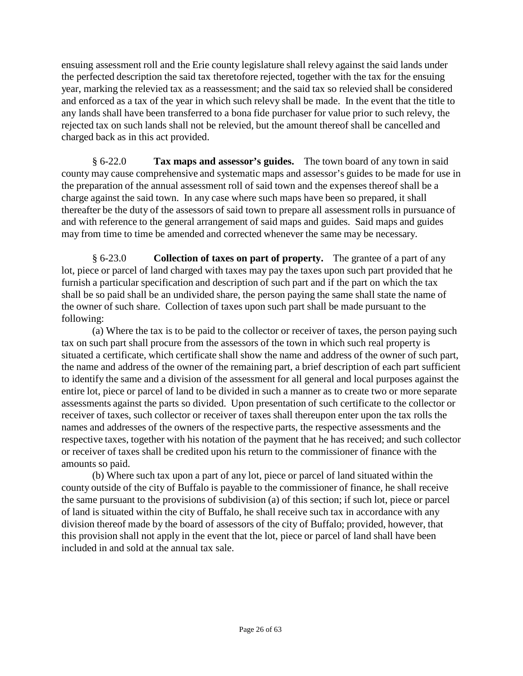ensuing assessment roll and the Erie county legislature shall relevy against the said lands under the perfected description the said tax theretofore rejected, together with the tax for the ensuing year, marking the relevied tax as a reassessment; and the said tax so relevied shall be considered and enforced as a tax of the year in which such relevy shall be made. In the event that the title to any lands shall have been transferred to a bona fide purchaser for value prior to such relevy, the rejected tax on such lands shall not be relevied, but the amount thereof shall be cancelled and charged back as in this act provided.

§ 6-22.0 **Tax maps and assessor's guides.** The town board of any town in said county may cause comprehensive and systematic maps and assessor's guides to be made for use in the preparation of the annual assessment roll of said town and the expenses thereof shall be a charge against the said town. In any case where such maps have been so prepared, it shall thereafter be the duty of the assessors of said town to prepare all assessment rolls in pursuance of and with reference to the general arrangement of said maps and guides. Said maps and guides may from time to time be amended and corrected whenever the same may be necessary.

§ 6-23.0 **Collection of taxes on part of property.** The grantee of a part of any lot, piece or parcel of land charged with taxes may pay the taxes upon such part provided that he furnish a particular specification and description of such part and if the part on which the tax shall be so paid shall be an undivided share, the person paying the same shall state the name of the owner of such share. Collection of taxes upon such part shall be made pursuant to the following:

(a) Where the tax is to be paid to the collector or receiver of taxes, the person paying such tax on such part shall procure from the assessors of the town in which such real property is situated a certificate, which certificate shall show the name and address of the owner of such part, the name and address of the owner of the remaining part, a brief description of each part sufficient to identify the same and a division of the assessment for all general and local purposes against the entire lot, piece or parcel of land to be divided in such a manner as to create two or more separate assessments against the parts so divided. Upon presentation of such certificate to the collector or receiver of taxes, such collector or receiver of taxes shall thereupon enter upon the tax rolls the names and addresses of the owners of the respective parts, the respective assessments and the respective taxes, together with his notation of the payment that he has received; and such collector or receiver of taxes shall be credited upon his return to the commissioner of finance with the amounts so paid.

(b) Where such tax upon a part of any lot, piece or parcel of land situated within the county outside of the city of Buffalo is payable to the commissioner of finance, he shall receive the same pursuant to the provisions of subdivision (a) of this section; if such lot, piece or parcel of land is situated within the city of Buffalo, he shall receive such tax in accordance with any division thereof made by the board of assessors of the city of Buffalo; provided, however, that this provision shall not apply in the event that the lot, piece or parcel of land shall have been included in and sold at the annual tax sale.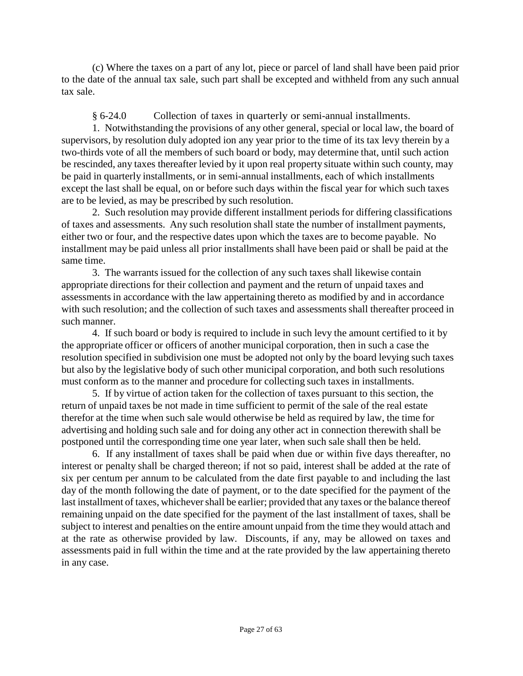(c) Where the taxes on a part of any lot, piece or parcel of land shall have been paid prior to the date of the annual tax sale, such part shall be excepted and withheld from any such annual tax sale.

§ 6-24.0 Collection of taxes in quarterly or semi-annual installments.

1. Notwithstanding the provisions of any other general, special or local law, the board of supervisors, by resolution duly adopted ion any year prior to the time of its tax levy therein by a two-thirds vote of all the members of such board or body, may determine that, until such action be rescinded, any taxes thereafter levied by it upon real property situate within such county, may be paid in quarterly installments, or in semi-annual installments, each of which installments except the last shall be equal, on or before such days within the fiscal year for which such taxes are to be levied, as may be prescribed by such resolution.

2. Such resolution may provide different installment periods for differing classifications of taxes and assessments. Any such resolution shall state the number of installment payments, either two or four, and the respective dates upon which the taxes are to become payable. No installment may be paid unless all prior installments shall have been paid or shall be paid at the same time.

3. The warrants issued for the collection of any such taxes shall likewise contain appropriate directions for their collection and payment and the return of unpaid taxes and assessments in accordance with the law appertaining thereto as modified by and in accordance with such resolution; and the collection of such taxes and assessments shall thereafter proceed in such manner.

4. If such board or body is required to include in such levy the amount certified to it by the appropriate officer or officers of another municipal corporation, then in such a case the resolution specified in subdivision one must be adopted not only by the board levying such taxes but also by the legislative body of such other municipal corporation, and both such resolutions must conform as to the manner and procedure for collecting such taxes in installments.

5. If by virtue of action taken for the collection of taxes pursuant to this section, the return of unpaid taxes be not made in time sufficient to permit of the sale of the real estate therefor at the time when such sale would otherwise be held as required by law, the time for advertising and holding such sale and for doing any other act in connection therewith shall be postponed until the corresponding time one year later, when such sale shall then be held.

6. If any installment of taxes shall be paid when due or within five days thereafter, no interest or penalty shall be charged thereon; if not so paid, interest shall be added at the rate of six per centum per annum to be calculated from the date first payable to and including the last day of the month following the date of payment, or to the date specified for the payment of the last installment of taxes, whichevershall be earlier; provided that any taxes or the balance thereof remaining unpaid on the date specified for the payment of the last installment of taxes, shall be subject to interest and penalties on the entire amount unpaid from the time they would attach and at the rate as otherwise provided by law. Discounts, if any, may be allowed on taxes and assessments paid in full within the time and at the rate provided by the law appertaining thereto in any case.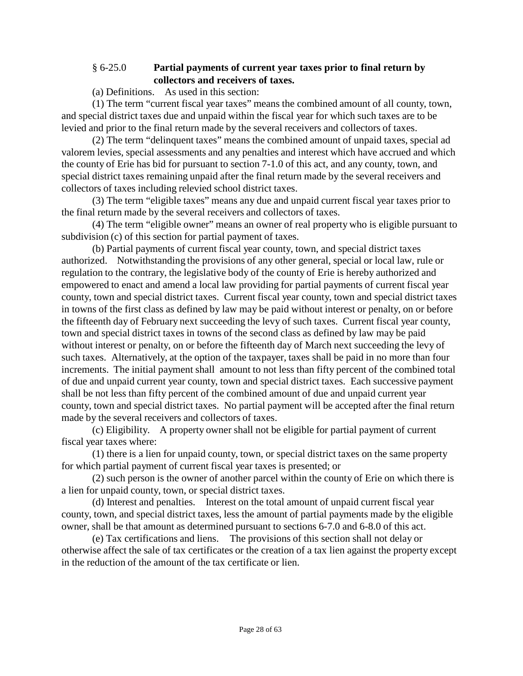#### § 6-25.0 **Partial payments of current year taxes prior to final return by collectors and receivers of taxes.**

(a) Definitions. As used in this section:

(1) The term "current fiscal year taxes" means the combined amount of all county, town, and special district taxes due and unpaid within the fiscal year for which such taxes are to be levied and prior to the final return made by the several receivers and collectors of taxes.

(2) The term "delinquent taxes" means the combined amount of unpaid taxes, special ad valorem levies, special assessments and any penalties and interest which have accrued and which the county of Erie has bid for pursuant to section 7-1.0 of this act, and any county, town, and special district taxes remaining unpaid after the final return made by the several receivers and collectors of taxes including relevied school district taxes.

(3) The term "eligible taxes" means any due and unpaid current fiscal year taxes prior to the final return made by the several receivers and collectors of taxes.

(4) The term "eligible owner" means an owner of real property who is eligible pursuant to subdivision (c) of this section for partial payment of taxes.

(b) Partial payments of current fiscal year county, town, and special district taxes authorized. Notwithstanding the provisions of any other general, special or local law, rule or regulation to the contrary, the legislative body of the county of Erie is hereby authorized and empowered to enact and amend a local law providing for partial payments of current fiscal year county, town and special district taxes. Current fiscal year county, town and special district taxes in towns of the first class as defined by law may be paid without interest or penalty, on or before the fifteenth day of February next succeeding the levy of such taxes. Current fiscal year county, town and special district taxes in towns of the second class as defined by law may be paid without interest or penalty, on or before the fifteenth day of March next succeeding the levy of such taxes. Alternatively, at the option of the taxpayer, taxes shall be paid in no more than four increments. The initial payment shall amount to not less than fifty percent of the combined total of due and unpaid current year county, town and special district taxes. Each successive payment shall be not less than fifty percent of the combined amount of due and unpaid current year county, town and special district taxes. No partial payment will be accepted after the final return made by the several receivers and collectors of taxes.

(c) Eligibility. A property owner shall not be eligible for partial payment of current fiscal year taxes where:

(1) there is a lien for unpaid county, town, or special district taxes on the same property for which partial payment of current fiscal year taxes is presented; or

(2) such person is the owner of another parcel within the county of Erie on which there is a lien for unpaid county, town, or special district taxes.

(d) Interest and penalties. Interest on the total amount of unpaid current fiscal year county, town, and special district taxes, less the amount of partial payments made by the eligible owner, shall be that amount as determined pursuant to sections 6-7.0 and 6-8.0 of this act.

(e) Tax certifications and liens. The provisions of this section shall not delay or otherwise affect the sale of tax certificates or the creation of a tax lien against the property except in the reduction of the amount of the tax certificate or lien.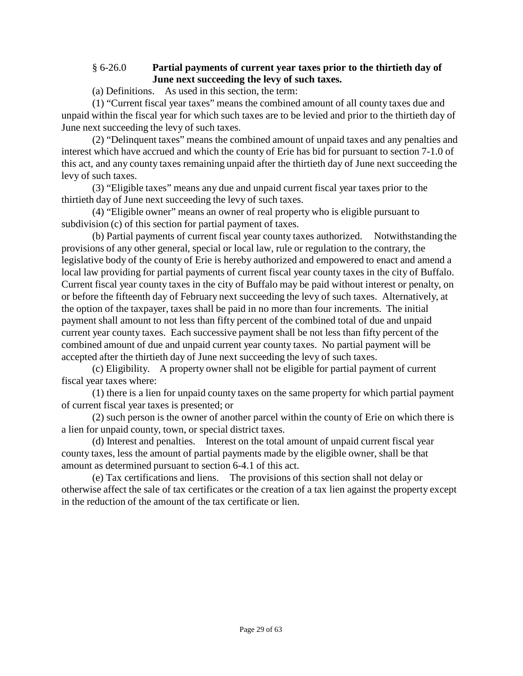#### § 6-26.0 **Partial payments of current year taxes prior to the thirtieth day of June next succeeding the levy of such taxes.**

(a) Definitions. As used in this section, the term:

(1) "Current fiscal year taxes" means the combined amount of all county taxes due and unpaid within the fiscal year for which such taxes are to be levied and prior to the thirtieth day of June next succeeding the levy of such taxes.

(2) "Delinquent taxes" means the combined amount of unpaid taxes and any penalties and interest which have accrued and which the county of Erie has bid for pursuant to section 7-1.0 of this act, and any county taxes remaining unpaid after the thirtieth day of June next succeeding the levy of such taxes.

(3) "Eligible taxes" means any due and unpaid current fiscal year taxes prior to the thirtieth day of June next succeeding the levy of such taxes.

(4) "Eligible owner" means an owner of real property who is eligible pursuant to subdivision (c) of this section for partial payment of taxes.

(b) Partial payments of current fiscal year county taxes authorized. Notwithstanding the provisions of any other general, special or local law, rule or regulation to the contrary, the legislative body of the county of Erie is hereby authorized and empowered to enact and amend a local law providing for partial payments of current fiscal year county taxes in the city of Buffalo. Current fiscal year county taxes in the city of Buffalo may be paid without interest or penalty, on or before the fifteenth day of February next succeeding the levy of such taxes. Alternatively, at the option of the taxpayer, taxes shall be paid in no more than four increments. The initial payment shall amount to not less than fifty percent of the combined total of due and unpaid current year county taxes. Each successive payment shall be not less than fifty percent of the combined amount of due and unpaid current year county taxes. No partial payment will be accepted after the thirtieth day of June next succeeding the levy of such taxes.

(c) Eligibility. A property owner shall not be eligible for partial payment of current fiscal year taxes where:

(1) there is a lien for unpaid county taxes on the same property for which partial payment of current fiscal year taxes is presented; or

(2) such person is the owner of another parcel within the county of Erie on which there is a lien for unpaid county, town, or special district taxes.

(d) Interest and penalties. Interest on the total amount of unpaid current fiscal year county taxes, less the amount of partial payments made by the eligible owner, shall be that amount as determined pursuant to section 6-4.1 of this act.

(e) Tax certifications and liens. The provisions of this section shall not delay or otherwise affect the sale of tax certificates or the creation of a tax lien against the property except in the reduction of the amount of the tax certificate or lien.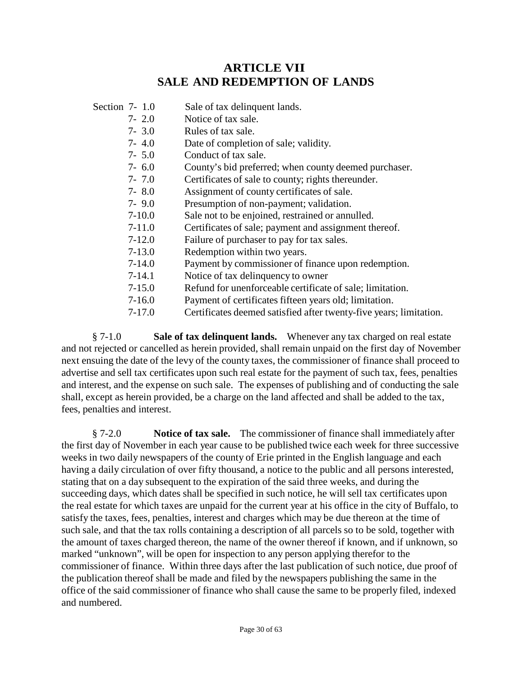## **ARTICLE VII SALE AND REDEMPTION OF LANDS**

- Section 7- 1.0 Sale of tax delinquent lands.
	- 7- 2.0 Notice of tax sale.
	- 7- 3.0 Rules of tax sale.
	- 7- 4.0 Date of completion of sale; validity.
	- 7- 5.0 Conduct of tax sale.
	- 7- 6.0 County's bid preferred; when county deemed purchaser.
	- 7- 7.0 Certificates of sale to county; rights thereunder.
	- 7- 8.0 Assignment of county certificates of sale.
	- 7- 9.0 Presumption of non-payment; validation.
	- 7-10.0 Sale not to be enjoined, restrained or annulled.
	- 7-11.0 Certificates of sale; payment and assignment thereof.
	- 7-12.0 Failure of purchaser to pay for tax sales.
	- 7-13.0 Redemption within two years.
	- 7-14.0 Payment by commissioner of finance upon redemption.
	- 7-14.1 Notice of tax delinquency to owner
	- 7-15.0 Refund for unenforceable certificate of sale; limitation.
	- 7-16.0 Payment of certificates fifteen years old; limitation.
	- 7-17.0 Certificates deemed satisfied after twenty-five years; limitation.

§ 7-1.0 **Sale of tax delinquent lands.** Whenever any tax charged on real estate and not rejected or cancelled as herein provided, shall remain unpaid on the first day of November next ensuing the date of the levy of the county taxes, the commissioner of finance shall proceed to advertise and sell tax certificates upon such real estate for the payment of such tax, fees, penalties and interest, and the expense on such sale. The expenses of publishing and of conducting the sale shall, except as herein provided, be a charge on the land affected and shall be added to the tax, fees, penalties and interest.

§ 7-2.0 **Notice of tax sale.** The commissioner of finance shall immediately after the first day of November in each year cause to be published twice each week for three successive weeks in two daily newspapers of the county of Erie printed in the English language and each having a daily circulation of over fifty thousand, a notice to the public and all persons interested, stating that on a day subsequent to the expiration of the said three weeks, and during the succeeding days, which dates shall be specified in such notice, he will sell tax certificates upon the real estate for which taxes are unpaid for the current year at his office in the city of Buffalo, to satisfy the taxes, fees, penalties, interest and charges which may be due thereon at the time of such sale, and that the tax rolls containing a description of all parcels so to be sold, together with the amount of taxes charged thereon, the name of the owner thereof if known, and if unknown, so marked "unknown", will be open for inspection to any person applying therefor to the commissioner of finance. Within three days after the last publication of such notice, due proof of the publication thereof shall be made and filed by the newspapers publishing the same in the office of the said commissioner of finance who shall cause the same to be properly filed, indexed and numbered.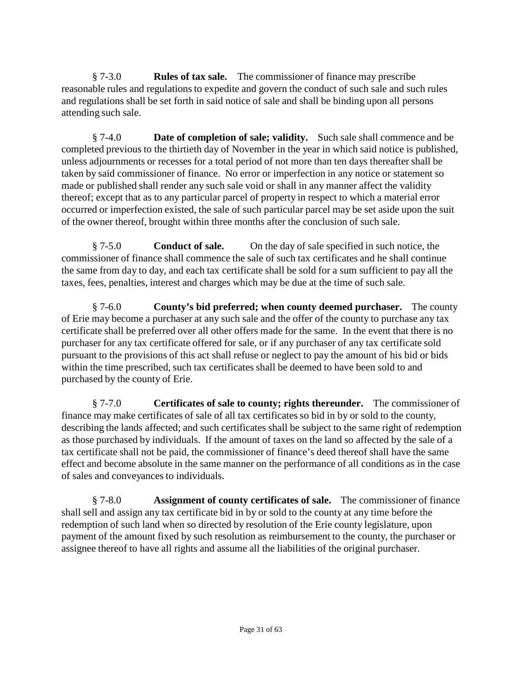§ 7-3.0 **Rules of tax sale.** The commissioner of finance may prescribe reasonable rules and regulations to expedite and govern the conduct of such sale and such rules and regulations shall be set forth in said notice of sale and shall be binding upon all persons attending such sale.

§ 7-4.0 **Date of completion of sale; validity.** Such sale shall commence and be completed previous to the thirtieth day of November in the year in which said notice is published, unless adjournments or recesses for a total period of not more than ten days thereafter shall be taken by said commissioner of finance. No error or imperfection in any notice or statement so made or published shall render any such sale void or shall in any manner affect the validity thereof; except that as to any particular parcel of property in respect to which a material error occurred or imperfection existed, the sale of such particular parcel may be set aside upon the suit of the owner thereof, brought within three months after the conclusion of such sale.

§ 7-5.0 **Conduct of sale.** On the day of sale specified in such notice, the commissioner of finance shall commence the sale of such tax certificates and he shall continue the same from day to day, and each tax certificate shall be sold for a sum sufficient to pay all the taxes, fees, penalties, interest and charges which may be due at the time of such sale.

§ 7-6.0 **County's bid preferred; when county deemed purchaser.** The county of Erie may become a purchaser at any such sale and the offer of the county to purchase any tax certificate shall be preferred over all other offers made for the same. In the event that there is no purchaser for any tax certificate offered for sale, or if any purchaser of any tax certificate sold pursuant to the provisions of this act shall refuse or neglect to pay the amount of his bid or bids within the time prescribed, such tax certificates shall be deemed to have been sold to and purchased by the county of Erie.

§ 7-7.0 **Certificates of sale to county; rights thereunder.** The commissioner of finance may make certificates of sale of all tax certificates so bid in by or sold to the county, describing the lands affected; and such certificates shall be subject to the same right of redemption as those purchased by individuals. If the amount of taxes on the land so affected by the sale of a tax certificate shall not be paid, the commissioner of finance's deed thereof shall have the same effect and become absolute in the same manner on the performance of all conditions as in the case of sales and conveyances to individuals.

§ 7-8.0 **Assignment of county certificates of sale.** The commissioner of finance shall sell and assign any tax certificate bid in by or sold to the county at any time before the redemption of such land when so directed by resolution of the Erie county legislature, upon payment of the amount fixed by such resolution as reimbursement to the county, the purchaser or assignee thereof to have all rights and assume all the liabilities of the original purchaser.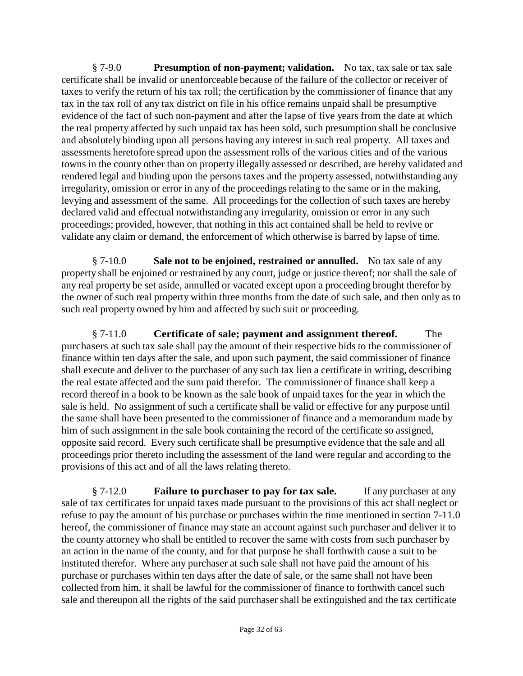§ 7-9.0 **Presumption of non-payment; validation.** No tax, tax sale or tax sale certificate shall be invalid or unenforceable because of the failure of the collector or receiver of taxes to verify the return of his tax roll; the certification by the commissioner of finance that any tax in the tax roll of any tax district on file in his office remains unpaid shall be presumptive evidence of the fact of such non-payment and after the lapse of five years from the date at which the real property affected by such unpaid tax has been sold, such presumption shall be conclusive and absolutely binding upon all persons having any interest in such real property. All taxes and assessments heretofore spread upon the assessment rolls of the various cities and of the various towns in the county other than on property illegally assessed or described, are hereby validated and rendered legal and binding upon the persons taxes and the property assessed, notwithstanding any irregularity, omission or error in any of the proceedings relating to the same or in the making, levying and assessment of the same. All proceedings for the collection of such taxes are hereby declared valid and effectual notwithstanding any irregularity, omission or error in any such proceedings; provided, however, that nothing in this act contained shall be held to revive or validate any claim or demand, the enforcement of which otherwise is barred by lapse of time.

§ 7-10.0 **Sale not to be enjoined, restrained or annulled.** No tax sale of any property shall be enjoined or restrained by any court, judge or justice thereof; nor shall the sale of any real property be set aside, annulled or vacated except upon a proceeding brought therefor by the owner of such real property within three months from the date of such sale, and then only as to such real property owned by him and affected by such suit or proceeding.

§ 7-11.0 **Certificate of sale; payment and assignment thereof.** The purchasers at such tax sale shall pay the amount of their respective bids to the commissioner of finance within ten days after the sale, and upon such payment, the said commissioner of finance shall execute and deliver to the purchaser of any such tax lien a certificate in writing, describing the real estate affected and the sum paid therefor. The commissioner of finance shall keep a record thereof in a book to be known as the sale book of unpaid taxes for the year in which the sale is held. No assignment of such a certificate shall be valid or effective for any purpose until the same shall have been presented to the commissioner of finance and a memorandum made by him of such assignment in the sale book containing the record of the certificate so assigned, opposite said record. Every such certificate shall be presumptive evidence that the sale and all proceedings prior thereto including the assessment of the land were regular and according to the provisions of this act and of all the laws relating thereto.

§ 7-12.0 **Failure to purchaser to pay for tax sale.** If any purchaser at any sale of tax certificates for unpaid taxes made pursuant to the provisions of this act shall neglect or refuse to pay the amount of his purchase or purchases within the time mentioned in section 7-11.0 hereof, the commissioner of finance may state an account against such purchaser and deliver it to the county attorney who shall be entitled to recover the same with costs from such purchaser by an action in the name of the county, and for that purpose he shall forthwith cause a suit to be instituted therefor. Where any purchaser at such sale shall not have paid the amount of his purchase or purchases within ten days after the date of sale, or the same shall not have been collected from him, it shall be lawful for the commissioner of finance to forthwith cancel such sale and thereupon all the rights of the said purchaser shall be extinguished and the tax certificate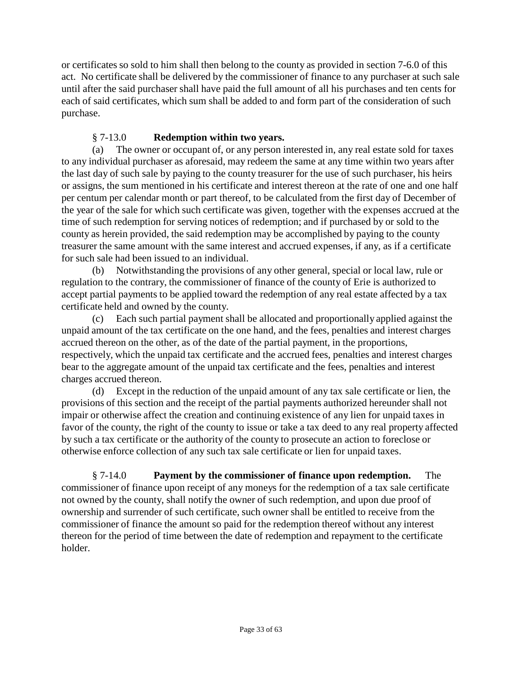or certificates so sold to him shall then belong to the county as provided in section 7-6.0 of this act. No certificate shall be delivered by the commissioner of finance to any purchaser at such sale until after the said purchaser shall have paid the full amount of all his purchases and ten cents for each of said certificates, which sum shall be added to and form part of the consideration of such purchase.

#### § 7-13.0 **Redemption within two years.**

(a) The owner or occupant of, or any person interested in, any real estate sold for taxes to any individual purchaser as aforesaid, may redeem the same at any time within two years after the last day of such sale by paying to the county treasurer for the use of such purchaser, his heirs or assigns, the sum mentioned in his certificate and interest thereon at the rate of one and one half per centum per calendar month or part thereof, to be calculated from the first day of December of the year of the sale for which such certificate was given, together with the expenses accrued at the time of such redemption for serving notices of redemption; and if purchased by or sold to the county as herein provided, the said redemption may be accomplished by paying to the county treasurer the same amount with the same interest and accrued expenses, if any, as if a certificate for such sale had been issued to an individual.

(b) Notwithstanding the provisions of any other general, special or local law, rule or regulation to the contrary, the commissioner of finance of the county of Erie is authorized to accept partial payments to be applied toward the redemption of any real estate affected by a tax certificate held and owned by the county.

(c) Each such partial payment shall be allocated and proportionally applied against the unpaid amount of the tax certificate on the one hand, and the fees, penalties and interest charges accrued thereon on the other, as of the date of the partial payment, in the proportions, respectively, which the unpaid tax certificate and the accrued fees, penalties and interest charges bear to the aggregate amount of the unpaid tax certificate and the fees, penalties and interest charges accrued thereon.

(d) Except in the reduction of the unpaid amount of any tax sale certificate or lien, the provisions of this section and the receipt of the partial payments authorized hereunder shall not impair or otherwise affect the creation and continuing existence of any lien for unpaid taxes in favor of the county, the right of the county to issue or take a tax deed to any real property affected by such a tax certificate or the authority of the county to prosecute an action to foreclose or otherwise enforce collection of any such tax sale certificate or lien for unpaid taxes.

§ 7-14.0 **Payment by the commissioner of finance upon redemption.** The commissioner of finance upon receipt of any moneys for the redemption of a tax sale certificate not owned by the county, shall notify the owner of such redemption, and upon due proof of ownership and surrender of such certificate, such owner shall be entitled to receive from the commissioner of finance the amount so paid for the redemption thereof without any interest thereon for the period of time between the date of redemption and repayment to the certificate holder.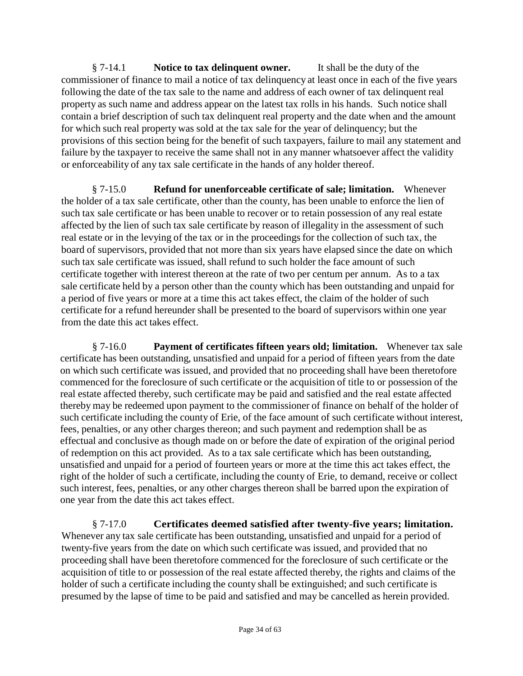§ 7-14.1 **Notice to tax delinquent owner.** It shall be the duty of the commissioner of finance to mail a notice of tax delinquency at least once in each of the five years following the date of the tax sale to the name and address of each owner of tax delinquent real property as such name and address appear on the latest tax rolls in his hands. Such notice shall contain a brief description of such tax delinquent real property and the date when and the amount for which such real property was sold at the tax sale for the year of delinquency; but the provisions of this section being for the benefit of such taxpayers, failure to mail any statement and failure by the taxpayer to receive the same shall not in any manner whatsoever affect the validity or enforceability of any tax sale certificate in the hands of any holder thereof.

§ 7-15.0 **Refund for unenforceable certificate of sale; limitation.** Whenever the holder of a tax sale certificate, other than the county, has been unable to enforce the lien of such tax sale certificate or has been unable to recover or to retain possession of any real estate affected by the lien of such tax sale certificate by reason of illegality in the assessment of such real estate or in the levying of the tax or in the proceedings for the collection of such tax, the board of supervisors, provided that not more than six years have elapsed since the date on which such tax sale certificate was issued, shall refund to such holder the face amount of such certificate together with interest thereon at the rate of two per centum per annum. As to a tax sale certificate held by a person other than the county which has been outstanding and unpaid for a period of five years or more at a time this act takes effect, the claim of the holder of such certificate for a refund hereunder shall be presented to the board of supervisors within one year from the date this act takes effect.

§ 7-16.0 **Payment of certificates fifteen years old; limitation.** Whenever tax sale certificate has been outstanding, unsatisfied and unpaid for a period of fifteen years from the date on which such certificate was issued, and provided that no proceeding shall have been theretofore commenced for the foreclosure of such certificate or the acquisition of title to or possession of the real estate affected thereby, such certificate may be paid and satisfied and the real estate affected thereby may be redeemed upon payment to the commissioner of finance on behalf of the holder of such certificate including the county of Erie, of the face amount of such certificate without interest, fees, penalties, or any other charges thereon; and such payment and redemption shall be as effectual and conclusive as though made on or before the date of expiration of the original period of redemption on this act provided. As to a tax sale certificate which has been outstanding, unsatisfied and unpaid for a period of fourteen years or more at the time this act takes effect, the right of the holder of such a certificate, including the county of Erie, to demand, receive or collect such interest, fees, penalties, or any other charges thereon shall be barred upon the expiration of one year from the date this act takes effect.

§ 7-17.0 **Certificates deemed satisfied after twenty-five years; limitation.**  Whenever any tax sale certificate has been outstanding, unsatisfied and unpaid for a period of twenty-five years from the date on which such certificate was issued, and provided that no proceeding shall have been theretofore commenced for the foreclosure of such certificate or the acquisition of title to or possession of the real estate affected thereby, the rights and claims of the holder of such a certificate including the county shall be extinguished; and such certificate is presumed by the lapse of time to be paid and satisfied and may be cancelled as herein provided.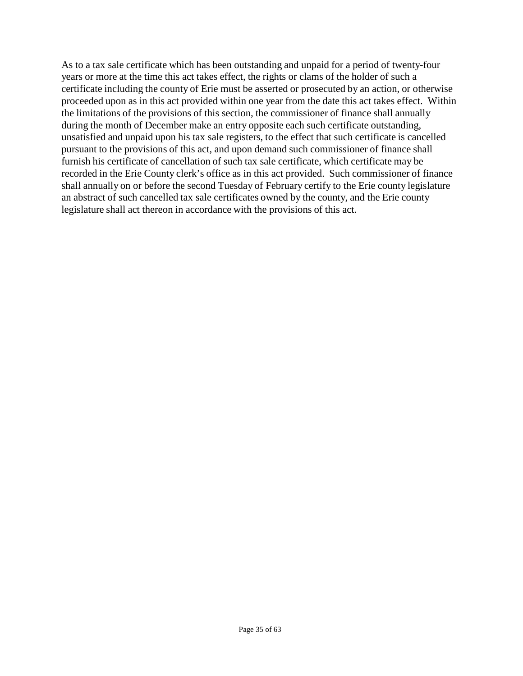As to a tax sale certificate which has been outstanding and unpaid for a period of twenty-four years or more at the time this act takes effect, the rights or clams of the holder of such a certificate including the county of Erie must be asserted or prosecuted by an action, or otherwise proceeded upon as in this act provided within one year from the date this act takes effect. Within the limitations of the provisions of this section, the commissioner of finance shall annually during the month of December make an entry opposite each such certificate outstanding, unsatisfied and unpaid upon his tax sale registers, to the effect that such certificate is cancelled pursuant to the provisions of this act, and upon demand such commissioner of finance shall furnish his certificate of cancellation of such tax sale certificate, which certificate may be recorded in the Erie County clerk's office as in this act provided. Such commissioner of finance shall annually on or before the second Tuesday of February certify to the Erie county legislature an abstract of such cancelled tax sale certificates owned by the county, and the Erie county legislature shall act thereon in accordance with the provisions of this act.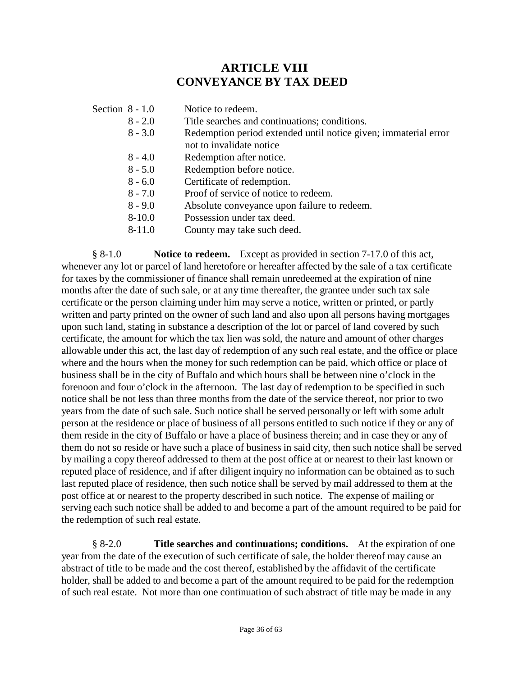# **ARTICLE VIII CONVEYANCE BY TAX DEED**

| Section $8 - 1.0$ |            | Notice to redeem.                                                                           |
|-------------------|------------|---------------------------------------------------------------------------------------------|
|                   | $8 - 2.0$  | Title searches and continuations; conditions.                                               |
|                   | $8 - 3.0$  | Redemption period extended until notice given; immaterial error<br>not to invalidate notice |
|                   | $8 - 4.0$  | Redemption after notice.                                                                    |
|                   | $8 - 5.0$  | Redemption before notice.                                                                   |
|                   | $8 - 6.0$  | Certificate of redemption.                                                                  |
|                   | $8 - 7.0$  | Proof of service of notice to redeem.                                                       |
|                   | $8 - 9.0$  | Absolute conveyance upon failure to redeem.                                                 |
|                   | $8 - 10.0$ | Possession under tax deed.                                                                  |
|                   | $8 - 11.0$ | County may take such deed.                                                                  |

§ 8-1.0 **Notice to redeem.** Except as provided in section 7-17.0 of this act, whenever any lot or parcel of land heretofore or hereafter affected by the sale of a tax certificate for taxes by the commissioner of finance shall remain unredeemed at the expiration of nine months after the date of such sale, or at any time thereafter, the grantee under such tax sale certificate or the person claiming under him may serve a notice, written or printed, or partly written and party printed on the owner of such land and also upon all persons having mortgages upon such land, stating in substance a description of the lot or parcel of land covered by such certificate, the amount for which the tax lien was sold, the nature and amount of other charges allowable under this act, the last day of redemption of any such real estate, and the office or place where and the hours when the money for such redemption can be paid, which office or place of business shall be in the city of Buffalo and which hours shall be between nine o'clock in the forenoon and four o'clock in the afternoon. The last day of redemption to be specified in such notice shall be not less than three months from the date of the service thereof, nor prior to two years from the date of such sale. Such notice shall be served personally or left with some adult person at the residence or place of business of all persons entitled to such notice if they or any of them reside in the city of Buffalo or have a place of business therein; and in case they or any of them do not so reside or have such a place of business in said city, then such notice shall be served by mailing a copy thereof addressed to them at the post office at or nearest to their last known or reputed place of residence, and if after diligent inquiry no information can be obtained as to such last reputed place of residence, then such notice shall be served by mail addressed to them at the post office at or nearest to the property described in such notice. The expense of mailing or serving each such notice shall be added to and become a part of the amount required to be paid for the redemption of such real estate.

§ 8-2.0 **Title searches and continuations; conditions.** At the expiration of one year from the date of the execution of such certificate of sale, the holder thereof may cause an abstract of title to be made and the cost thereof, established by the affidavit of the certificate holder, shall be added to and become a part of the amount required to be paid for the redemption of such real estate. Not more than one continuation of such abstract of title may be made in any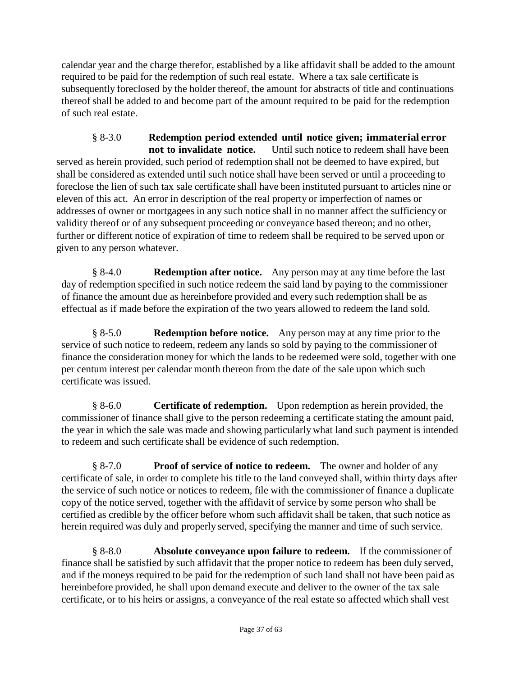calendar year and the charge therefor, established by a like affidavit shall be added to the amount required to be paid for the redemption of such real estate. Where a tax sale certificate is subsequently foreclosed by the holder thereof, the amount for abstracts of title and continuations thereof shall be added to and become part of the amount required to be paid for the redemption of such real estate.

§ 8-3.0 **Redemption period extended until notice given; immaterial error not to invalidate notice.** Until such notice to redeem shall have been served as herein provided, such period of redemption shall not be deemed to have expired, but shall be considered as extended until such notice shall have been served or until a proceeding to foreclose the lien of such tax sale certificate shall have been instituted pursuant to articles nine or eleven of this act. An error in description of the real property or imperfection of names or addresses of owner or mortgagees in any such notice shall in no manner affect the sufficiency or validity thereof or of any subsequent proceeding or conveyance based thereon; and no other, further or different notice of expiration of time to redeem shall be required to be served upon or given to any person whatever.

§ 8-4.0 **Redemption after notice.** Any person may at any time before the last day of redemption specified in such notice redeem the said land by paying to the commissioner of finance the amount due as hereinbefore provided and every such redemption shall be as effectual as if made before the expiration of the two years allowed to redeem the land sold.

§ 8-5.0 **Redemption before notice.** Any person may at any time prior to the service of such notice to redeem, redeem any lands so sold by paying to the commissioner of finance the consideration money for which the lands to be redeemed were sold, together with one per centum interest per calendar month thereon from the date of the sale upon which such certificate was issued.

§ 8-6.0 **Certificate of redemption.** Upon redemption as herein provided, the commissioner of finance shall give to the person redeeming a certificate stating the amount paid, the year in which the sale was made and showing particularly what land such payment is intended to redeem and such certificate shall be evidence of such redemption.

§ 8-7.0 **Proof of service of notice to redeem.** The owner and holder of any certificate of sale, in order to complete his title to the land conveyed shall, within thirty days after the service of such notice or notices to redeem, file with the commissioner of finance a duplicate copy of the notice served, together with the affidavit of service by some person who shall be certified as credible by the officer before whom such affidavit shall be taken, that such notice as herein required was duly and properly served, specifying the manner and time of such service.

§ 8-8.0 **Absolute conveyance upon failure to redeem.** If the commissioner of finance shall be satisfied by such affidavit that the proper notice to redeem has been duly served, and if the moneys required to be paid for the redemption of such land shall not have been paid as hereinbefore provided, he shall upon demand execute and deliver to the owner of the tax sale certificate, or to his heirs or assigns, a conveyance of the real estate so affected which shall vest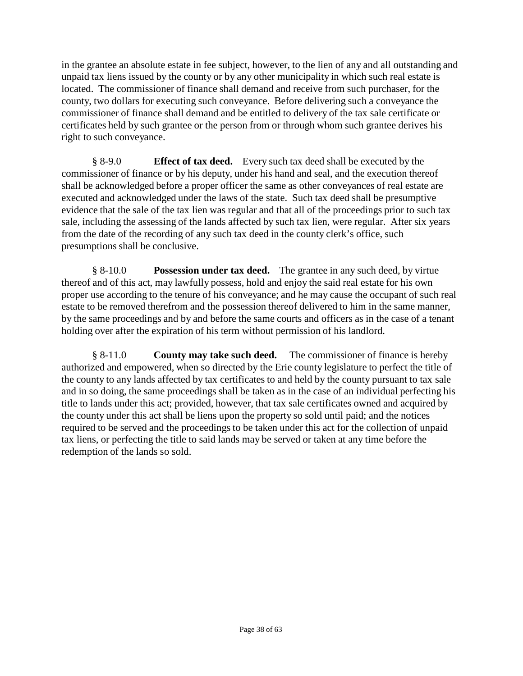in the grantee an absolute estate in fee subject, however, to the lien of any and all outstanding and unpaid tax liens issued by the county or by any other municipality in which such real estate is located. The commissioner of finance shall demand and receive from such purchaser, for the county, two dollars for executing such conveyance. Before delivering such a conveyance the commissioner of finance shall demand and be entitled to delivery of the tax sale certificate or certificates held by such grantee or the person from or through whom such grantee derives his right to such conveyance.

§ 8-9.0 **Effect of tax deed.** Every such tax deed shall be executed by the commissioner of finance or by his deputy, under his hand and seal, and the execution thereof shall be acknowledged before a proper officer the same as other conveyances of real estate are executed and acknowledged under the laws of the state. Such tax deed shall be presumptive evidence that the sale of the tax lien was regular and that all of the proceedings prior to such tax sale, including the assessing of the lands affected by such tax lien, were regular. After six years from the date of the recording of any such tax deed in the county clerk's office, such presumptions shall be conclusive.

§ 8-10.0 **Possession under tax deed.** The grantee in any such deed, by virtue thereof and of this act, may lawfully possess, hold and enjoy the said real estate for his own proper use according to the tenure of his conveyance; and he may cause the occupant of such real estate to be removed therefrom and the possession thereof delivered to him in the same manner, by the same proceedings and by and before the same courts and officers as in the case of a tenant holding over after the expiration of his term without permission of his landlord.

§ 8-11.0 **County may take such deed.** The commissioner of finance is hereby authorized and empowered, when so directed by the Erie county legislature to perfect the title of the county to any lands affected by tax certificates to and held by the county pursuant to tax sale and in so doing, the same proceedings shall be taken as in the case of an individual perfecting his title to lands under this act; provided, however, that tax sale certificates owned and acquired by the county under this act shall be liens upon the property so sold until paid; and the notices required to be served and the proceedings to be taken under this act for the collection of unpaid tax liens, or perfecting the title to said lands may be served or taken at any time before the redemption of the lands so sold.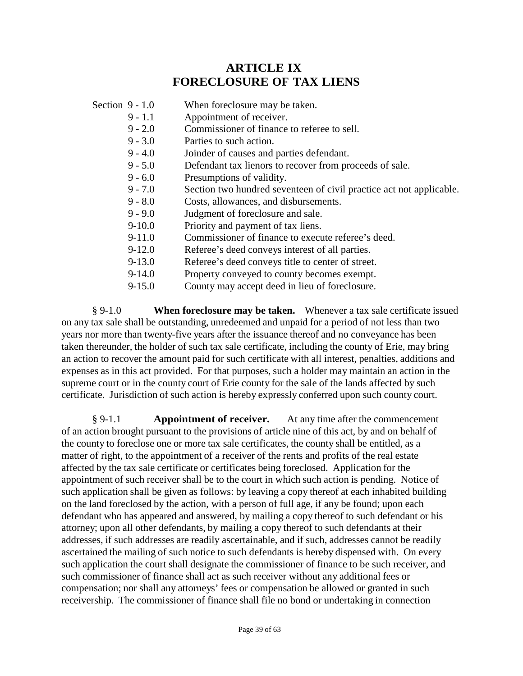# **ARTICLE IX FORECLOSURE OF TAX LIENS**

| Section $9 - 1.0$ |            | When foreclosure may be taken.                                      |
|-------------------|------------|---------------------------------------------------------------------|
|                   | $9 - 1.1$  | Appointment of receiver.                                            |
|                   | $9 - 2.0$  | Commissioner of finance to referee to sell.                         |
|                   | $9 - 3.0$  | Parties to such action.                                             |
|                   | $9 - 4.0$  | Joinder of causes and parties defendant.                            |
|                   | $9 - 5.0$  | Defendant tax lienors to recover from proceeds of sale.             |
|                   | $9 - 6.0$  | Presumptions of validity.                                           |
|                   | $9 - 7.0$  | Section two hundred seventeen of civil practice act not applicable. |
|                   | $9 - 8.0$  | Costs, allowances, and disbursements.                               |
|                   | $9 - 9.0$  | Judgment of foreclosure and sale.                                   |
|                   | $9-10.0$   | Priority and payment of tax liens.                                  |
|                   | $9-11.0$   | Commissioner of finance to execute referee's deed.                  |
|                   | $9 - 12.0$ | Referee's deed conveys interest of all parties.                     |
|                   | $9 - 13.0$ | Referee's deed conveys title to center of street.                   |
|                   | $9-14.0$   | Property conveyed to county becomes exempt.                         |
|                   | $9 - 15.0$ | County may accept deed in lieu of foreclosure.                      |

§ 9-1.0 **When foreclosure may be taken.** Whenever a tax sale certificate issued on any tax sale shall be outstanding, unredeemed and unpaid for a period of not less than two years nor more than twenty-five years after the issuance thereof and no conveyance has been taken thereunder, the holder of such tax sale certificate, including the county of Erie, may bring an action to recover the amount paid for such certificate with all interest, penalties, additions and expenses as in this act provided. For that purposes, such a holder may maintain an action in the supreme court or in the county court of Erie county for the sale of the lands affected by such certificate. Jurisdiction of such action is hereby expressly conferred upon such county court.

§ 9-1.1 **Appointment of receiver.** At any time after the commencement of an action brought pursuant to the provisions of article nine of this act, by and on behalf of the county to foreclose one or more tax sale certificates, the county shall be entitled, as a matter of right, to the appointment of a receiver of the rents and profits of the real estate affected by the tax sale certificate or certificates being foreclosed. Application for the appointment of such receiver shall be to the court in which such action is pending. Notice of such application shall be given as follows: by leaving a copy thereof at each inhabited building on the land foreclosed by the action, with a person of full age, if any be found; upon each defendant who has appeared and answered, by mailing a copy thereof to such defendant or his attorney; upon all other defendants, by mailing a copy thereof to such defendants at their addresses, if such addresses are readily ascertainable, and if such, addresses cannot be readily ascertained the mailing of such notice to such defendants is hereby dispensed with. On every such application the court shall designate the commissioner of finance to be such receiver, and such commissioner of finance shall act as such receiver without any additional fees or compensation; nor shall any attorneys' fees or compensation be allowed or granted in such receivership. The commissioner of finance shall file no bond or undertaking in connection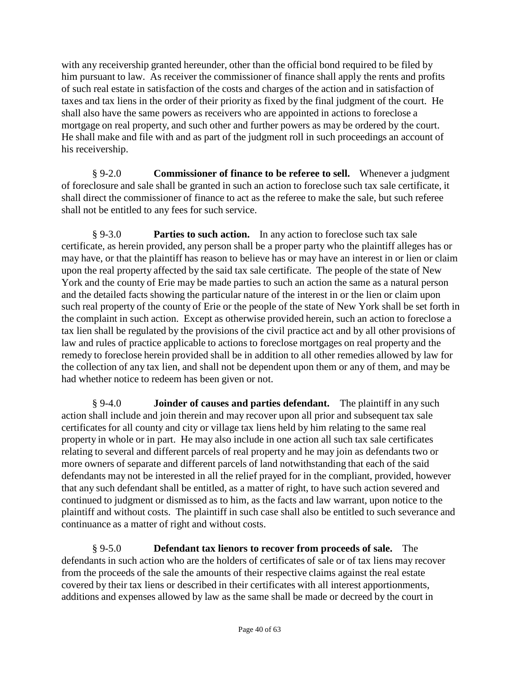with any receivership granted hereunder, other than the official bond required to be filed by him pursuant to law. As receiver the commissioner of finance shall apply the rents and profits of such real estate in satisfaction of the costs and charges of the action and in satisfaction of taxes and tax liens in the order of their priority as fixed by the final judgment of the court. He shall also have the same powers as receivers who are appointed in actions to foreclose a mortgage on real property, and such other and further powers as may be ordered by the court. He shall make and file with and as part of the judgment roll in such proceedings an account of his receivership.

§ 9-2.0 **Commissioner of finance to be referee to sell.** Whenever a judgment of foreclosure and sale shall be granted in such an action to foreclose such tax sale certificate, it shall direct the commissioner of finance to act as the referee to make the sale, but such referee shall not be entitled to any fees for such service.

§ 9-3.0 **Parties to such action.** In any action to foreclose such tax sale certificate, as herein provided, any person shall be a proper party who the plaintiff alleges has or may have, or that the plaintiff has reason to believe has or may have an interest in or lien or claim upon the real property affected by the said tax sale certificate. The people of the state of New York and the county of Erie may be made parties to such an action the same as a natural person and the detailed facts showing the particular nature of the interest in or the lien or claim upon such real property of the county of Erie or the people of the state of New York shall be set forth in the complaint in such action. Except as otherwise provided herein, such an action to foreclose a tax lien shall be regulated by the provisions of the civil practice act and by all other provisions of law and rules of practice applicable to actions to foreclose mortgages on real property and the remedy to foreclose herein provided shall be in addition to all other remedies allowed by law for the collection of any tax lien, and shall not be dependent upon them or any of them, and may be had whether notice to redeem has been given or not.

§ 9-4.0 **Joinder of causes and parties defendant.** The plaintiff in any such action shall include and join therein and may recover upon all prior and subsequent tax sale certificates for all county and city or village tax liens held by him relating to the same real property in whole or in part. He may also include in one action all such tax sale certificates relating to several and different parcels of real property and he may join as defendants two or more owners of separate and different parcels of land notwithstanding that each of the said defendants may not be interested in all the relief prayed for in the compliant, provided, however that any such defendant shall be entitled, as a matter of right, to have such action severed and continued to judgment or dismissed as to him, as the facts and law warrant, upon notice to the plaintiff and without costs. The plaintiff in such case shall also be entitled to such severance and continuance as a matter of right and without costs.

§ 9-5.0 **Defendant tax lienors to recover from proceeds of sale.** The defendants in such action who are the holders of certificates of sale or of tax liens may recover from the proceeds of the sale the amounts of their respective claims against the real estate covered by their tax liens or described in their certificates with all interest apportionments, additions and expenses allowed by law as the same shall be made or decreed by the court in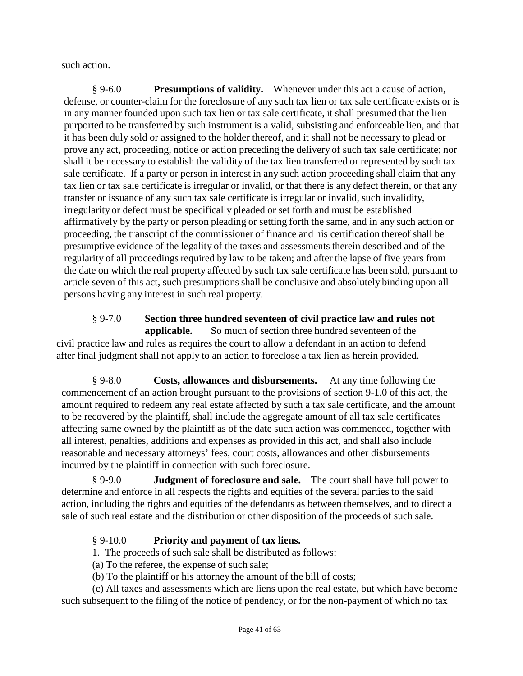such action.

§ 9-6.0 **Presumptions of validity.** Whenever under this act a cause of action, defense, or counter-claim for the foreclosure of any such tax lien or tax sale certificate exists or is in any manner founded upon such tax lien or tax sale certificate, it shall presumed that the lien purported to be transferred by such instrument is a valid, subsisting and enforceable lien, and that it has been duly sold or assigned to the holder thereof, and it shall not be necessary to plead or prove any act, proceeding, notice or action preceding the delivery of such tax sale certificate; nor shall it be necessary to establish the validity of the tax lien transferred or represented by such tax sale certificate. If a party or person in interest in any such action proceeding shall claim that any tax lien or tax sale certificate is irregular or invalid, or that there is any defect therein, or that any transfer or issuance of any such tax sale certificate is irregular or invalid, such invalidity, irregularity or defect must be specifically pleaded or set forth and must be established affirmatively by the party or person pleading or setting forth the same, and in any such action or proceeding, the transcript of the commissioner of finance and his certification thereof shall be presumptive evidence of the legality of the taxes and assessments therein described and of the regularity of all proceedings required by law to be taken; and after the lapse of five years from the date on which the real property affected by such tax sale certificate has been sold, pursuant to article seven of this act, such presumptions shall be conclusive and absolutely binding upon all persons having any interest in such real property.

#### § 9-7.0 **Section three hundred seventeen of civil practice law and rules not applicable.** So much of section three hundred seventeen of the civil practice law and rules as requires the court to allow a defendant in an action to defend after final judgment shall not apply to an action to foreclose a tax lien as herein provided.

§ 9-8.0 **Costs, allowances and disbursements.** At any time following the commencement of an action brought pursuant to the provisions of section 9-1.0 of this act, the amount required to redeem any real estate affected by such a tax sale certificate, and the amount to be recovered by the plaintiff, shall include the aggregate amount of all tax sale certificates affecting same owned by the plaintiff as of the date such action was commenced, together with all interest, penalties, additions and expenses as provided in this act, and shall also include reasonable and necessary attorneys' fees, court costs, allowances and other disbursements incurred by the plaintiff in connection with such foreclosure.

§ 9-9.0 **Judgment of foreclosure and sale.** The court shall have full power to determine and enforce in all respects the rights and equities of the several parties to the said action, including the rights and equities of the defendants as between themselves, and to direct a sale of such real estate and the distribution or other disposition of the proceeds of such sale.

#### § 9-10.0 **Priority and payment of tax liens.**

1. The proceeds of such sale shall be distributed as follows:

(a) To the referee, the expense of such sale;

(b) To the plaintiff or his attorney the amount of the bill of costs;

(c) All taxes and assessments which are liens upon the real estate, but which have become such subsequent to the filing of the notice of pendency, or for the non-payment of which no tax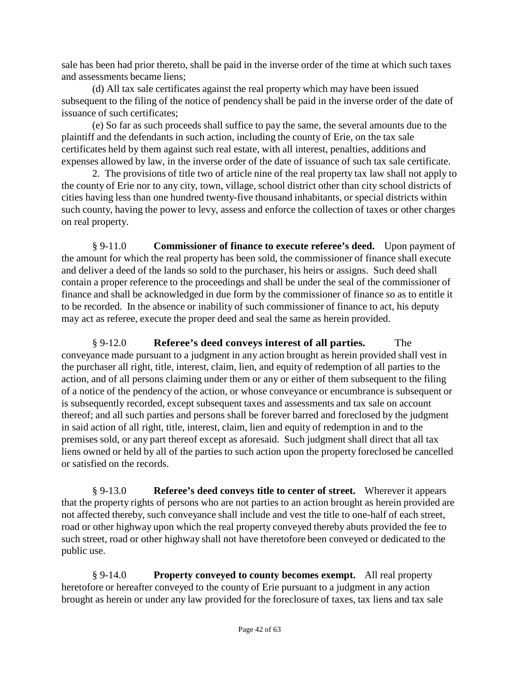sale has been had prior thereto, shall be paid in the inverse order of the time at which such taxes and assessments became liens;

(d) All tax sale certificates against the real property which may have been issued subsequent to the filing of the notice of pendency shall be paid in the inverse order of the date of issuance of such certificates;

(e) So far as such proceeds shall suffice to pay the same, the several amounts due to the plaintiff and the defendants in such action, including the county of Erie, on the tax sale certificates held by them against such real estate, with all interest, penalties, additions and expenses allowed by law, in the inverse order of the date of issuance of such tax sale certificate.

2. The provisions of title two of article nine of the real property tax law shall not apply to the county of Erie nor to any city, town, village, school district other than city school districts of cities having less than one hundred twenty-five thousand inhabitants, or special districts within such county, having the power to levy, assess and enforce the collection of taxes or other charges on real property.

§ 9-11.0 **Commissioner of finance to execute referee's deed.** Upon payment of the amount for which the real property has been sold, the commissioner of finance shall execute and deliver a deed of the lands so sold to the purchaser, his heirs or assigns. Such deed shall contain a proper reference to the proceedings and shall be under the seal of the commissioner of finance and shall be acknowledged in due form by the commissioner of finance so as to entitle it to be recorded. In the absence or inability of such commissioner of finance to act, his deputy may act as referee, execute the proper deed and seal the same as herein provided.

§ 9-12.0 **Referee's deed conveys interest of all parties.** The conveyance made pursuant to a judgment in any action brought as herein provided shall vest in the purchaser all right, title, interest, claim, lien, and equity of redemption of all parties to the action, and of all persons claiming under them or any or either of them subsequent to the filing of a notice of the pendency of the action, or whose conveyance or encumbrance is subsequent or is subsequently recorded, except subsequent taxes and assessments and tax sale on account thereof; and all such parties and persons shall be forever barred and foreclosed by the judgment in said action of all right, title, interest, claim, lien and equity of redemption in and to the premises sold, or any part thereof except as aforesaid. Such judgment shall direct that all tax liens owned or held by all of the parties to such action upon the property foreclosed be cancelled or satisfied on the records.

§ 9-13.0 **Referee's deed conveys title to center of street.** Wherever it appears that the property rights of persons who are not parties to an action brought as herein provided are not affected thereby, such conveyance shall include and vest the title to one-half of each street, road or other highway upon which the real property conveyed thereby abuts provided the fee to such street, road or other highway shall not have theretofore been conveyed or dedicated to the public use.

§ 9-14.0 **Property conveyed to county becomes exempt.** All real property heretofore or hereafter conveyed to the county of Erie pursuant to a judgment in any action brought as herein or under any law provided for the foreclosure of taxes, tax liens and tax sale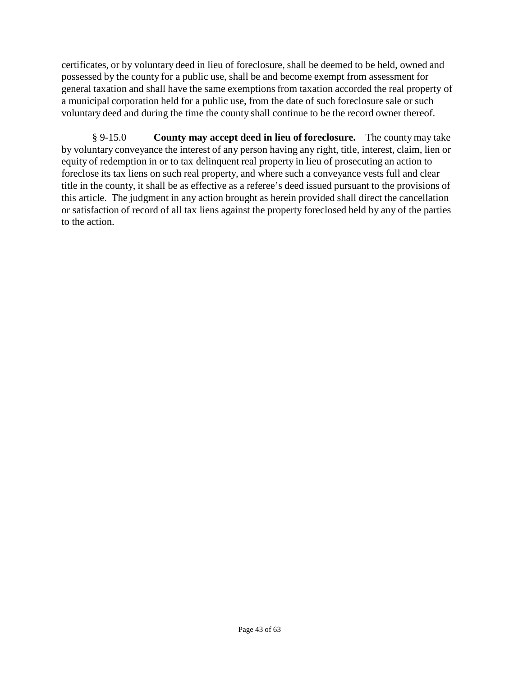certificates, or by voluntary deed in lieu of foreclosure, shall be deemed to be held, owned and possessed by the county for a public use, shall be and become exempt from assessment for general taxation and shall have the same exemptions from taxation accorded the real property of a municipal corporation held for a public use, from the date of such foreclosure sale or such voluntary deed and during the time the county shall continue to be the record owner thereof.

§ 9-15.0 **County may accept deed in lieu of foreclosure.** The county may take by voluntary conveyance the interest of any person having any right, title, interest, claim, lien or equity of redemption in or to tax delinquent real property in lieu of prosecuting an action to foreclose its tax liens on such real property, and where such a conveyance vests full and clear title in the county, it shall be as effective as a referee's deed issued pursuant to the provisions of this article. The judgment in any action brought as herein provided shall direct the cancellation or satisfaction of record of all tax liens against the property foreclosed held by any of the parties to the action.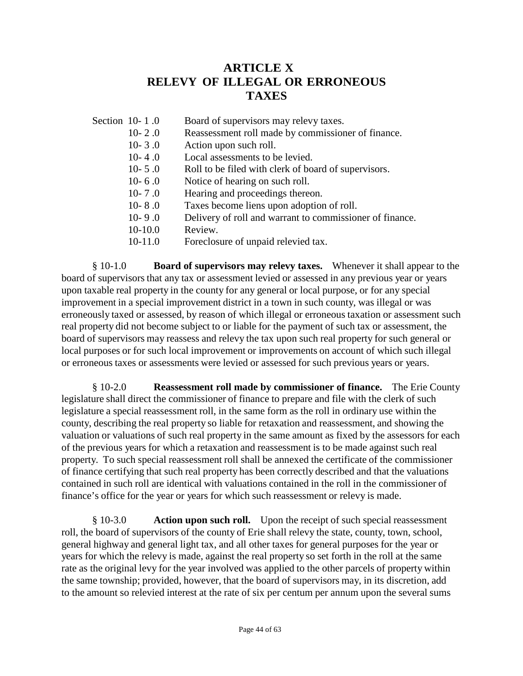# **ARTICLE X RELEVY OF ILLEGAL OR ERRONEOUS TAXES**

- Section 10-1.0 Board of supervisors may relevy taxes.
	- 10- 2 .0 Reassessment roll made by commissioner of finance.
	- 10- 3 .0 Action upon such roll.
	- 10- 4 .0 Local assessments to be levied.
	- 10- 5 .0 Roll to be filed with clerk of board of supervisors.
	- 10- 6 .0 Notice of hearing on such roll.
	- 10- 7 .0 Hearing and proceedings thereon.
	- 10- 8 .0 Taxes become liens upon adoption of roll.
	- 10- 9 .0 Delivery of roll and warrant to commissioner of finance.
	- 10-10.0 Review.
	- 10-11.0 Foreclosure of unpaid relevied tax.

§ 10-1.0 **Board of supervisors may relevy taxes.** Whenever it shall appear to the board of supervisors that any tax or assessment levied or assessed in any previous year or years upon taxable real property in the county for any general or local purpose, or for any special improvement in a special improvement district in a town in such county, was illegal or was erroneously taxed or assessed, by reason of which illegal or erroneous taxation or assessment such real property did not become subject to or liable for the payment of such tax or assessment, the board of supervisors may reassess and relevy the tax upon such real property for such general or local purposes or for such local improvement or improvements on account of which such illegal or erroneous taxes or assessments were levied or assessed for such previous years or years.

§ 10-2.0 **Reassessment roll made by commissioner of finance.** The Erie County legislature shall direct the commissioner of finance to prepare and file with the clerk of such legislature a special reassessment roll, in the same form as the roll in ordinary use within the county, describing the real property so liable for retaxation and reassessment, and showing the valuation or valuations of such real property in the same amount as fixed by the assessors for each of the previous years for which a retaxation and reassessment is to be made against such real property. To such special reassessment roll shall be annexed the certificate of the commissioner of finance certifying that such real property has been correctly described and that the valuations contained in such roll are identical with valuations contained in the roll in the commissioner of finance's office for the year or years for which such reassessment or relevy is made.

§ 10-3.0 **Action upon such roll.** Upon the receipt of such special reassessment roll, the board of supervisors of the county of Erie shall relevy the state, county, town, school, general highway and general light tax, and all other taxes for general purposes for the year or years for which the relevy is made, against the real property so set forth in the roll at the same rate as the original levy for the year involved was applied to the other parcels of property within the same township; provided, however, that the board of supervisors may, in its discretion, add to the amount so relevied interest at the rate of six per centum per annum upon the several sums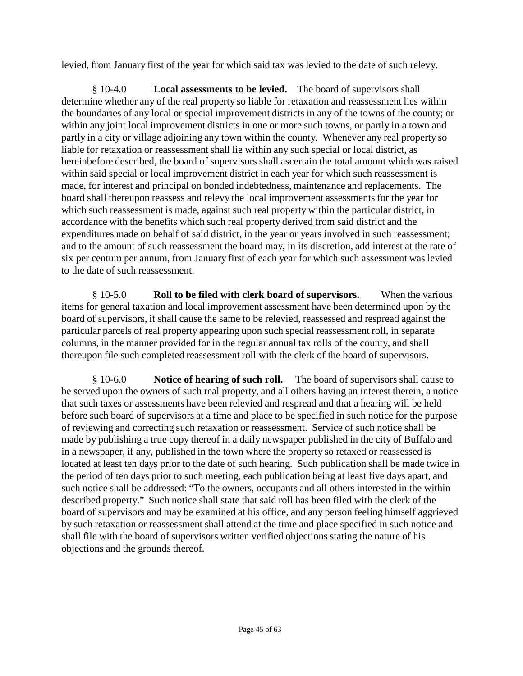levied, from January first of the year for which said tax was levied to the date of such relevy.

§ 10-4.0 **Local assessments to be levied.** The board of supervisors shall determine whether any of the real property so liable for retaxation and reassessment lies within the boundaries of any local or special improvement districts in any of the towns of the county; or within any joint local improvement districts in one or more such towns, or partly in a town and partly in a city or village adjoining any town within the county. Whenever any real property so liable for retaxation or reassessment shall lie within any such special or local district, as hereinbefore described, the board of supervisors shall ascertain the total amount which was raised within said special or local improvement district in each year for which such reassessment is made, for interest and principal on bonded indebtedness, maintenance and replacements. The board shall thereupon reassess and relevy the local improvement assessments for the year for which such reassessment is made, against such real property within the particular district, in accordance with the benefits which such real property derived from said district and the expenditures made on behalf of said district, in the year or years involved in such reassessment; and to the amount of such reassessment the board may, in its discretion, add interest at the rate of six per centum per annum, from January first of each year for which such assessment was levied to the date of such reassessment.

§ 10-5.0 **Roll to be filed with clerk board of supervisors.** When the various items for general taxation and local improvement assessment have been determined upon by the board of supervisors, it shall cause the same to be relevied, reassessed and respread against the particular parcels of real property appearing upon such special reassessment roll, in separate columns, in the manner provided for in the regular annual tax rolls of the county, and shall thereupon file such completed reassessment roll with the clerk of the board of supervisors.

§ 10-6.0 **Notice of hearing of such roll.** The board of supervisors shall cause to be served upon the owners of such real property, and all others having an interest therein, a notice that such taxes or assessments have been relevied and respread and that a hearing will be held before such board of supervisors at a time and place to be specified in such notice for the purpose of reviewing and correcting such retaxation or reassessment. Service of such notice shall be made by publishing a true copy thereof in a daily newspaper published in the city of Buffalo and in a newspaper, if any, published in the town where the property so retaxed or reassessed is located at least ten days prior to the date of such hearing. Such publication shall be made twice in the period of ten days prior to such meeting, each publication being at least five days apart, and such notice shall be addressed: "To the owners, occupants and all others interested in the within described property." Such notice shall state that said roll has been filed with the clerk of the board of supervisors and may be examined at his office, and any person feeling himself aggrieved by such retaxation or reassessment shall attend at the time and place specified in such notice and shall file with the board of supervisors written verified objections stating the nature of his objections and the grounds thereof.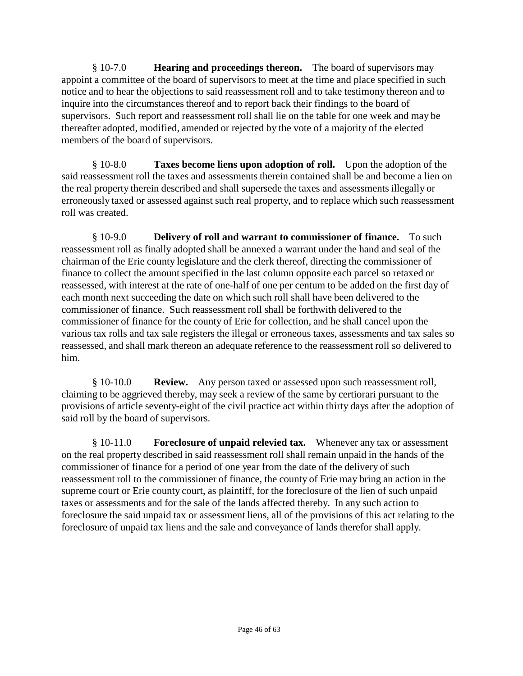§ 10-7.0 **Hearing and proceedings thereon.** The board of supervisors may appoint a committee of the board of supervisors to meet at the time and place specified in such notice and to hear the objections to said reassessment roll and to take testimony thereon and to inquire into the circumstances thereof and to report back their findings to the board of supervisors. Such report and reassessment roll shall lie on the table for one week and may be thereafter adopted, modified, amended or rejected by the vote of a majority of the elected members of the board of supervisors.

§ 10-8.0 **Taxes become liens upon adoption of roll.** Upon the adoption of the said reassessment roll the taxes and assessments therein contained shall be and become a lien on the real property therein described and shall supersede the taxes and assessments illegally or erroneously taxed or assessed against such real property, and to replace which such reassessment roll was created.

§ 10-9.0 **Delivery of roll and warrant to commissioner of finance.** To such reassessment roll as finally adopted shall be annexed a warrant under the hand and seal of the chairman of the Erie county legislature and the clerk thereof, directing the commissioner of finance to collect the amount specified in the last column opposite each parcel so retaxed or reassessed, with interest at the rate of one-half of one per centum to be added on the first day of each month next succeeding the date on which such roll shall have been delivered to the commissioner of finance. Such reassessment roll shall be forthwith delivered to the commissioner of finance for the county of Erie for collection, and he shall cancel upon the various tax rolls and tax sale registers the illegal or erroneous taxes, assessments and tax sales so reassessed, and shall mark thereon an adequate reference to the reassessment roll so delivered to him.

§ 10-10.0 **Review.** Any person taxed or assessed upon such reassessment roll, claiming to be aggrieved thereby, may seek a review of the same by certiorari pursuant to the provisions of article seventy-eight of the civil practice act within thirty days after the adoption of said roll by the board of supervisors.

§ 10-11.0 **Foreclosure of unpaid relevied tax.** Whenever any tax or assessment on the real property described in said reassessment roll shall remain unpaid in the hands of the commissioner of finance for a period of one year from the date of the delivery of such reassessment roll to the commissioner of finance, the county of Erie may bring an action in the supreme court or Erie county court, as plaintiff, for the foreclosure of the lien of such unpaid taxes or assessments and for the sale of the lands affected thereby. In any such action to foreclosure the said unpaid tax or assessment liens, all of the provisions of this act relating to the foreclosure of unpaid tax liens and the sale and conveyance of lands therefor shall apply.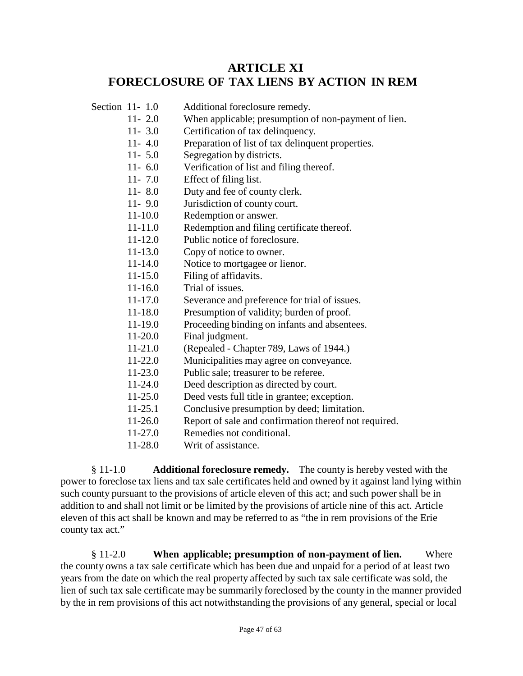## **ARTICLE XI FORECLOSURE OF TAX LIENS BY ACTION IN REM**

- Section 11- 1.0 Additional foreclosure remedy.
	- 11- 2.0 When applicable; presumption of non-payment of lien.
	- 11- 3.0 Certification of tax delinquency.
	- 11- 4.0 Preparation of list of tax delinquent properties.
	- 11- 5.0 Segregation by districts.
	- 11- 6.0 Verification of list and filing thereof.
	- 11- 7.0 Effect of filing list.
	- 11- 8.0 Duty and fee of county clerk.
	- 11- 9.0 Jurisdiction of county court.
	- 11-10.0 Redemption or answer.
	- 11-11.0 Redemption and filing certificate thereof.
	- 11-12.0 Public notice of foreclosure.
	- 11-13.0 Copy of notice to owner.
	- 11-14.0 Notice to mortgagee or lienor.
	- 11-15.0 Filing of affidavits.
	- 11-16.0 Trial of issues.
	- 11-17.0 Severance and preference for trial of issues.
	- 11-18.0 Presumption of validity; burden of proof.
	- 11-19.0 Proceeding binding on infants and absentees.
	- 11-20.0 Final judgment.
	- 11-21.0 (Repealed Chapter 789, Laws of 1944.)
	- 11-22.0 Municipalities may agree on conveyance.
	- 11-23.0 Public sale; treasurer to be referee.
	- 11-24.0 Deed description as directed by court.
	- 11-25.0 Deed vests full title in grantee; exception.
	- 11-25.1 Conclusive presumption by deed; limitation.
	- 11-26.0 Report of sale and confirmation thereof not required.
	- 11-27.0 Remedies not conditional.
	- 11-28.0 Writ of assistance.

§ 11-1.0 **Additional foreclosure remedy.** The county is hereby vested with the power to foreclose tax liens and tax sale certificates held and owned by it against land lying within such county pursuant to the provisions of article eleven of this act; and such power shall be in addition to and shall not limit or be limited by the provisions of article nine of this act. Article eleven of this act shall be known and may be referred to as "the in rem provisions of the Erie county tax act."

§ 11-2.0 **When applicable; presumption of non-payment of lien.** Where the county owns a tax sale certificate which has been due and unpaid for a period of at least two years from the date on which the real property affected by such tax sale certificate was sold, the lien of such tax sale certificate may be summarily foreclosed by the county in the manner provided by the in rem provisions of this act notwithstanding the provisions of any general, special or local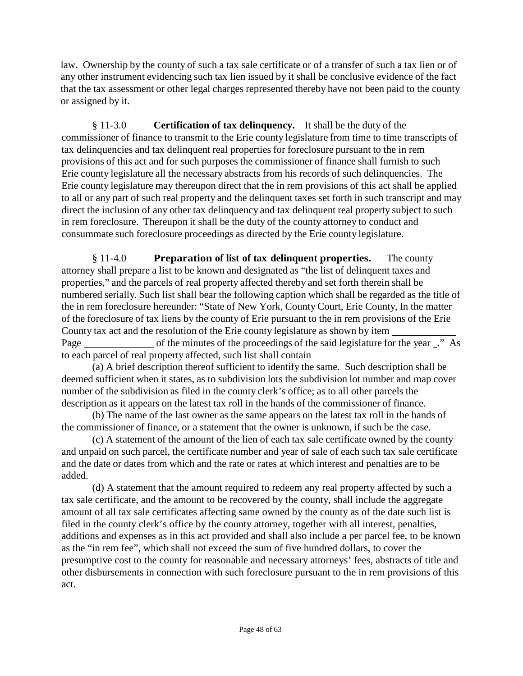law. Ownership by the county of such a tax sale certificate or of a transfer of such a tax lien or of any other instrument evidencing such tax lien issued by it shall be conclusive evidence of the fact that the tax assessment or other legal charges represented thereby have not been paid to the county or assigned by it.

§ 11-3.0 **Certification of tax delinquency.** It shall be the duty of the commissioner of finance to transmit to the Erie county legislature from time to time transcripts of tax delinquencies and tax delinquent real properties for foreclosure pursuant to the in rem provisions of this act and for such purposes the commissioner of finance shall furnish to such Erie county legislature all the necessary abstracts from his records of such delinquencies. The Erie county legislature may thereupon direct that the in rem provisions of this act shall be applied to all or any part of such real property and the delinquent taxes set forth in such transcript and may direct the inclusion of any other tax delinquency and tax delinquent real property subject to such in rem foreclosure. Thereupon it shall be the duty of the county attorney to conduct and consummate such foreclosure proceedings as directed by the Erie county legislature.

§ 11-4.0 **Preparation of list of tax delinquent properties.** The county attorney shall prepare a list to be known and designated as "the list of delinquent taxes and properties," and the parcels of real property affected thereby and set forth therein shall be numbered serially. Such list shall bear the following caption which shall be regarded as the title of the in rem foreclosure hereunder: "State of New York, County Court, Erie County, In the matter of the foreclosure of tax liens by the county of Erie pursuant to the in rem provisions of the Erie County tax act and the resolution of the Erie county legislature as shown by item Page of the minutes of the proceedings of the said legislature for the year ." As to each parcel of real property affected, such list shall contain

(a) A brief description thereof sufficient to identify the same. Such description shall be deemed sufficient when it states, as to subdivision lots the subdivision lot number and map cover number of the subdivision as filed in the county clerk's office; as to all other parcels the description as it appears on the latest tax roll in the hands of the commissioner of finance.

(b) The name of the last owner as the same appears on the latest tax roll in the hands of the commissioner of finance, or a statement that the owner is unknown, if such be the case.

(c) A statement of the amount of the lien of each tax sale certificate owned by the county and unpaid on such parcel, the certificate number and year of sale of each such tax sale certificate and the date or dates from which and the rate or rates at which interest and penalties are to be added.

(d) A statement that the amount required to redeem any real property affected by such a tax sale certificate, and the amount to be recovered by the county, shall include the aggregate amount of all tax sale certificates affecting same owned by the county as of the date such list is filed in the county clerk's office by the county attorney, together with all interest, penalties, additions and expenses as in this act provided and shall also include a per parcel fee, to be known as the "in rem fee", which shall not exceed the sum of five hundred dollars, to cover the presumptive cost to the county for reasonable and necessary attorneys' fees, abstracts of title and other disbursements in connection with such foreclosure pursuant to the in rem provisions of this act.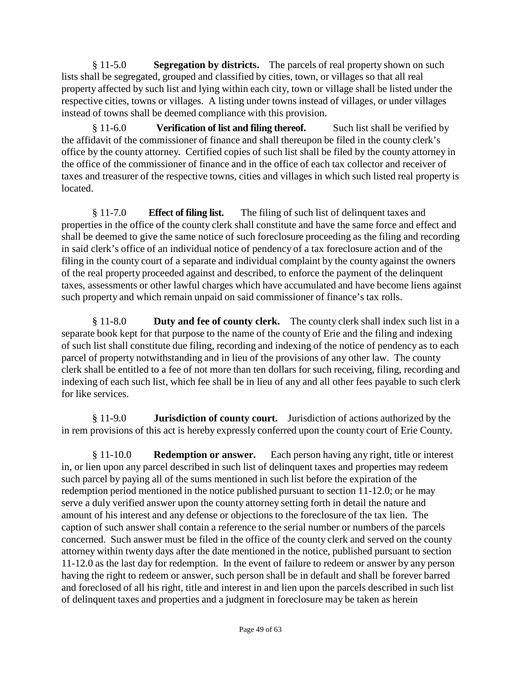§ 11-5.0 **Segregation by districts.** The parcels of real property shown on such lists shall be segregated, grouped and classified by cities, town, or villages so that all real property affected by such list and lying within each city, town or village shall be listed under the respective cities, towns or villages. A listing under towns instead of villages, or under villages instead of towns shall be deemed compliance with this provision.

§ 11-6.0 **Verification of list and filing thereof.** Such list shall be verified by the affidavit of the commissioner of finance and shall thereupon be filed in the county clerk's office by the county attorney. Certified copies of such list shall be filed by the county attorney in the office of the commissioner of finance and in the office of each tax collector and receiver of taxes and treasurer of the respective towns, cities and villages in which such listed real property is located.

§ 11-7.0 **Effect of filing list.** The filing of such list of delinquent taxes and properties in the office of the county clerk shall constitute and have the same force and effect and shall be deemed to give the same notice of such foreclosure proceeding as the filing and recording in said clerk's office of an individual notice of pendency of a tax foreclosure action and of the filing in the county court of a separate and individual complaint by the county against the owners of the real property proceeded against and described, to enforce the payment of the delinquent taxes, assessments or other lawful charges which have accumulated and have become liens against such property and which remain unpaid on said commissioner of finance's tax rolls.

§ 11-8.0 **Duty and fee of county clerk.** The county clerk shall index such list in a separate book kept for that purpose to the name of the county of Erie and the filing and indexing of such list shall constitute due filing, recording and indexing of the notice of pendency as to each parcel of property notwithstanding and in lieu of the provisions of any other law. The county clerk shall be entitled to a fee of not more than ten dollars for such receiving, filing, recording and indexing of each such list, which fee shall be in lieu of any and all other fees payable to such clerk for like services.

§ 11-9.0 **Jurisdiction of county court.** Jurisdiction of actions authorized by the in rem provisions of this act is hereby expressly conferred upon the county court of Erie County.

§ 11-10.0 **Redemption or answer.** Each person having any right, title or interest in, or lien upon any parcel described in such list of delinquent taxes and properties may redeem such parcel by paying all of the sums mentioned in such list before the expiration of the redemption period mentioned in the notice published pursuant to section 11-12.0; or he may serve a duly verified answer upon the county attorney setting forth in detail the nature and amount of his interest and any defense or objections to the foreclosure of the tax lien. The caption of such answer shall contain a reference to the serial number or numbers of the parcels concerned. Such answer must be filed in the office of the county clerk and served on the county attorney within twenty days after the date mentioned in the notice, published pursuant to section 11-12.0 as the last day for redemption. In the event of failure to redeem or answer by any person having the right to redeem or answer, such person shall be in default and shall be forever barred and foreclosed of all his right, title and interest in and lien upon the parcels described in such list of delinquent taxes and properties and a judgment in foreclosure may be taken as herein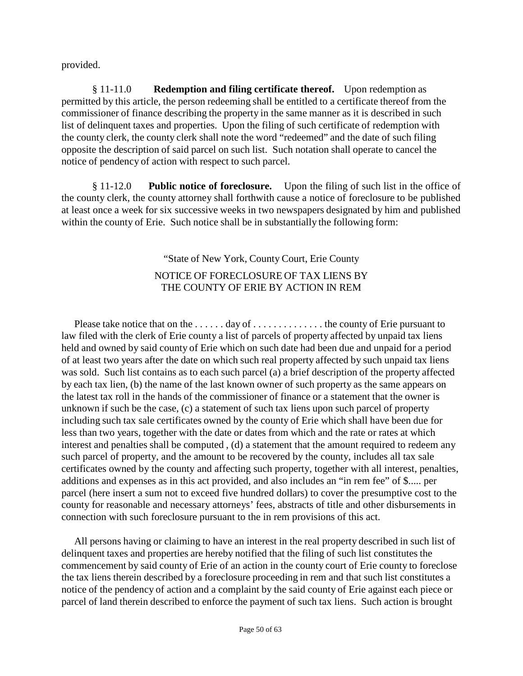provided.

§ 11-11.0 **Redemption and filing certificate thereof.** Upon redemption as permitted by this article, the person redeeming shall be entitled to a certificate thereof from the commissioner of finance describing the property in the same manner as it is described in such list of delinquent taxes and properties. Upon the filing of such certificate of redemption with the county clerk, the county clerk shall note the word "redeemed" and the date of such filing opposite the description of said parcel on such list. Such notation shall operate to cancel the notice of pendency of action with respect to such parcel.

§ 11-12.0 **Public notice of foreclosure.** Upon the filing of such list in the office of the county clerk, the county attorney shall forthwith cause a notice of foreclosure to be published at least once a week for six successive weeks in two newspapers designated by him and published within the county of Erie. Such notice shall be in substantially the following form:

## "State of New York, County Court, Erie County NOTICE OF FORECLOSURE OF TAX LIENS BY THE COUNTY OF ERIE BY ACTION IN REM

Please take notice that on the ...... day of ................. the county of Erie pursuant to law filed with the clerk of Erie county a list of parcels of property affected by unpaid tax liens held and owned by said county of Erie which on such date had been due and unpaid for a period of at least two years after the date on which such real property affected by such unpaid tax liens was sold. Such list contains as to each such parcel (a) a brief description of the property affected by each tax lien, (b) the name of the last known owner of such property as the same appears on the latest tax roll in the hands of the commissioner of finance or a statement that the owner is unknown if such be the case, (c) a statement of such tax liens upon such parcel of property including such tax sale certificates owned by the county of Erie which shall have been due for less than two years, together with the date or dates from which and the rate or rates at which interest and penalties shall be computed , (d) a statement that the amount required to redeem any such parcel of property, and the amount to be recovered by the county, includes all tax sale certificates owned by the county and affecting such property, together with all interest, penalties, additions and expenses as in this act provided, and also includes an "in rem fee" of \$..... per parcel (here insert a sum not to exceed five hundred dollars) to cover the presumptive cost to the county for reasonable and necessary attorneys' fees, abstracts of title and other disbursements in connection with such foreclosure pursuant to the in rem provisions of this act.

All persons having or claiming to have an interest in the real property described in such list of delinquent taxes and properties are hereby notified that the filing of such list constitutes the commencement by said county of Erie of an action in the county court of Erie county to foreclose the tax liens therein described by a foreclosure proceeding in rem and that such list constitutes a notice of the pendency of action and a complaint by the said county of Erie against each piece or parcel of land therein described to enforce the payment of such tax liens. Such action is brought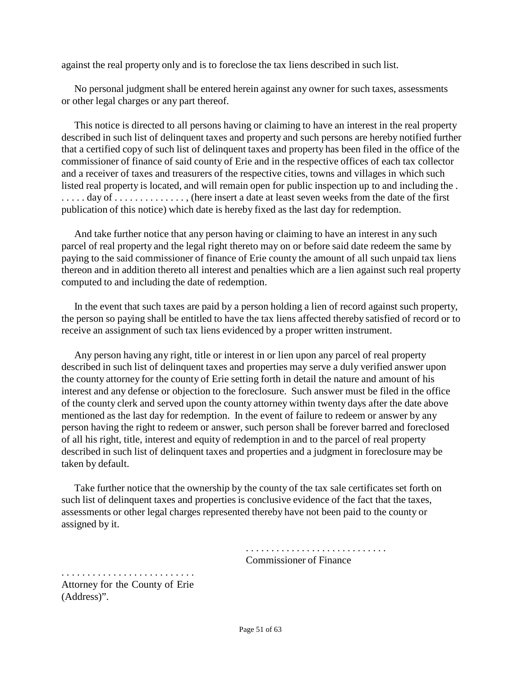against the real property only and is to foreclose the tax liens described in such list.

No personal judgment shall be entered herein against any owner for such taxes, assessments or other legal charges or any part thereof.

This notice is directed to all persons having or claiming to have an interest in the real property described in such list of delinquent taxes and property and such persons are hereby notified further that a certified copy of such list of delinquent taxes and property has been filed in the office of the commissioner of finance of said county of Erie and in the respective offices of each tax collector and a receiver of taxes and treasurers of the respective cities, towns and villages in which such listed real property is located, and will remain open for public inspection up to and including the . ..... day of .............., (here insert a date at least seven weeks from the date of the first publication of this notice) which date is hereby fixed as the last day for redemption.

And take further notice that any person having or claiming to have an interest in any such parcel of real property and the legal right thereto may on or before said date redeem the same by paying to the said commissioner of finance of Erie county the amount of all such unpaid tax liens thereon and in addition thereto all interest and penalties which are a lien against such real property computed to and including the date of redemption.

In the event that such taxes are paid by a person holding a lien of record against such property, the person so paying shall be entitled to have the tax liens affected thereby satisfied of record or to receive an assignment of such tax liens evidenced by a proper written instrument.

Any person having any right, title or interest in or lien upon any parcel of real property described in such list of delinquent taxes and properties may serve a duly verified answer upon the county attorney for the county of Erie setting forth in detail the nature and amount of his interest and any defense or objection to the foreclosure. Such answer must be filed in the office of the county clerk and served upon the county attorney within twenty days after the date above mentioned as the last day for redemption. In the event of failure to redeem or answer by any person having the right to redeem or answer, such person shall be forever barred and foreclosed of all his right, title, interest and equity of redemption in and to the parcel of real property described in such list of delinquent taxes and properties and a judgment in foreclosure may be taken by default.

Take further notice that the ownership by the county of the tax sale certificates set forth on such list of delinquent taxes and properties is conclusive evidence of the fact that the taxes, assessments or other legal charges represented thereby have not been paid to the county or assigned by it.

> . . . . . . . . . . . . . . . . . . . . . . . . . . . . Commissioner of Finance

. . . . . . . . . . . . . . . . . . . . . . . . . . Attorney for the County of Erie (Address)".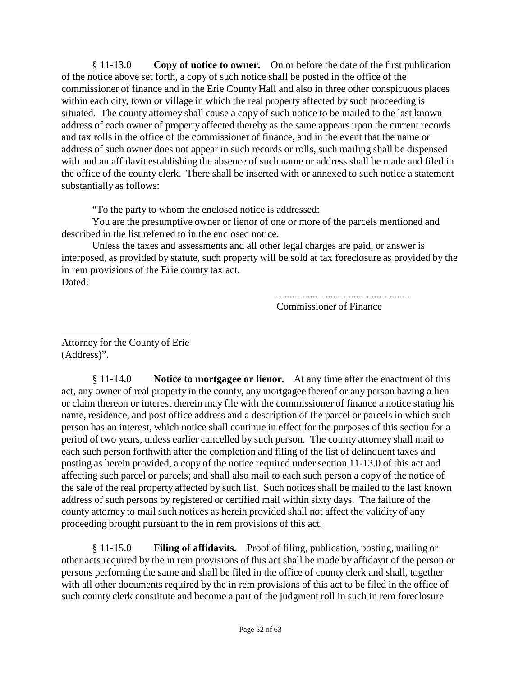§ 11-13.0 **Copy of notice to owner.** On or before the date of the first publication of the notice above set forth, a copy of such notice shall be posted in the office of the commissioner of finance and in the Erie County Hall and also in three other conspicuous places within each city, town or village in which the real property affected by such proceeding is situated. The county attorney shall cause a copy of such notice to be mailed to the last known address of each owner of property affected thereby as the same appears upon the current records and tax rolls in the office of the commissioner of finance, and in the event that the name or address of such owner does not appear in such records or rolls, such mailing shall be dispensed with and an affidavit establishing the absence of such name or address shall be made and filed in the office of the county clerk. There shall be inserted with or annexed to such notice a statement substantially as follows:

"To the party to whom the enclosed notice is addressed:

You are the presumptive owner or lienor of one or more of the parcels mentioned and described in the list referred to in the enclosed notice.

Unless the taxes and assessments and all other legal charges are paid, or answer is interposed, as provided by statute, such property will be sold at tax foreclosure as provided by the in rem provisions of the Erie county tax act. Dated:

> .................................................... Commissioner of Finance

Attorney for the County of Erie (Address)".

§ 11-14.0 **Notice to mortgagee or lienor.** At any time after the enactment of this act, any owner of real property in the county, any mortgagee thereof or any person having a lien or claim thereon or interest therein may file with the commissioner of finance a notice stating his name, residence, and post office address and a description of the parcel or parcels in which such person has an interest, which notice shall continue in effect for the purposes of this section for a period of two years, unless earlier cancelled by such person. The county attorney shall mail to each such person forthwith after the completion and filing of the list of delinquent taxes and posting as herein provided, a copy of the notice required under section 11-13.0 of this act and affecting such parcel or parcels; and shall also mail to each such person a copy of the notice of the sale of the real property affected by such list. Such notices shall be mailed to the last known address of such persons by registered or certified mail within sixty days. The failure of the county attorney to mail such notices as herein provided shall not affect the validity of any proceeding brought pursuant to the in rem provisions of this act.

§ 11-15.0 **Filing of affidavits.** Proof of filing, publication, posting, mailing or other acts required by the in rem provisions of this act shall be made by affidavit of the person or persons performing the same and shall be filed in the office of county clerk and shall, together with all other documents required by the in rem provisions of this act to be filed in the office of such county clerk constitute and become a part of the judgment roll in such in rem foreclosure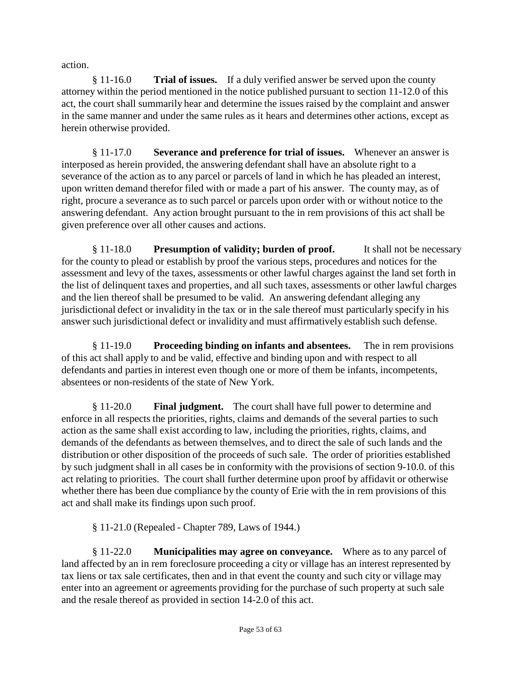action.

§ 11-16.0 **Trial of issues.** If a duly verified answer be served upon the county attorney within the period mentioned in the notice published pursuant to section 11-12.0 of this act, the court shall summarily hear and determine the issues raised by the complaint and answer in the same manner and under the same rules as it hears and determines other actions, except as herein otherwise provided.

§ 11-17.0 **Severance and preference for trial of issues.** Whenever an answer is interposed as herein provided, the answering defendant shall have an absolute right to a severance of the action as to any parcel or parcels of land in which he has pleaded an interest, upon written demand therefor filed with or made a part of his answer. The county may, as of right, procure a severance as to such parcel or parcels upon order with or without notice to the answering defendant. Any action brought pursuant to the in rem provisions of this act shall be given preference over all other causes and actions.

§ 11-18.0 **Presumption of validity; burden of proof.** It shall not be necessary for the county to plead or establish by proof the various steps, procedures and notices for the assessment and levy of the taxes, assessments or other lawful charges against the land set forth in the list of delinquent taxes and properties, and all such taxes, assessments or other lawful charges and the lien thereof shall be presumed to be valid. An answering defendant alleging any jurisdictional defect or invalidity in the tax or in the sale thereof must particularly specify in his answer such jurisdictional defect or invalidity and must affirmatively establish such defense.

§ 11-19.0 **Proceeding binding on infants and absentees.** The in rem provisions of this act shall apply to and be valid, effective and binding upon and with respect to all defendants and parties in interest even though one or more of them be infants, incompetents, absentees or non-residents of the state of New York.

§ 11-20.0 **Final judgment.** The court shall have full power to determine and enforce in all respects the priorities, rights, claims and demands of the several parties to such action as the same shall exist according to law, including the priorities, rights, claims, and demands of the defendants as between themselves, and to direct the sale of such lands and the distribution or other disposition of the proceeds of such sale. The order of priorities established by such judgment shall in all cases be in conformity with the provisions of section 9-10.0. of this act relating to priorities. The court shall further determine upon proof by affidavit or otherwise whether there has been due compliance by the county of Erie with the in rem provisions of this act and shall make its findings upon such proof.

§ 11-21.0 (Repealed - Chapter 789, Laws of 1944.)

§ 11-22.0 **Municipalities may agree on conveyance.** Where as to any parcel of land affected by an in rem foreclosure proceeding a city or village has an interest represented by tax liens or tax sale certificates, then and in that event the county and such city or village may enter into an agreement or agreements providing for the purchase of such property at such sale and the resale thereof as provided in section 14-2.0 of this act.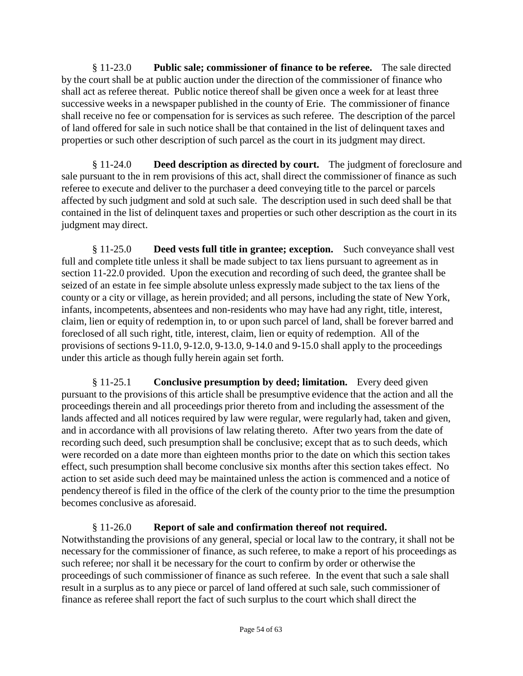§ 11-23.0 **Public sale; commissioner of finance to be referee.** The sale directed by the court shall be at public auction under the direction of the commissioner of finance who shall act as referee thereat. Public notice thereof shall be given once a week for at least three successive weeks in a newspaper published in the county of Erie. The commissioner of finance shall receive no fee or compensation for is services as such referee. The description of the parcel of land offered for sale in such notice shall be that contained in the list of delinquent taxes and properties or such other description of such parcel as the court in its judgment may direct.

§ 11-24.0 **Deed description as directed by court.** The judgment of foreclosure and sale pursuant to the in rem provisions of this act, shall direct the commissioner of finance as such referee to execute and deliver to the purchaser a deed conveying title to the parcel or parcels affected by such judgment and sold at such sale. The description used in such deed shall be that contained in the list of delinquent taxes and properties or such other description as the court in its judgment may direct.

§ 11-25.0 **Deed vests full title in grantee; exception.** Such conveyance shall vest full and complete title unless it shall be made subject to tax liens pursuant to agreement as in section 11-22.0 provided. Upon the execution and recording of such deed, the grantee shall be seized of an estate in fee simple absolute unless expressly made subject to the tax liens of the county or a city or village, as herein provided; and all persons, including the state of New York, infants, incompetents, absentees and non-residents who may have had any right, title, interest, claim, lien or equity of redemption in, to or upon such parcel of land, shall be forever barred and foreclosed of all such right, title, interest, claim, lien or equity of redemption. All of the provisions of sections 9-11.0, 9-12.0, 9-13.0, 9-14.0 and 9-15.0 shall apply to the proceedings under this article as though fully herein again set forth.

§ 11-25.1 **Conclusive presumption by deed; limitation.** Every deed given pursuant to the provisions of this article shall be presumptive evidence that the action and all the proceedings therein and all proceedings prior thereto from and including the assessment of the lands affected and all notices required by law were regular, were regularly had, taken and given, and in accordance with all provisions of law relating thereto. After two years from the date of recording such deed, such presumption shall be conclusive; except that as to such deeds, which were recorded on a date more than eighteen months prior to the date on which this section takes effect, such presumption shall become conclusive six months after this section takes effect. No action to set aside such deed may be maintained unless the action is commenced and a notice of pendency thereof is filed in the office of the clerk of the county prior to the time the presumption becomes conclusive as aforesaid.

#### § 11-26.0 **Report of sale and confirmation thereof not required.**

Notwithstanding the provisions of any general, special or local law to the contrary, it shall not be necessary for the commissioner of finance, as such referee, to make a report of his proceedings as such referee; nor shall it be necessary for the court to confirm by order or otherwise the proceedings of such commissioner of finance as such referee. In the event that such a sale shall result in a surplus as to any piece or parcel of land offered at such sale, such commissioner of finance as referee shall report the fact of such surplus to the court which shall direct the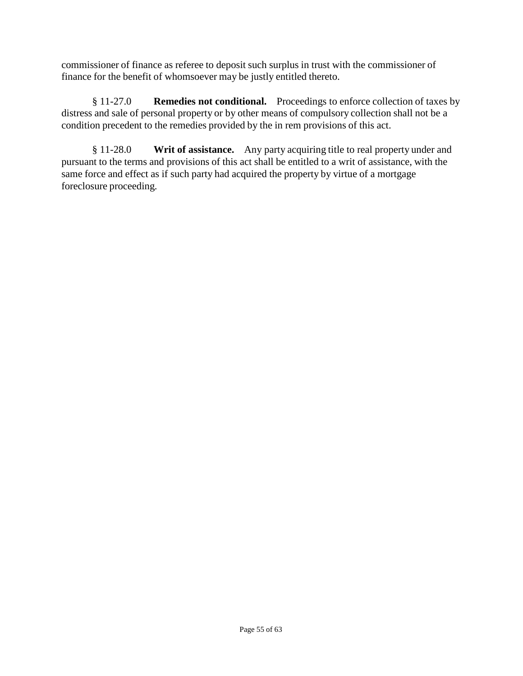commissioner of finance as referee to deposit such surplus in trust with the commissioner of finance for the benefit of whomsoever may be justly entitled thereto.

§ 11-27.0 **Remedies not conditional.** Proceedings to enforce collection of taxes by distress and sale of personal property or by other means of compulsory collection shall not be a condition precedent to the remedies provided by the in rem provisions of this act.

§ 11-28.0 **Writ of assistance.** Any party acquiring title to real property under and pursuant to the terms and provisions of this act shall be entitled to a writ of assistance, with the same force and effect as if such party had acquired the property by virtue of a mortgage foreclosure proceeding.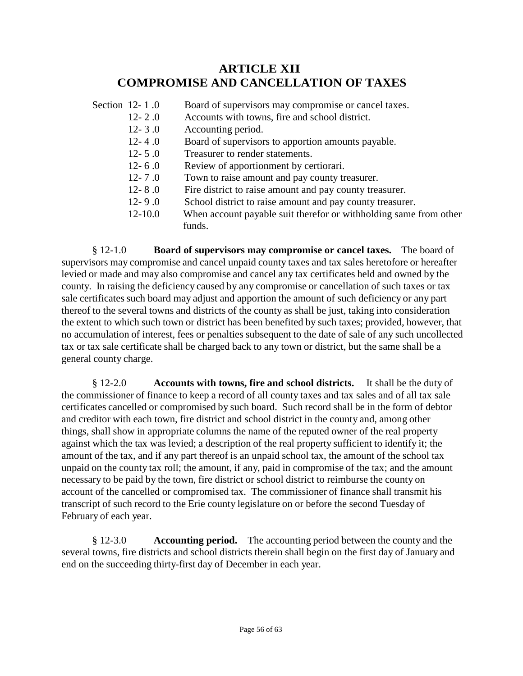# **ARTICLE XII COMPROMISE AND CANCELLATION OF TAXES**

| Section 12-1.0 | Board of supervisors may compromise or cancel taxes.              |
|----------------|-------------------------------------------------------------------|
| $12 - 2.0$     | Accounts with towns, fire and school district.                    |
| $12 - 3.0$     | Accounting period.                                                |
| $12 - 4.0$     | Board of supervisors to apportion amounts payable.                |
| $12 - 5.0$     | Treasurer to render statements.                                   |
| $12 - 6.0$     | Review of apportionment by certiorari.                            |
| $12 - 7.0$     | Town to raise amount and pay county treasurer.                    |
| $12 - 8.0$     | Fire district to raise amount and pay county treasurer.           |
| $12 - 9.0$     | School district to raise amount and pay county treasurer.         |
| $12 - 10.0$    | When account payable suit therefor or withholding same from other |
|                | funds.                                                            |

§ 12-1.0 **Board of supervisors may compromise or cancel taxes.** The board of supervisors may compromise and cancel unpaid county taxes and tax sales heretofore or hereafter levied or made and may also compromise and cancel any tax certificates held and owned by the county. In raising the deficiency caused by any compromise or cancellation of such taxes or tax sale certificates such board may adjust and apportion the amount of such deficiency or any part thereof to the several towns and districts of the county as shall be just, taking into consideration the extent to which such town or district has been benefited by such taxes; provided, however, that no accumulation of interest, fees or penalties subsequent to the date of sale of any such uncollected tax or tax sale certificate shall be charged back to any town or district, but the same shall be a general county charge.

§ 12-2.0 **Accounts with towns, fire and school districts.** It shall be the duty of the commissioner of finance to keep a record of all county taxes and tax sales and of all tax sale certificates cancelled or compromised by such board. Such record shall be in the form of debtor and creditor with each town, fire district and school district in the county and, among other things, shall show in appropriate columns the name of the reputed owner of the real property against which the tax was levied; a description of the real property sufficient to identify it; the amount of the tax, and if any part thereof is an unpaid school tax, the amount of the school tax unpaid on the county tax roll; the amount, if any, paid in compromise of the tax; and the amount necessary to be paid by the town, fire district or school district to reimburse the county on account of the cancelled or compromised tax. The commissioner of finance shall transmit his transcript of such record to the Erie county legislature on or before the second Tuesday of February of each year.

§ 12-3.0 **Accounting period.** The accounting period between the county and the several towns, fire districts and school districts therein shall begin on the first day of January and end on the succeeding thirty-first day of December in each year.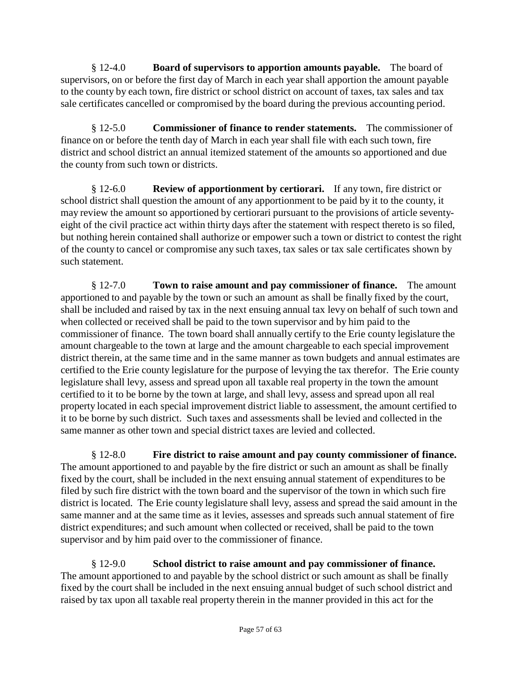§ 12-4.0 **Board of supervisors to apportion amounts payable.** The board of supervisors, on or before the first day of March in each year shall apportion the amount payable to the county by each town, fire district or school district on account of taxes, tax sales and tax sale certificates cancelled or compromised by the board during the previous accounting period.

§ 12-5.0 **Commissioner of finance to render statements.** The commissioner of finance on or before the tenth day of March in each year shall file with each such town, fire district and school district an annual itemized statement of the amounts so apportioned and due the county from such town or districts.

§ 12-6.0 **Review of apportionment by certiorari.** If any town, fire district or school district shall question the amount of any apportionment to be paid by it to the county, it may review the amount so apportioned by certiorari pursuant to the provisions of article seventyeight of the civil practice act within thirty days after the statement with respect thereto is so filed, but nothing herein contained shall authorize or empower such a town or district to contest the right of the county to cancel or compromise any such taxes, tax sales or tax sale certificates shown by such statement.

§ 12-7.0 **Town to raise amount and pay commissioner of finance.** The amount apportioned to and payable by the town or such an amount as shall be finally fixed by the court, shall be included and raised by tax in the next ensuing annual tax levy on behalf of such town and when collected or received shall be paid to the town supervisor and by him paid to the commissioner of finance. The town board shall annually certify to the Erie county legislature the amount chargeable to the town at large and the amount chargeable to each special improvement district therein, at the same time and in the same manner as town budgets and annual estimates are certified to the Erie county legislature for the purpose of levying the tax therefor. The Erie county legislature shall levy, assess and spread upon all taxable real property in the town the amount certified to it to be borne by the town at large, and shall levy, assess and spread upon all real property located in each special improvement district liable to assessment, the amount certified to it to be borne by such district. Such taxes and assessments shall be levied and collected in the same manner as other town and special district taxes are levied and collected.

§ 12-8.0 **Fire district to raise amount and pay county commissioner of finance.**  The amount apportioned to and payable by the fire district or such an amount as shall be finally fixed by the court, shall be included in the next ensuing annual statement of expenditures to be filed by such fire district with the town board and the supervisor of the town in which such fire district is located. The Erie county legislature shall levy, assess and spread the said amount in the same manner and at the same time as it levies, assesses and spreads such annual statement of fire district expenditures; and such amount when collected or received, shall be paid to the town supervisor and by him paid over to the commissioner of finance.

§ 12-9.0 **School district to raise amount and pay commissioner of finance.** The amount apportioned to and payable by the school district or such amount as shall be finally fixed by the court shall be included in the next ensuing annual budget of such school district and raised by tax upon all taxable real property therein in the manner provided in this act for the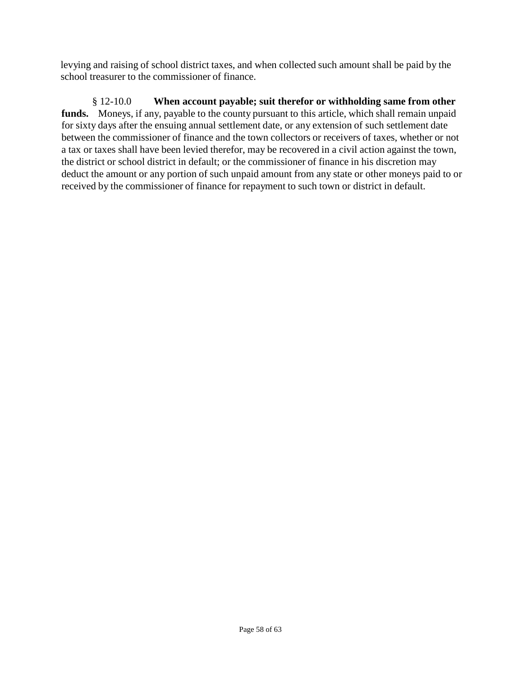levying and raising of school district taxes, and when collected such amount shall be paid by the school treasurer to the commissioner of finance.

§ 12-10.0 **When account payable; suit therefor or withholding same from other funds.** Moneys, if any, payable to the county pursuant to this article, which shall remain unpaid for sixty days after the ensuing annual settlement date, or any extension of such settlement date between the commissioner of finance and the town collectors or receivers of taxes, whether or not a tax or taxes shall have been levied therefor, may be recovered in a civil action against the town, the district or school district in default; or the commissioner of finance in his discretion may deduct the amount or any portion of such unpaid amount from any state or other moneys paid to or received by the commissioner of finance for repayment to such town or district in default.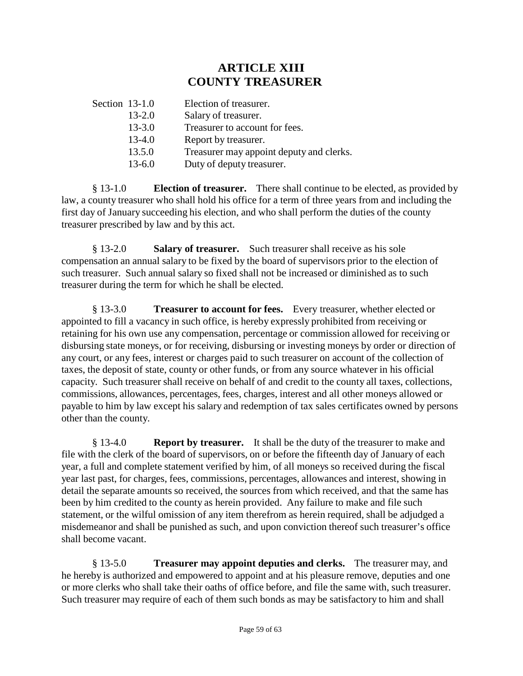# **ARTICLE XIII COUNTY TREASURER**

| Section 13-1.0 |            | Election of treasurer.                   |
|----------------|------------|------------------------------------------|
|                | $13 - 2.0$ | Salary of treasurer.                     |
|                | $13 - 3.0$ | Treasurer to account for fees.           |
|                | $13 - 4.0$ | Report by treasurer.                     |
|                | 13.5.0     | Treasurer may appoint deputy and clerks. |
|                | $13 - 6.0$ | Duty of deputy treasurer.                |
|                |            |                                          |

§ 13-1.0 **Election of treasurer.** There shall continue to be elected, as provided by law, a county treasurer who shall hold his office for a term of three years from and including the first day of January succeeding his election, and who shall perform the duties of the county treasurer prescribed by law and by this act.

§ 13-2.0 **Salary of treasurer.** Such treasurer shall receive as his sole compensation an annual salary to be fixed by the board of supervisors prior to the election of such treasurer. Such annual salary so fixed shall not be increased or diminished as to such treasurer during the term for which he shall be elected.

§ 13-3.0 **Treasurer to account for fees.** Every treasurer, whether elected or appointed to fill a vacancy in such office, is hereby expressly prohibited from receiving or retaining for his own use any compensation, percentage or commission allowed for receiving or disbursing state moneys, or for receiving, disbursing or investing moneys by order or direction of any court, or any fees, interest or charges paid to such treasurer on account of the collection of taxes, the deposit of state, county or other funds, or from any source whatever in his official capacity. Such treasurer shall receive on behalf of and credit to the county all taxes, collections, commissions, allowances, percentages, fees, charges, interest and all other moneys allowed or payable to him by law except his salary and redemption of tax sales certificates owned by persons other than the county.

§ 13-4.0 **Report by treasurer.** It shall be the duty of the treasurer to make and file with the clerk of the board of supervisors, on or before the fifteenth day of January of each year, a full and complete statement verified by him, of all moneys so received during the fiscal year last past, for charges, fees, commissions, percentages, allowances and interest, showing in detail the separate amounts so received, the sources from which received, and that the same has been by him credited to the county as herein provided. Any failure to make and file such statement, or the wilful omission of any item therefrom as herein required, shall be adjudged a misdemeanor and shall be punished as such, and upon conviction thereof such treasurer's office shall become vacant.

§ 13-5.0 **Treasurer may appoint deputies and clerks.** The treasurer may, and he hereby is authorized and empowered to appoint and at his pleasure remove, deputies and one or more clerks who shall take their oaths of office before, and file the same with, such treasurer. Such treasurer may require of each of them such bonds as may be satisfactory to him and shall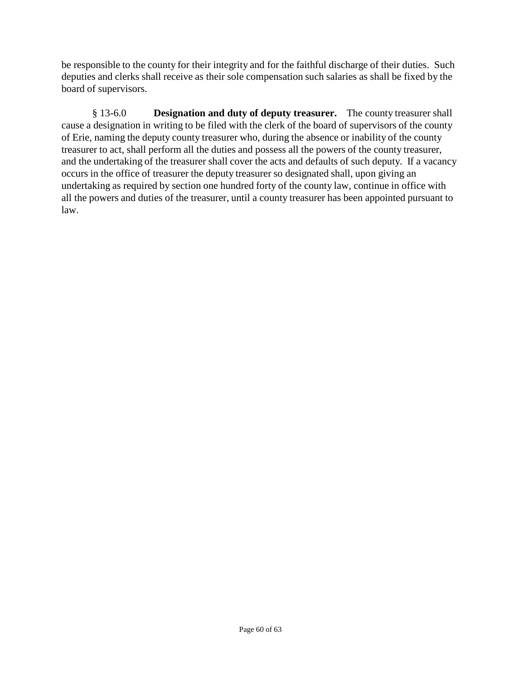be responsible to the county for their integrity and for the faithful discharge of their duties. Such deputies and clerks shall receive as their sole compensation such salaries as shall be fixed by the board of supervisors.

§ 13-6.0 **Designation and duty of deputy treasurer.** The county treasurer shall cause a designation in writing to be filed with the clerk of the board of supervisors of the county of Erie, naming the deputy county treasurer who, during the absence or inability of the county treasurer to act, shall perform all the duties and possess all the powers of the county treasurer, and the undertaking of the treasurer shall cover the acts and defaults of such deputy. If a vacancy occurs in the office of treasurer the deputy treasurer so designated shall, upon giving an undertaking as required by section one hundred forty of the county law, continue in office with all the powers and duties of the treasurer, until a county treasurer has been appointed pursuant to law.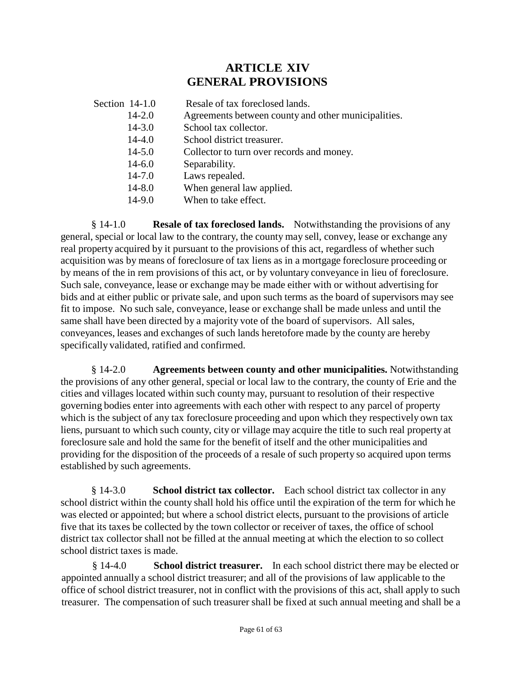# **ARTICLE XIV GENERAL PROVISIONS**

| Section $14-1.0$ | Resale of tax foreclosed lands.                     |
|------------------|-----------------------------------------------------|
| $14 - 2.0$       | Agreements between county and other municipalities. |
| $14 - 3.0$       | School tax collector.                               |
| $14 - 4.0$       | School district treasurer.                          |
| $14 - 5.0$       | Collector to turn over records and money.           |
| $14 - 6.0$       | Separability.                                       |
| $14 - 7.0$       | Laws repealed.                                      |
| $14 - 8.0$       | When general law applied.                           |
| $14-9.0$         | When to take effect.                                |
|                  |                                                     |

§ 14-1.0 **Resale of tax foreclosed lands.** Notwithstanding the provisions of any general, special or local law to the contrary, the county may sell, convey, lease or exchange any real property acquired by it pursuant to the provisions of this act, regardless of whether such acquisition was by means of foreclosure of tax liens as in a mortgage foreclosure proceeding or by means of the in rem provisions of this act, or by voluntary conveyance in lieu of foreclosure. Such sale, conveyance, lease or exchange may be made either with or without advertising for bids and at either public or private sale, and upon such terms as the board of supervisors may see fit to impose. No such sale, conveyance, lease or exchange shall be made unless and until the same shall have been directed by a majority vote of the board of supervisors. All sales, conveyances, leases and exchanges of such lands heretofore made by the county are hereby specifically validated, ratified and confirmed.

§ 14-2.0 **Agreements between county and other municipalities.** Notwithstanding the provisions of any other general, special or local law to the contrary, the county of Erie and the cities and villages located within such county may, pursuant to resolution of their respective governing bodies enter into agreements with each other with respect to any parcel of property which is the subject of any tax foreclosure proceeding and upon which they respectively own tax liens, pursuant to which such county, city or village may acquire the title to such real property at foreclosure sale and hold the same for the benefit of itself and the other municipalities and providing for the disposition of the proceeds of a resale of such property so acquired upon terms established by such agreements.

§ 14-3.0 **School district tax collector.** Each school district tax collector in any school district within the county shall hold his office until the expiration of the term for which he was elected or appointed; but where a school district elects, pursuant to the provisions of article five that its taxes be collected by the town collector or receiver of taxes, the office of school district tax collector shall not be filled at the annual meeting at which the election to so collect school district taxes is made.

§ 14-4.0 **School district treasurer.** In each school district there may be elected or appointed annually a school district treasurer; and all of the provisions of law applicable to the office of school district treasurer, not in conflict with the provisions of this act, shall apply to such treasurer. The compensation of such treasurer shall be fixed at such annual meeting and shall be a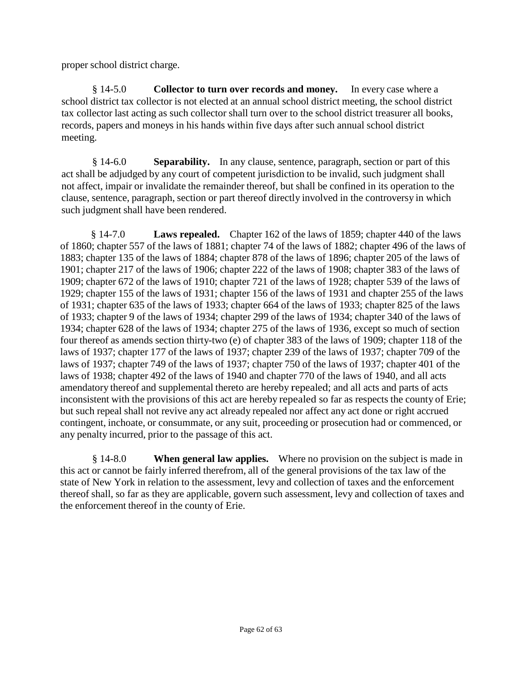proper school district charge.

§ 14-5.0 **Collector to turn over records and money.** In every case where a school district tax collector is not elected at an annual school district meeting, the school district tax collector last acting as such collector shall turn over to the school district treasurer all books, records, papers and moneys in his hands within five days after such annual school district meeting.

§ 14-6.0 **Separability.** In any clause, sentence, paragraph, section or part of this act shall be adjudged by any court of competent jurisdiction to be invalid, such judgment shall not affect, impair or invalidate the remainder thereof, but shall be confined in its operation to the clause, sentence, paragraph, section or part thereof directly involved in the controversy in which such judgment shall have been rendered.

§ 14-7.0 **Laws repealed.** Chapter 162 of the laws of 1859; chapter 440 of the laws of 1860; chapter 557 of the laws of 1881; chapter 74 of the laws of 1882; chapter 496 of the laws of 1883; chapter 135 of the laws of 1884; chapter 878 of the laws of 1896; chapter 205 of the laws of 1901; chapter 217 of the laws of 1906; chapter 222 of the laws of 1908; chapter 383 of the laws of 1909; chapter 672 of the laws of 1910; chapter 721 of the laws of 1928; chapter 539 of the laws of 1929; chapter 155 of the laws of 1931; chapter 156 of the laws of 1931 and chapter 255 of the laws of 1931; chapter 635 of the laws of 1933; chapter 664 of the laws of 1933; chapter 825 of the laws of 1933; chapter 9 of the laws of 1934; chapter 299 of the laws of 1934; chapter 340 of the laws of 1934; chapter 628 of the laws of 1934; chapter 275 of the laws of 1936, except so much of section four thereof as amends section thirty-two (e) of chapter 383 of the laws of 1909; chapter 118 of the laws of 1937; chapter 177 of the laws of 1937; chapter 239 of the laws of 1937; chapter 709 of the laws of 1937; chapter 749 of the laws of 1937; chapter 750 of the laws of 1937; chapter 401 of the laws of 1938; chapter 492 of the laws of 1940 and chapter 770 of the laws of 1940, and all acts amendatory thereof and supplemental thereto are hereby repealed; and all acts and parts of acts inconsistent with the provisions of this act are hereby repealed so far as respects the county of Erie; but such repeal shall not revive any act already repealed nor affect any act done or right accrued contingent, inchoate, or consummate, or any suit, proceeding or prosecution had or commenced, or any penalty incurred, prior to the passage of this act.

§ 14-8.0 **When general law applies.** Where no provision on the subject is made in this act or cannot be fairly inferred therefrom, all of the general provisions of the tax law of the state of New York in relation to the assessment, levy and collection of taxes and the enforcement thereof shall, so far as they are applicable, govern such assessment, levy and collection of taxes and the enforcement thereof in the county of Erie.